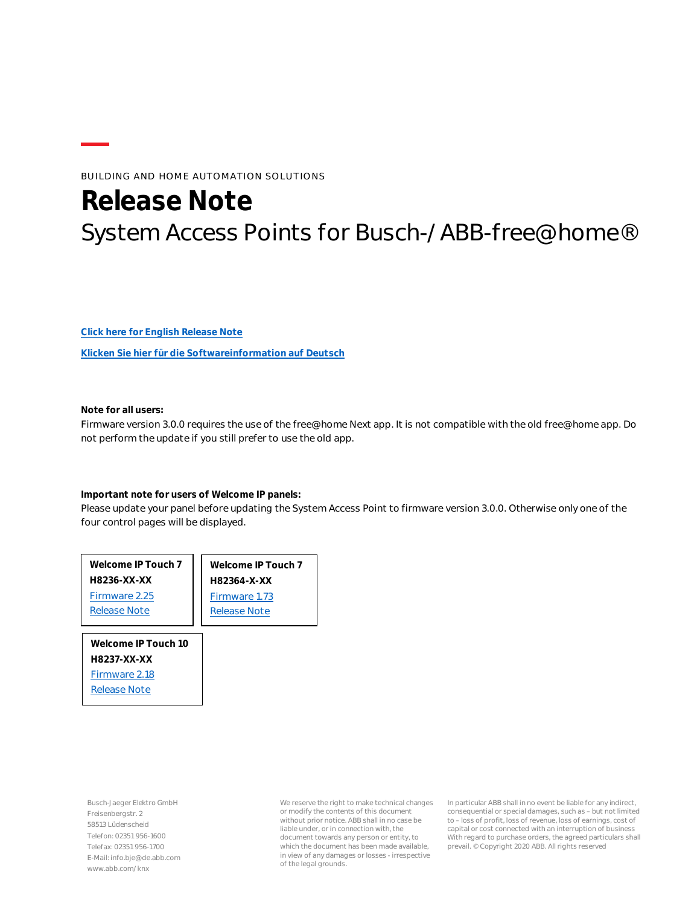## BUILDING AND HOME AUTOMATION SOLUTIONS

# **Release Note** System Access Points for Busch-/ABB-free@home®

**[Click here for English Release Note](#page-1-0)**

**[Klicken Sie hier für die Softwareinformation auf Deutsch](#page-18-0)**

**Note for all users:**

Firmware version 3.0.0 requires the use of the free@home Next app. It is not compatible with the old free@home app. Do not perform the update if you still prefer to use the old app.

**Important note for users of Welcome IP panels:**

Please update your panel before updating the System Access Point to firmware version 3.0.0. Otherwise only one of the four control pages will be displayed.

| Welcome IP Touch 7  | Welcome IP Touch 7  |
|---------------------|---------------------|
| H8236-XX-XX         | H82364-X-XX         |
| Firmware 2.25       | Firmware 1.73       |
| <b>Release Note</b> | <b>Release Note</b> |
|                     |                     |
| Welcome IP Touch 10 |                     |
| H8237-XX-XX         |                     |
| Firmware 2.18       |                     |

Busch-Jaeger Elektro GmbH Freisenbergstr. 2 58513 Lüdenscheid Telefon: 02351 956-1600 Telefax: 02351 956-1700 E-Mail: info.bje@de.abb.com www.abb.com/knx

[Release Note](https://library.abb.com/d/9AKK107991A5973)

We reserve the right to make technical changes or modify the contents of this document without prior notice. ABB shall in no case be liable under, or in connection with, the document towards any person or entity, to which the document has been made available, in view of any damages or losses - irrespective of the legal grounds.

In particular ABB shall in no event be liable for any indirect, consequential or special damages, such as – but not limited to – loss of profit, loss of revenue, loss of earnings, cost of capital or cost connected with an interruption of business With regard to purchase orders, the agreed particulars shall prevail. © Copyright 2020 ABB. All rights reserved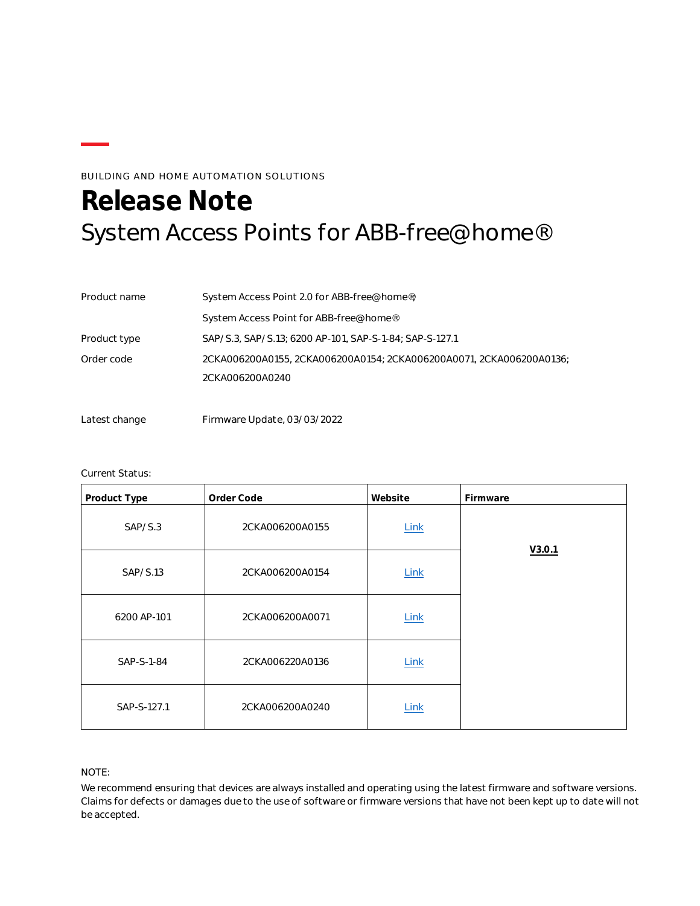## BUILDING AND HOME AUTOMATION SOLUTIONS

# <span id="page-1-0"></span>**Release Note** System Access Points for ABB-free@home®

| Product name | System Access Point 2.0 for ABB-free@home®;                         |
|--------------|---------------------------------------------------------------------|
|              | System Access Point for ABB-free@home®                              |
| Product type | SAP/S.3, SAP/S.13; 6200 AP-101, SAP-S-1-84; SAP-S-127.1             |
| Order code   | 2CKA006200A0155, 2CKA006200A0154; 2CKA006200A0071, 2CKA006200A0136; |
|              | 2CKA006200A0240                                                     |
|              |                                                                     |

Latest change Firmware Update, 03/03/2022

### Current Status:

| Product Type | Order Code      | Website     | Firmware |
|--------------|-----------------|-------------|----------|
| SAP/S.3      | 2CKA006200A0155 | Link        |          |
| SAP/S.13     | 2CKA006200A0154 | <b>Link</b> | V3.0.1   |
| 6200 AP-101  | 2CKA006200A0071 | Link        |          |
| SAP-S-1-84   | 2CKA006220A0136 | Link        |          |
| SAP-S-127.1  | 2CKA006200A0240 | Link        |          |

#### NOTE:

We recommend ensuring that devices are always installed and operating using the latest firmware and software versions. Claims for defects or damages due to the use of software or firmware versions that have not been kept up to date will not be accepted.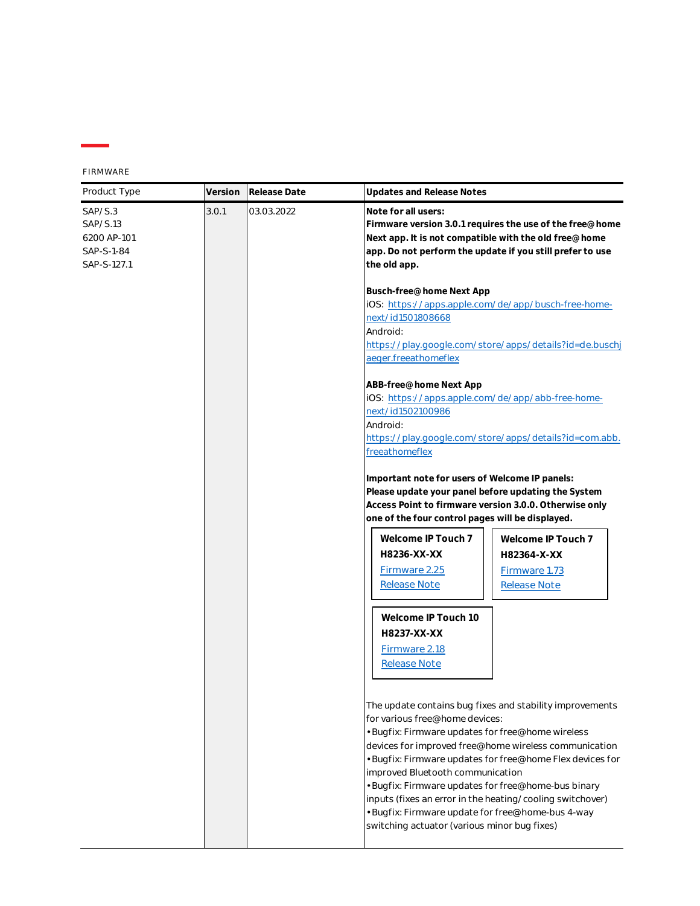FIRMWARE

| Product Type                                                    | Version | Release Date | Updates and Release Notes                                                                                                                                                                                                                                                                                                                                                                                                                                                                                                          |
|-----------------------------------------------------------------|---------|--------------|------------------------------------------------------------------------------------------------------------------------------------------------------------------------------------------------------------------------------------------------------------------------------------------------------------------------------------------------------------------------------------------------------------------------------------------------------------------------------------------------------------------------------------|
| SAP/S.3<br>SAP/S.13<br>6200 AP-101<br>SAP-S-1-84<br>SAP-S-127.1 | 3.0.1   | 03.03.2022   | Note for all users:<br>Firmware version 3.0.1 requires the use of the free@home<br>Next app. It is not compatible with the old free@home<br>app. Do not perform the update if you still prefer to use<br>the old app.                                                                                                                                                                                                                                                                                                              |
|                                                                 |         |              | Busch-free@home Next App<br>iOS: https://apps.apple.com/de/app/busch-free-home-<br>next/id1501808668<br>Android:<br>https://play.google.com/store/apps/details?id=de.buschj<br>aeger.freeathomeflex                                                                                                                                                                                                                                                                                                                                |
|                                                                 |         |              | ABB-free@home Next App<br>iOS: https://apps.apple.com/de/app/abb-free-home-<br>next/id1502100986<br>Android:<br>https://play.google.com/store/apps/details?id=com.abb.<br>freeathomeflex                                                                                                                                                                                                                                                                                                                                           |
|                                                                 |         |              | Important note for users of Welcome IP panels:<br>Please update your panel before updating the System<br>Access Point to firmware version 3.0.0. Otherwise only<br>one of the four control pages will be displayed.                                                                                                                                                                                                                                                                                                                |
|                                                                 |         |              | Welcome IP Touch 7<br>Welcome IP Touch 7<br>H8236-XX-XX<br>H82364-X-XX<br>Firmware 2.25<br>Firmware 1.73<br><b>Release Note</b><br><b>Release Note</b>                                                                                                                                                                                                                                                                                                                                                                             |
|                                                                 |         |              | Welcome IP Touch 10<br>H8237-XX-XX<br>Firmware 2.18<br><b>Release Note</b>                                                                                                                                                                                                                                                                                                                                                                                                                                                         |
|                                                                 |         |              | The update contains bug fixes and stability improvements<br>for various free@home devices:<br>· Bugfix: Firmware updates for free@home wireless<br>devices for improved free@home wireless communication<br>· Bugfix: Firmware updates for free@home Flex devices for<br>improved Bluetooth communication<br>• Bugfix: Firmware updates for free@home-bus binary<br>inputs (fixes an error in the heating/cooling switchover)<br>· Bugfix: Firmware update for free@home-bus 4-way<br>switching actuator (various minor bug fixes) |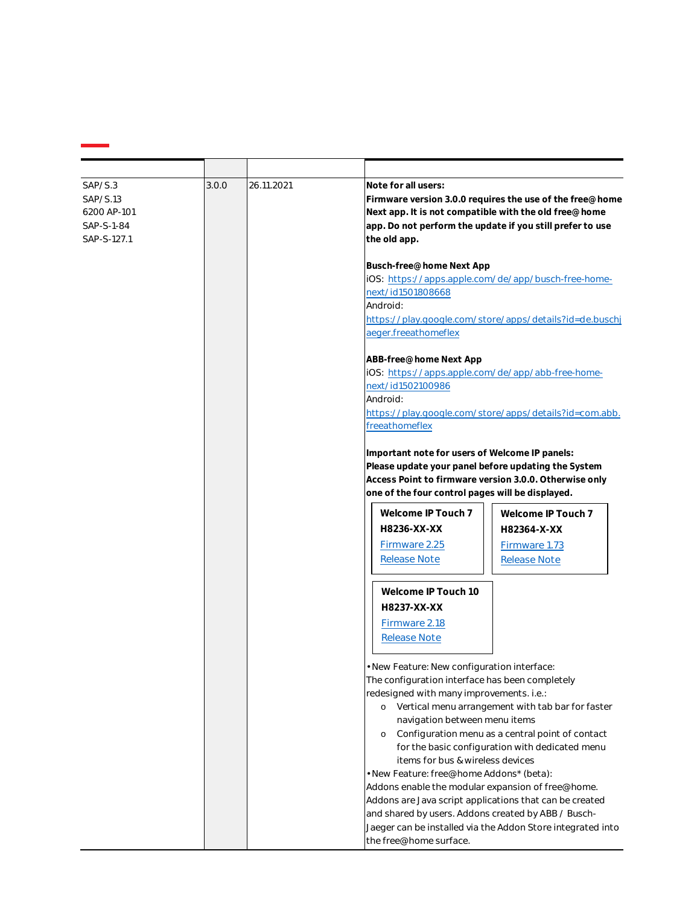| SAP/S.3<br>SAP/S.13<br>6200 AP-101<br>SAP-S-1-84<br>SAP-S-127.1 | 3.0.0 | 26.11.2021 | Note for all users:<br>Firmware version 3.0.0 requires the use of the free@home<br>Next app. It is not compatible with the old free@home<br>app. Do not perform the update if you still prefer to use<br>the old app.<br>Busch-free@home Next App<br>iOS: https://apps.apple.com/de/app/busch-free-home-<br>next/id1501808668                        |
|-----------------------------------------------------------------|-------|------------|------------------------------------------------------------------------------------------------------------------------------------------------------------------------------------------------------------------------------------------------------------------------------------------------------------------------------------------------------|
|                                                                 |       |            | Android:<br>https://play.google.com/store/apps/details?id=de.buschj<br>aeger.freeathomeflex                                                                                                                                                                                                                                                          |
|                                                                 |       |            | ABB-free@home Next App<br>iOS: https://apps.apple.com/de/app/abb-free-home-<br>next/id1502100986<br>Android:<br>https://play.google.com/store/apps/details?id=com.abb.<br>freeathomeflex                                                                                                                                                             |
|                                                                 |       |            | Important note for users of Welcome IP panels:<br>Please update your panel before updating the System<br>Access Point to firmware version 3.0.0. Otherwise only<br>one of the four control pages will be displayed.                                                                                                                                  |
|                                                                 |       |            | Welcome IP Touch 7<br>Welcome IP Touch 7<br>H8236-XX-XX<br>H82364-X-XX<br>Firmware 2.25<br>Firmware 1.73<br><b>Release Note</b><br><b>Release Note</b>                                                                                                                                                                                               |
|                                                                 |       |            | Welcome IP Touch 10<br>H8237-XX-XX<br>Firmware 2.18<br><b>Release Note</b>                                                                                                                                                                                                                                                                           |
|                                                                 |       |            | · New Feature: New configuration interface:<br>The configuration interface has been completely<br>redesigned with many improvements. i.e.:<br>o Vertical menu arrangement with tab bar for faster<br>navigation between menu items<br>Configuration menu as a central point of contact<br>$\circ$<br>for the basic configuration with dedicated menu |
|                                                                 |       |            | items for bus & wireless devices<br>· New Feature: free@home Addons* (beta):<br>Addons enable the modular expansion of free@home.<br>Addons are Java script applications that can be created<br>and shared by users. Addons created by ABB / Busch-<br>Jaeger can be installed via the Addon Store integrated into<br>the free@home surface.         |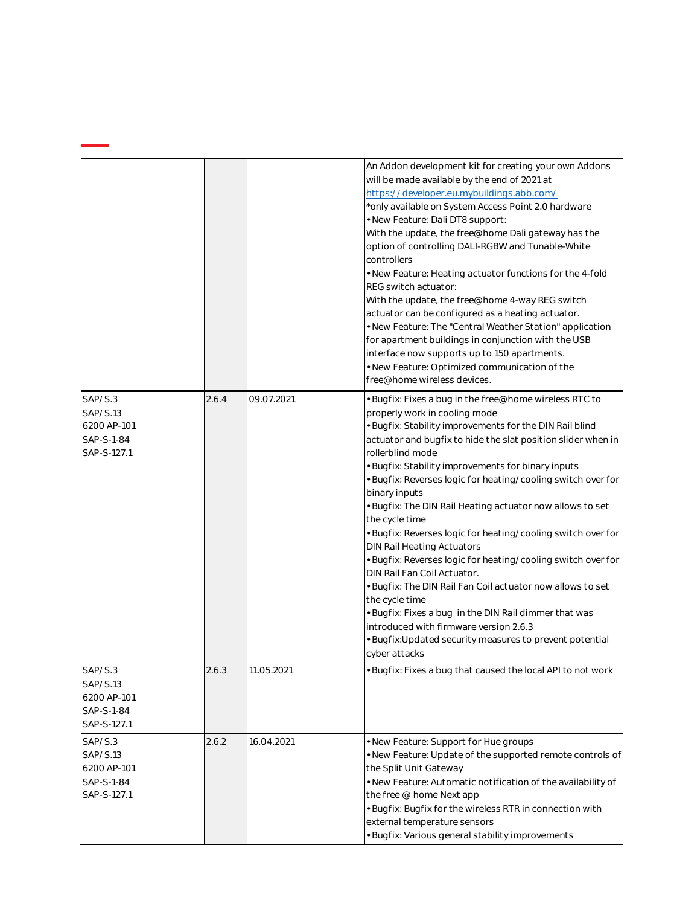|                                                                 |       |            | An Addon development kit for creating your own Addons<br>will be made available by the end of 2021 at<br>https://developer.eu.mybuildings.abb.com/<br>*only available on System Access Point 2.0 hardware<br>. New Feature: Dali DT8 support:<br>With the update, the free@home Dali gateway has the<br>option of controlling DALI-RGBW and Tunable-White<br>controllers<br>. New Feature: Heating actuator functions for the 4-fold<br>REG switch actuator:<br>With the update, the free@home 4-way REG switch<br>actuator can be configured as a heating actuator.<br>. New Feature: The "Central Weather Station" application<br>for apartment buildings in conjunction with the USB<br>interface now supports up to 150 apartments.<br>. New Feature: Optimized communication of the<br>free@home wireless devices.                                                                                              |
|-----------------------------------------------------------------|-------|------------|----------------------------------------------------------------------------------------------------------------------------------------------------------------------------------------------------------------------------------------------------------------------------------------------------------------------------------------------------------------------------------------------------------------------------------------------------------------------------------------------------------------------------------------------------------------------------------------------------------------------------------------------------------------------------------------------------------------------------------------------------------------------------------------------------------------------------------------------------------------------------------------------------------------------|
| SAP/S.3<br>SAP/S.13<br>6200 AP-101<br>SAP-S-1-84<br>SAP-S-127.1 | 2.6.4 | 09.07.2021 | · Bugfix: Fixes a bug in the free@home wireless RTC to<br>properly work in cooling mode<br>· Bugfix: Stability improvements for the DIN Rail blind<br>actuator and bugfix to hide the slat position slider when in<br>rollerblind mode<br>Bugfix: Stability improvements for binary inputs<br>Bugfix: Reverses logic for heating/cooling switch over for<br>binary inputs<br>· Bugfix: The DIN Rail Heating actuator now allows to set<br>the cycle time<br>· Bugfix: Reverses logic for heating/cooling switch over for<br>DIN Rail Heating Actuators<br>· Bugfix: Reverses logic for heating/cooling switch over for<br>DIN Rail Fan Coil Actuator.<br>• Bugfix: The DIN Rail Fan Coil actuator now allows to set<br>the cycle time<br>· Bugfix: Fixes a bug in the DIN Rail dimmer that was<br>introduced with firmware version 2.6.3<br>· Bugfix:Updated security measures to prevent potential<br>cyber attacks |
| SAP/S.3<br>SAP/S.13<br>6200 AP-101<br>SAP-S-1-84<br>SAP-S-127.1 | 2.6.3 | 11.05.2021 | • Bugfix: Fixes a bug that caused the local API to not work                                                                                                                                                                                                                                                                                                                                                                                                                                                                                                                                                                                                                                                                                                                                                                                                                                                          |
| SAP/S.3<br>SAP/S.13<br>6200 AP-101<br>SAP-S-1-84<br>SAP-S-127.1 | 2.6.2 | 16.04.2021 | . New Feature: Support for Hue groups<br>. New Feature: Update of the supported remote controls of<br>the Split Unit Gateway<br>. New Feature: Automatic notification of the availability of<br>the free @ home Next app<br>· Bugfix: Bugfix for the wireless RTR in connection with<br>external temperature sensors<br>· Bugfix: Various general stability improvements                                                                                                                                                                                                                                                                                                                                                                                                                                                                                                                                             |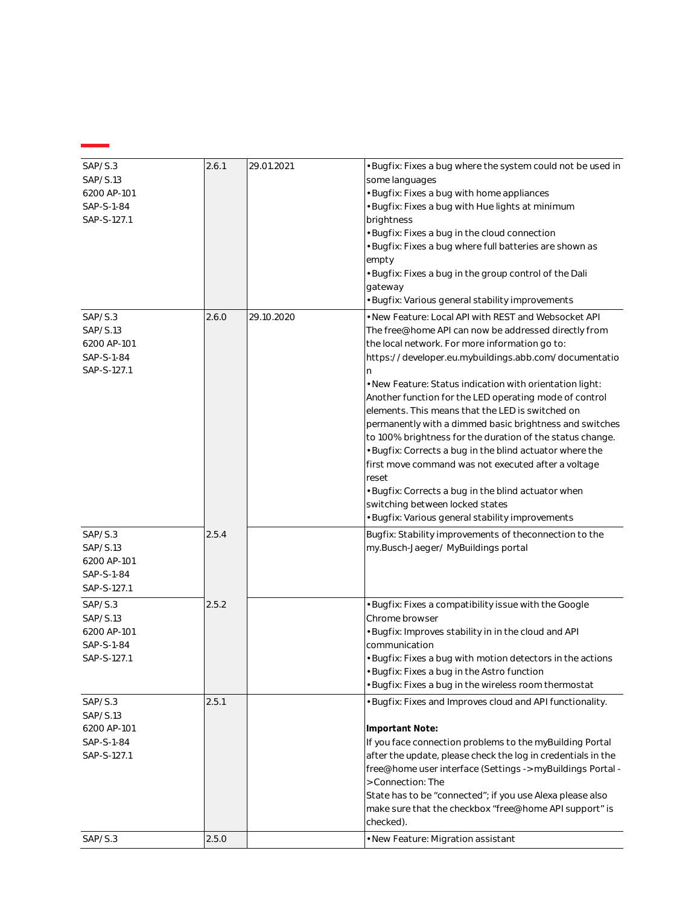| SAP/S.3<br>SAP/S.13<br>6200 AP-101<br>SAP-S-1-84<br>SAP-S-127.1 | 2.6.1 | 29.01.2021 | · Bugfix: Fixes a bug where the system could not be used in<br>some languages<br>· Bugfix: Fixes a bug with home appliances<br>· Bugfix: Fixes a bug with Hue lights at minimum<br>brightness<br>· Bugfix: Fixes a bug in the cloud connection<br>· Bugfix: Fixes a bug where full batteries are shown as<br>empty<br>· Bugfix: Fixes a bug in the group control of the Dali<br>gateway<br>· Bugfix: Various general stability improvements                                                                                                                                                                                                                                                                                                                                                               |
|-----------------------------------------------------------------|-------|------------|-----------------------------------------------------------------------------------------------------------------------------------------------------------------------------------------------------------------------------------------------------------------------------------------------------------------------------------------------------------------------------------------------------------------------------------------------------------------------------------------------------------------------------------------------------------------------------------------------------------------------------------------------------------------------------------------------------------------------------------------------------------------------------------------------------------|
| SAP/S.3<br>SAP/S.13<br>6200 AP-101<br>SAP-S-1-84<br>SAP-S-127.1 | 2.6.0 | 29.10.2020 | • New Feature: Local API with REST and Websocket API<br>The free@home API can now be addressed directly from<br>the local network. For more information go to:<br>https://developer.eu.mybuildings.abb.com/documentatio<br>n.<br>. New Feature: Status indication with orientation light:<br>Another function for the LED operating mode of control<br>elements. This means that the LED is switched on<br>permanently with a dimmed basic brightness and switches<br>to 100% brightness for the duration of the status change.<br>· Bugfix: Corrects a bug in the blind actuator where the<br>first move command was not executed after a voltage<br>reset<br>· Bugfix: Corrects a bug in the blind actuator when<br>switching between locked states<br>· Bugfix: Various general stability improvements |
| SAP/S.3<br>SAP/S.13<br>6200 AP-101<br>SAP-S-1-84<br>SAP-S-127.1 | 2.5.4 |            | Bugfix: Stability improvements of theconnection to the<br>my.Busch-Jaeger/MyBuildings portal                                                                                                                                                                                                                                                                                                                                                                                                                                                                                                                                                                                                                                                                                                              |
| SAP/S.3<br>SAP/S.13<br>6200 AP-101<br>SAP-S-1-84<br>SAP-S-127.1 | 2.5.2 |            | · Bugfix: Fixes a compatibility issue with the Google<br>Chrome browser<br>· Bugfix: Improves stability in in the cloud and API<br>communication<br>· Bugfix: Fixes a bug with motion detectors in the actions<br>Bugfix: Fixes a bug in the Astro function<br>· Bugfix: Fixes a bug in the wireless room thermostat                                                                                                                                                                                                                                                                                                                                                                                                                                                                                      |
| SAP/S.3<br>SAP/S.13<br>6200 AP-101<br>SAP-S-1-84<br>SAP-S-127.1 | 2.5.1 |            | · Bugfix: Fixes and Improves cloud and API functionality.<br>Important Note:<br>If you face connection problems to the myBuilding Portal<br>after the update, please check the log in credentials in the<br>free@home user interface (Settings -> myBuildings Portal -<br>> Connection: The<br>State has to be "connected"; if you use Alexa please also<br>make sure that the checkbox "free@home API support" is<br>checked).                                                                                                                                                                                                                                                                                                                                                                           |
| SAP/S.3                                                         | 2.5.0 |            | · New Feature: Migration assistant                                                                                                                                                                                                                                                                                                                                                                                                                                                                                                                                                                                                                                                                                                                                                                        |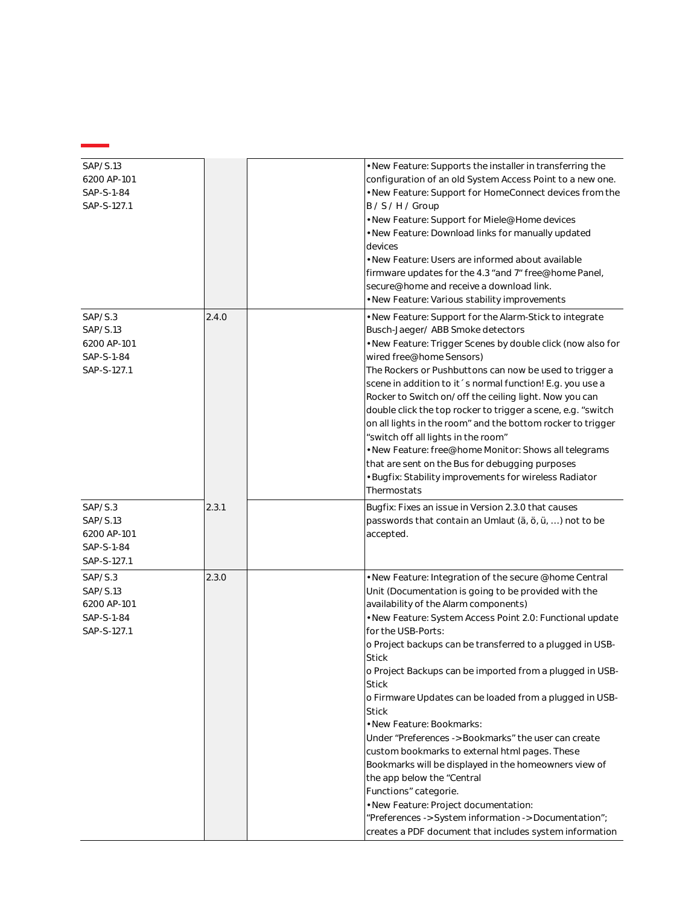| SAP/S.13<br>6200 AP-101                                         |       | . New Feature: Supports the installer in transferring the<br>configuration of an old System Access Point to a new one.                                                                                                                                                                                                                                                                                                                                                                                                                                                                                                                                                                                                 |
|-----------------------------------------------------------------|-------|------------------------------------------------------------------------------------------------------------------------------------------------------------------------------------------------------------------------------------------------------------------------------------------------------------------------------------------------------------------------------------------------------------------------------------------------------------------------------------------------------------------------------------------------------------------------------------------------------------------------------------------------------------------------------------------------------------------------|
| SAP-S-1-84<br>SAP-S-127.1                                       |       | . New Feature: Support for HomeConnect devices from the<br>B/S/H/Group                                                                                                                                                                                                                                                                                                                                                                                                                                                                                                                                                                                                                                                 |
|                                                                 |       | • New Feature: Support for Miele@Home devices<br>. New Feature: Download links for manually updated<br>devices                                                                                                                                                                                                                                                                                                                                                                                                                                                                                                                                                                                                         |
|                                                                 |       | • New Feature: Users are informed about available<br>firmware updates for the 4.3 "and 7" free@home Panel,<br>secure@home and receive a download link.                                                                                                                                                                                                                                                                                                                                                                                                                                                                                                                                                                 |
|                                                                 |       | · New Feature: Various stability improvements                                                                                                                                                                                                                                                                                                                                                                                                                                                                                                                                                                                                                                                                          |
| SAP/S.3<br>SAP/S.13<br>6200 AP-101<br>SAP-S-1-84<br>SAP-S-127.1 | 2.4.0 | . New Feature: Support for the Alarm-Stick to integrate<br>Busch-Jaeger/ ABB Smoke detectors<br>. New Feature: Trigger Scenes by double click (now also for<br>wired free@home Sensors)<br>The Rockers or Pushbuttons can now be used to trigger a<br>scene in addition to it 's normal function! E.g. you use a<br>Rocker to Switch on/off the ceiling light. Now you can<br>double click the top rocker to trigger a scene, e.g. "switch<br>on all lights in the room" and the bottom rocker to trigger<br>"switch off all lights in the room"<br>. New Feature: free@home Monitor: Shows all telegrams<br>that are sent on the Bus for debugging purposes<br>• Bugfix: Stability improvements for wireless Radiator |
|                                                                 |       | Thermostats                                                                                                                                                                                                                                                                                                                                                                                                                                                                                                                                                                                                                                                                                                            |
| SAP/S.3<br>SAP/S.13<br>6200 AP-101<br>SAP-S-1-84<br>SAP-S-127.1 | 2.3.1 | Bugfix: Fixes an issue in Version 2.3.0 that causes<br>passwords that contain an Umlaut (ä, ö, ü, ) not to be<br>accepted.                                                                                                                                                                                                                                                                                                                                                                                                                                                                                                                                                                                             |
| SAP/S.3<br>SAP/S.13<br>6200 AP-101                              | 2.3.0 | . New Feature: Integration of the secure @home Central<br>Unit (Documentation is going to be provided with the<br>availability of the Alarm components)                                                                                                                                                                                                                                                                                                                                                                                                                                                                                                                                                                |
| SAP-S-1-84<br>SAP-S-127.1                                       |       | . New Feature: System Access Point 2.0: Functional update<br>for the USB-Ports:                                                                                                                                                                                                                                                                                                                                                                                                                                                                                                                                                                                                                                        |
|                                                                 |       | o Project backups can be transferred to a plugged in USB-<br><b>Stick</b>                                                                                                                                                                                                                                                                                                                                                                                                                                                                                                                                                                                                                                              |
|                                                                 |       | o Project Backups can be imported from a plugged in USB-<br><b>Stick</b>                                                                                                                                                                                                                                                                                                                                                                                                                                                                                                                                                                                                                                               |
|                                                                 |       | o Firmware Updates can be loaded from a plugged in USB-<br><b>Stick</b>                                                                                                                                                                                                                                                                                                                                                                                                                                                                                                                                                                                                                                                |
|                                                                 |       | • New Feature: Bookmarks:                                                                                                                                                                                                                                                                                                                                                                                                                                                                                                                                                                                                                                                                                              |
|                                                                 |       | Under "Preferences -> Bookmarks" the user can create                                                                                                                                                                                                                                                                                                                                                                                                                                                                                                                                                                                                                                                                   |
|                                                                 |       | custom bookmarks to external html pages. These                                                                                                                                                                                                                                                                                                                                                                                                                                                                                                                                                                                                                                                                         |
|                                                                 |       | Bookmarks will be displayed in the homeowners view of<br>the app below the "Central                                                                                                                                                                                                                                                                                                                                                                                                                                                                                                                                                                                                                                    |
|                                                                 |       | Functions" categorie.                                                                                                                                                                                                                                                                                                                                                                                                                                                                                                                                                                                                                                                                                                  |
|                                                                 |       | · New Feature: Project documentation:                                                                                                                                                                                                                                                                                                                                                                                                                                                                                                                                                                                                                                                                                  |
|                                                                 |       | "Preferences -> System information -> Documentation";<br>creates a PDF document that includes system information                                                                                                                                                                                                                                                                                                                                                                                                                                                                                                                                                                                                       |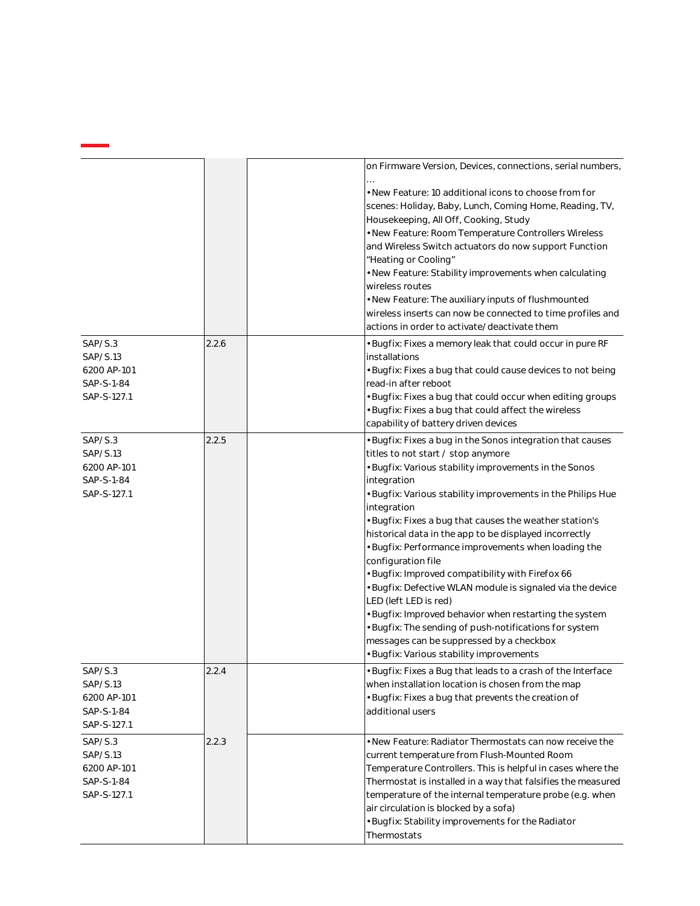|                                                                 |       | on Firmware Version, Devices, connections, serial numbers,                                                                                                                                                                                                                                                                                                                                                                                                                                                                                                                                                                                                                                                                                                                                                      |
|-----------------------------------------------------------------|-------|-----------------------------------------------------------------------------------------------------------------------------------------------------------------------------------------------------------------------------------------------------------------------------------------------------------------------------------------------------------------------------------------------------------------------------------------------------------------------------------------------------------------------------------------------------------------------------------------------------------------------------------------------------------------------------------------------------------------------------------------------------------------------------------------------------------------|
|                                                                 |       | • New Feature: 10 additional icons to choose from for<br>scenes: Holiday, Baby, Lunch, Coming Home, Reading, TV,<br>Housekeeping, All Off, Cooking, Study<br>· New Feature: Room Temperature Controllers Wireless<br>and Wireless Switch actuators do now support Function<br>"Heating or Cooling"<br>• New Feature: Stability improvements when calculating<br>wireless routes<br>. New Feature: The auxiliary inputs of flushmounted<br>wireless inserts can now be connected to time profiles and<br>actions in order to activate/deactivate them                                                                                                                                                                                                                                                            |
| SAP/S.3<br>SAP/S.13<br>6200 AP-101<br>SAP-S-1-84<br>SAP-S-127.1 | 2.2.6 | · Bugfix: Fixes a memory leak that could occur in pure RF<br>installations<br>· Bugfix: Fixes a bug that could cause devices to not being<br>read-in after reboot<br>· Bugfix: Fixes a bug that could occur when editing groups<br>· Bugfix: Fixes a bug that could affect the wireless<br>capability of battery driven devices                                                                                                                                                                                                                                                                                                                                                                                                                                                                                 |
| SAP/S.3<br>SAP/S.13<br>6200 AP-101<br>SAP-S-1-84<br>SAP-S-127.1 | 2.2.5 | · Bugfix: Fixes a bug in the Sonos integration that causes<br>titles to not start / stop anymore<br>· Bugfix: Various stability improvements in the Sonos<br>integration<br>· Bugfix: Various stability improvements in the Philips Hue<br>integration<br>· Bugfix: Fixes a bug that causes the weather station's<br>historical data in the app to be displayed incorrectly<br>· Bugfix: Performance improvements when loading the<br>configuration file<br>· Bugfix: Improved compatibility with Firefox 66<br>· Bugfix: Defective WLAN module is signaled via the device<br>LED (left LED is red)<br>· Bugfix: Improved behavior when restarting the system<br>· Bugfix: The sending of push-notifications for system<br>messages can be suppressed by a checkbox<br>· Bugfix: Various stability improvements |
| SAP/S.3<br>SAP/S.13<br>6200 AP-101<br>SAP-S-1-84<br>SAP-S-127.1 | 2.2.4 | · Bugfix: Fixes a Bug that leads to a crash of the Interface<br>when installation location is chosen from the map<br>· Bugfix: Fixes a bug that prevents the creation of<br>additional users                                                                                                                                                                                                                                                                                                                                                                                                                                                                                                                                                                                                                    |
| SAP/S.3<br>SAP/S.13<br>6200 AP-101<br>SAP-S-1-84<br>SAP-S-127.1 | 2.2.3 | • New Feature: Radiator Thermostats can now receive the<br>current temperature from Flush-Mounted Room<br>Temperature Controllers. This is helpful in cases where the<br>Thermostat is installed in a way that falsifies the measured<br>temperature of the internal temperature probe (e.g. when<br>air circulation is blocked by a sofa)<br>· Bugfix: Stability improvements for the Radiator<br>Thermostats                                                                                                                                                                                                                                                                                                                                                                                                  |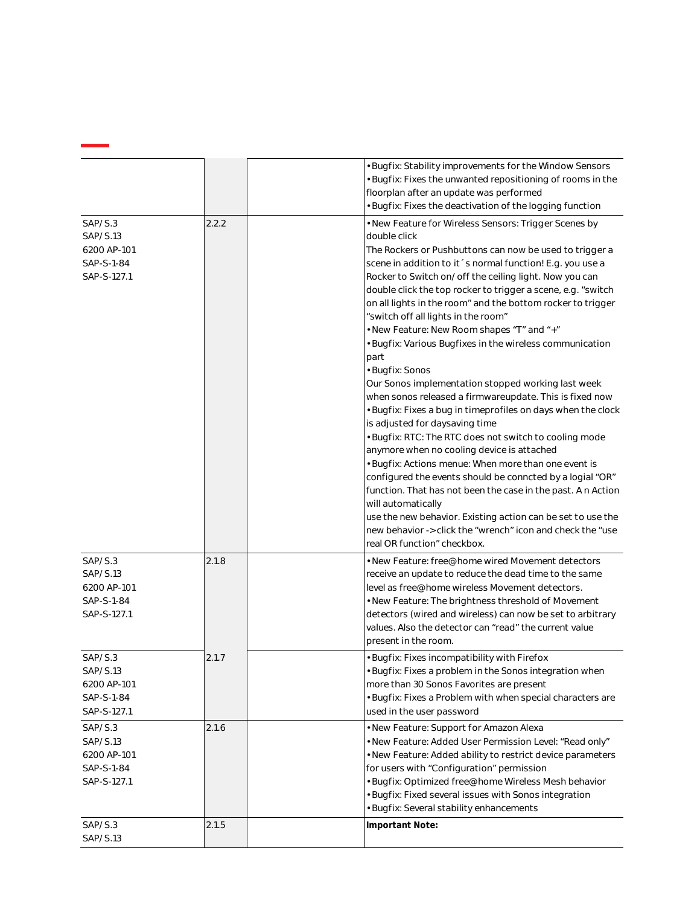|                                                                 |       | · Bugfix: Stability improvements for the Window Sensors<br>· Bugfix: Fixes the unwanted repositioning of rooms in the<br>floorplan after an update was performed<br>· Bugfix: Fixes the deactivation of the logging function                                                                                                                                                                                                                                                                                                                                                                                                                                                                                                                                                                                                                                                                                                                                                                                                                                                                                                                                                                                                                                         |
|-----------------------------------------------------------------|-------|----------------------------------------------------------------------------------------------------------------------------------------------------------------------------------------------------------------------------------------------------------------------------------------------------------------------------------------------------------------------------------------------------------------------------------------------------------------------------------------------------------------------------------------------------------------------------------------------------------------------------------------------------------------------------------------------------------------------------------------------------------------------------------------------------------------------------------------------------------------------------------------------------------------------------------------------------------------------------------------------------------------------------------------------------------------------------------------------------------------------------------------------------------------------------------------------------------------------------------------------------------------------|
| SAP/S.3<br>SAP/S.13<br>6200 AP-101<br>SAP-S-1-84<br>SAP-S-127.1 | 2.2.2 | • New Feature for Wireless Sensors: Trigger Scenes by<br>double click<br>The Rockers or Pushbuttons can now be used to trigger a<br>scene in addition to it 's normal function! E.g. you use a<br>Rocker to Switch on/off the ceiling light. Now you can<br>double click the top rocker to trigger a scene, e.g. "switch<br>on all lights in the room" and the bottom rocker to trigger<br>"switch off all lights in the room"<br>• New Feature: New Room shapes "T" and "+"<br>· Bugfix: Various Bugfixes in the wireless communication<br>part<br>· Bugfix: Sonos<br>Our Sonos implementation stopped working last week<br>when sonos released a firmwareupdate. This is fixed now<br>· Bugfix: Fixes a bug in timeprofiles on days when the clock<br>is adjusted for daysaving time<br>· Bugfix: RTC: The RTC does not switch to cooling mode<br>anymore when no cooling device is attached<br>· Bugfix: Actions menue: When more than one event is<br>configured the events should be conncted by a logial "OR"<br>function. That has not been the case in the past. An Action<br>will automatically<br>use the new behavior. Existing action can be set to use the<br>new behavior -> click the "wrench" icon and check the "use<br>real OR function" checkbox. |
| SAP/S.3<br>SAP/S.13<br>6200 AP-101<br>SAP-S-1-84<br>SAP-S-127.1 | 2.1.8 | • New Feature: free@home wired Movement detectors<br>receive an update to reduce the dead time to the same<br>level as free@home wireless Movement detectors.<br>. New Feature: The brightness threshold of Movement<br>detectors (wired and wireless) can now be set to arbitrary<br>values. Also the detector can "read" the current value<br>present in the room.                                                                                                                                                                                                                                                                                                                                                                                                                                                                                                                                                                                                                                                                                                                                                                                                                                                                                                 |
| SAP/S.3<br>SAP/S.13<br>6200 AP-101<br>SAP-S-1-84<br>SAP-S-127.1 | 2.1.7 | · Bugfix: Fixes incompatibility with Firefox<br>• Bugfix: Fixes a problem in the Sonos integration when<br>more than 30 Sonos Favorites are present<br>· Bugfix: Fixes a Problem with when special characters are<br>used in the user password                                                                                                                                                                                                                                                                                                                                                                                                                                                                                                                                                                                                                                                                                                                                                                                                                                                                                                                                                                                                                       |
| SAP/S.3<br>SAP/S.13<br>6200 AP-101<br>SAP-S-1-84<br>SAP-S-127.1 | 2.1.6 | · New Feature: Support for Amazon Alexa<br>. New Feature: Added User Permission Level: "Read only"<br>· New Feature: Added ability to restrict device parameters<br>for users with "Configuration" permission<br>· Bugfix: Optimized free@home Wireless Mesh behavior<br>· Bugfix: Fixed several issues with Sonos integration<br>· Bugfix: Several stability enhancements                                                                                                                                                                                                                                                                                                                                                                                                                                                                                                                                                                                                                                                                                                                                                                                                                                                                                           |
| SAP/S.3<br>SAP/S.13                                             | 2.1.5 | Important Note:                                                                                                                                                                                                                                                                                                                                                                                                                                                                                                                                                                                                                                                                                                                                                                                                                                                                                                                                                                                                                                                                                                                                                                                                                                                      |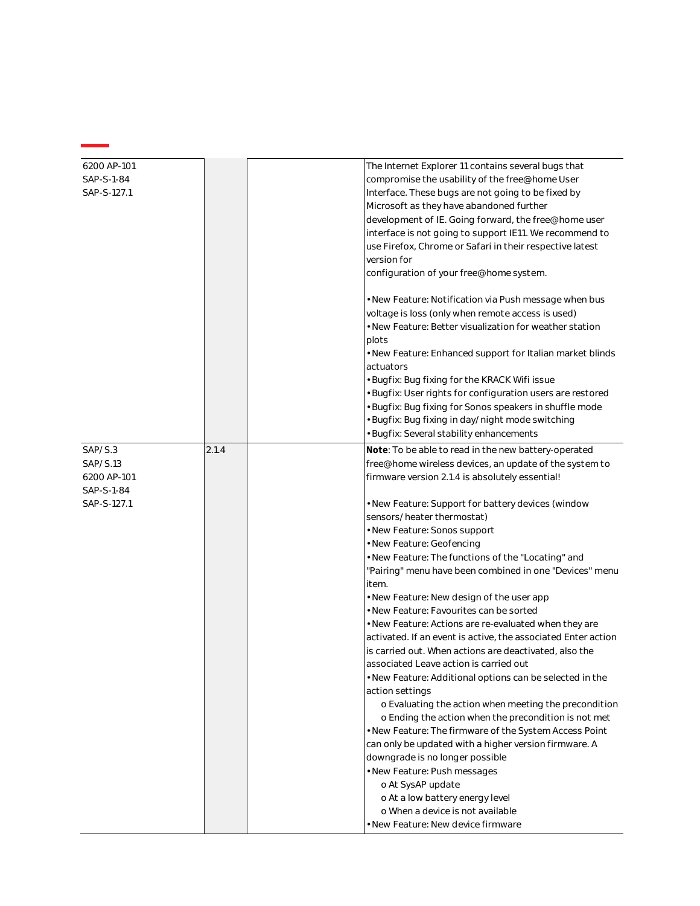| 6200 AP-101 |       | The Internet Explorer 11 contains several bugs that                 |
|-------------|-------|---------------------------------------------------------------------|
| SAP-S-1-84  |       | compromise the usability of the free@home User                      |
| SAP-S-127.1 |       | Interface. These bugs are not going to be fixed by                  |
|             |       | Microsoft as they have abandoned further                            |
|             |       | development of IE. Going forward, the free@home user                |
|             |       | interface is not going to support IE11. We recommend to             |
|             |       | use Firefox, Chrome or Safari in their respective latest            |
|             |       | version for                                                         |
|             |       | configuration of your free@home system.                             |
|             |       |                                                                     |
|             |       | · New Feature: Notification via Push message when bus               |
|             |       | voltage is loss (only when remote access is used)                   |
|             |       | • New Feature: Better visualization for weather station             |
|             |       | plots                                                               |
|             |       | . New Feature: Enhanced support for Italian market blinds           |
|             |       | actuators                                                           |
|             |       | · Bugfix: Bug fixing for the KRACK Wifi issue                       |
|             |       | Bugfix: User rights for configuration users are restored            |
|             |       | Bugfix: Bug fixing for Sonos speakers in shuffle mode               |
|             |       | Bugfix: Bug fixing in day/night mode switching                      |
|             |       | · Bugfix: Several stability enhancements                            |
|             |       |                                                                     |
| SAP/S.3     | 2.1.4 | Note: To be able to read in the new battery-operated                |
| SAP/S.13    |       | free@home wireless devices, an update of the system to              |
| 6200 AP-101 |       | firmware version 2.1.4 is absolutely essential!                     |
| SAP-S-1-84  |       |                                                                     |
| SAP-S-127.1 |       | · New Feature: Support for battery devices (window                  |
|             |       | sensors/heater thermostat)                                          |
|             |       | · New Feature: Sonos support                                        |
|             |       | · New Feature: Geofencing                                           |
|             |       | · New Feature: The functions of the "Locating" and                  |
|             |       | "Pairing" menu have been combined in one "Devices" menu             |
|             |       | item.                                                               |
|             |       | • New Feature: New design of the user app                           |
|             |       | · New Feature: Favourites can be sorted                             |
|             |       | . New Feature: Actions are re-evaluated when they are               |
|             |       | activated. If an event is active, the associated Enter action       |
|             |       | is carried out. When actions are deactivated, also the              |
|             |       | associated Leave action is carried out                              |
|             |       | · New Feature: Additional options can be selected in the            |
|             |       | action settings                                                     |
|             |       | o Evaluating the action when meeting the precondition               |
|             |       | o Ending the action when the precondition is not met                |
|             |       | . New Feature: The firmware of the System Access Point              |
|             |       | can only be updated with a higher version firmware. A               |
|             |       | downgrade is no longer possible                                     |
|             |       | · New Feature: Push messages                                        |
|             |       | o At SysAP update                                                   |
|             |       |                                                                     |
|             |       | o At a low battery energy level<br>o When a device is not available |
|             |       |                                                                     |
|             |       | · New Feature: New device firmware                                  |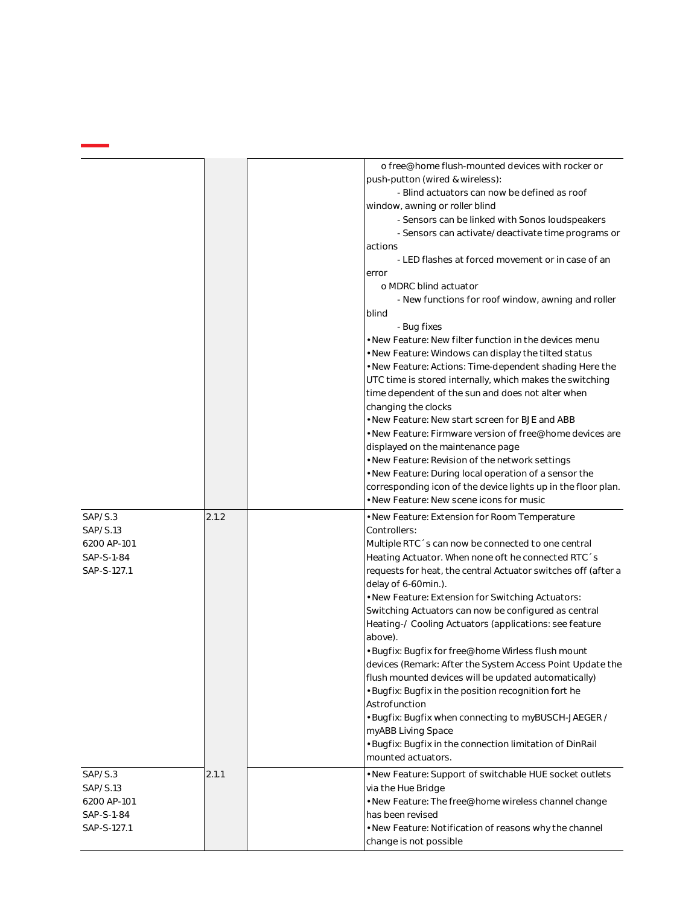|             |       | o free@home flush-mounted devices with rocker or                                                          |
|-------------|-------|-----------------------------------------------------------------------------------------------------------|
|             |       | push-putton (wired & wireless):                                                                           |
|             |       | - Blind actuators can now be defined as roof                                                              |
|             |       | window, awning or roller blind                                                                            |
|             |       | - Sensors can be linked with Sonos loudspeakers                                                           |
|             |       | - Sensors can activate/deactivate time programs or                                                        |
|             |       | actions                                                                                                   |
|             |       | - LED flashes at forced movement or in case of an                                                         |
|             |       | error                                                                                                     |
|             |       | o MDRC blind actuator                                                                                     |
|             |       | - New functions for roof window, awning and roller                                                        |
|             |       | blind                                                                                                     |
|             |       | - Bug fixes                                                                                               |
|             |       | · New Feature: New filter function in the devices menu                                                    |
|             |       | · New Feature: Windows can display the tilted status                                                      |
|             |       | · New Feature: Actions: Time-dependent shading Here the                                                   |
|             |       | UTC time is stored internally, which makes the switching                                                  |
|             |       | time dependent of the sun and does not alter when                                                         |
|             |       | changing the clocks                                                                                       |
|             |       | . New Feature: New start screen for BJE and ABB                                                           |
|             |       | • New Feature: Firmware version of free@home devices are                                                  |
|             |       | displayed on the maintenance page                                                                         |
|             |       | • New Feature: Revision of the network settings                                                           |
|             |       | · New Feature: During local operation of a sensor the                                                     |
|             |       |                                                                                                           |
|             |       | corresponding icon of the device lights up in the floor plan.<br>• New Feature: New scene icons for music |
|             |       |                                                                                                           |
| SAP/S.3     | 2.1.2 | • New Feature: Extension for Room Temperature                                                             |
| SAP/S.13    |       | Controllers:                                                                                              |
| 6200 AP-101 |       | Multiple RTC 's can now be connected to one central                                                       |
| SAP-S-1-84  |       | Heating Actuator. When none oft he connected RTC 's                                                       |
| SAP-S-127.1 |       |                                                                                                           |
|             |       | requests for heat, the central Actuator switches off (after a                                             |
|             |       | delay of 6-60min.).                                                                                       |
|             |       | . New Feature: Extension for Switching Actuators:                                                         |
|             |       | Switching Actuators can now be configured as central                                                      |
|             |       | Heating-/ Cooling Actuators (applications: see feature                                                    |
|             |       | above).                                                                                                   |
|             |       | · Bugfix: Bugfix for free@home Wirless flush mount                                                        |
|             |       | devices (Remark: After the System Access Point Update the                                                 |
|             |       | flush mounted devices will be updated automatically)                                                      |
|             |       | Bugfix: Bugfix in the position recognition fort he                                                        |
|             |       | Astrofunction                                                                                             |
|             |       | Bugfix: Bugfix when connecting to myBUSCH-JAEGER /                                                        |
|             |       | myABB Living Space                                                                                        |
|             |       | Bugfix: Bugfix in the connection limitation of DinRail                                                    |
|             |       | mounted actuators.                                                                                        |
| SAP/S.3     | 2.1.1 | • New Feature: Support of switchable HUE socket outlets                                                   |
| SAP/S.13    |       | via the Hue Bridge                                                                                        |
| 6200 AP-101 |       | · New Feature: The free@home wireless channel change                                                      |
| SAP-S-1-84  |       | has been revised                                                                                          |
| SAP-S-127.1 |       | . New Feature: Notification of reasons why the channel                                                    |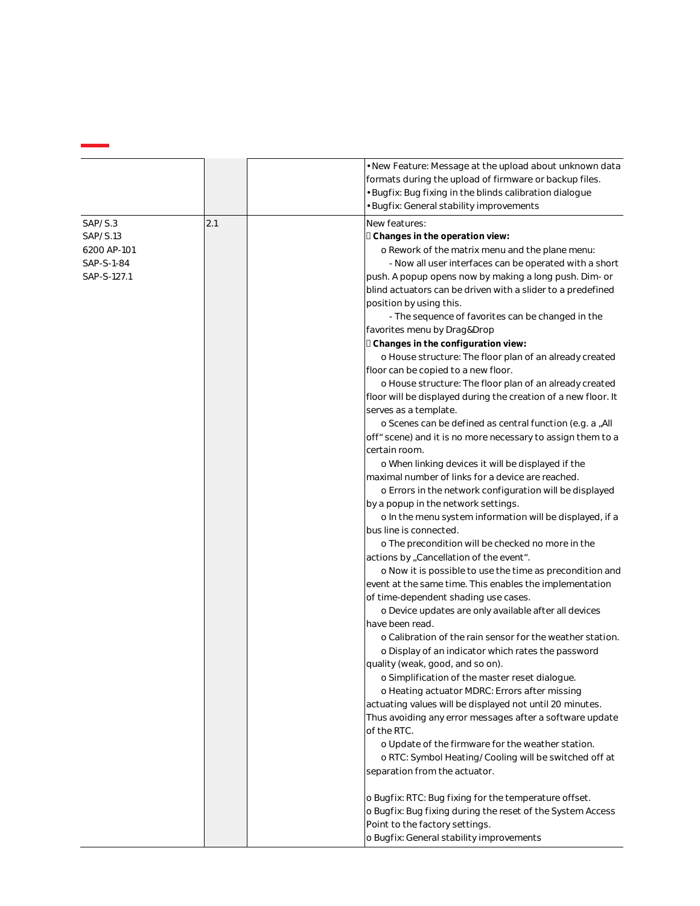|                                                                 |     | • New Feature: Message at the upload about unknown data<br>formats during the upload of firmware or backup files.<br>· Bugfix: Bug fixing in the blinds calibration dialogue<br>Bugfix: General stability improvements                                                                                                                                                                                                                                                                                                                                                                                                                                                                                                                                                                                                                                                                                                                                                                                                                                                 |
|-----------------------------------------------------------------|-----|------------------------------------------------------------------------------------------------------------------------------------------------------------------------------------------------------------------------------------------------------------------------------------------------------------------------------------------------------------------------------------------------------------------------------------------------------------------------------------------------------------------------------------------------------------------------------------------------------------------------------------------------------------------------------------------------------------------------------------------------------------------------------------------------------------------------------------------------------------------------------------------------------------------------------------------------------------------------------------------------------------------------------------------------------------------------|
| SAP/S.3<br>SAP/S.13<br>6200 AP-101<br>SAP-S-1-84<br>SAP-S-127.1 | 2.1 | New features:<br><b>I</b> Changes in the operation view:<br>o Rework of the matrix menu and the plane menu:<br>- Now all user interfaces can be operated with a short<br>push. A popup opens now by making a long push. Dim- or<br>blind actuators can be driven with a slider to a predefined<br>position by using this.<br>- The sequence of favorites can be changed in the<br>favorites menu by Drag&Drop<br>D Changes in the configuration view:<br>o House structure: The floor plan of an already created<br>floor can be copied to a new floor.<br>o House structure: The floor plan of an already created<br>floor will be displayed during the creation of a new floor. It<br>serves as a template.<br>o Scenes can be defined as central function (e.g. a "All<br>off" scene) and it is no more necessary to assign them to a<br>certain room.<br>o When linking devices it will be displayed if the<br>maximal number of links for a device are reached.<br>o Errors in the network configuration will be displayed<br>by a popup in the network settings. |
|                                                                 |     | o In the menu system information will be displayed, if a<br>bus line is connected.<br>o The precondition will be checked no more in the<br>actions by "Cancellation of the event".<br>o Now it is possible to use the time as precondition and<br>event at the same time. This enables the implementation<br>of time-dependent shading use cases.<br>o Device updates are only available after all devices<br>have been read.<br>o Calibration of the rain sensor for the weather station.<br>o Display of an indicator which rates the password<br>quality (weak, good, and so on).<br>o Simplification of the master reset dialogue.<br>o Heating actuator MDRC: Errors after missing<br>actuating values will be displayed not until 20 minutes.<br>Thus avoiding any error messages after a software update<br>of the RTC.<br>o Update of the firmware for the weather station.<br>o RTC: Symbol Heating/Cooling will be switched off at<br>separation from the actuator.                                                                                          |
|                                                                 |     | o Bugfix: RTC: Bug fixing for the temperature offset.<br>o Bugfix: Bug fixing during the reset of the System Access<br>Point to the factory settings.<br>o Bugfix: General stability improvements                                                                                                                                                                                                                                                                                                                                                                                                                                                                                                                                                                                                                                                                                                                                                                                                                                                                      |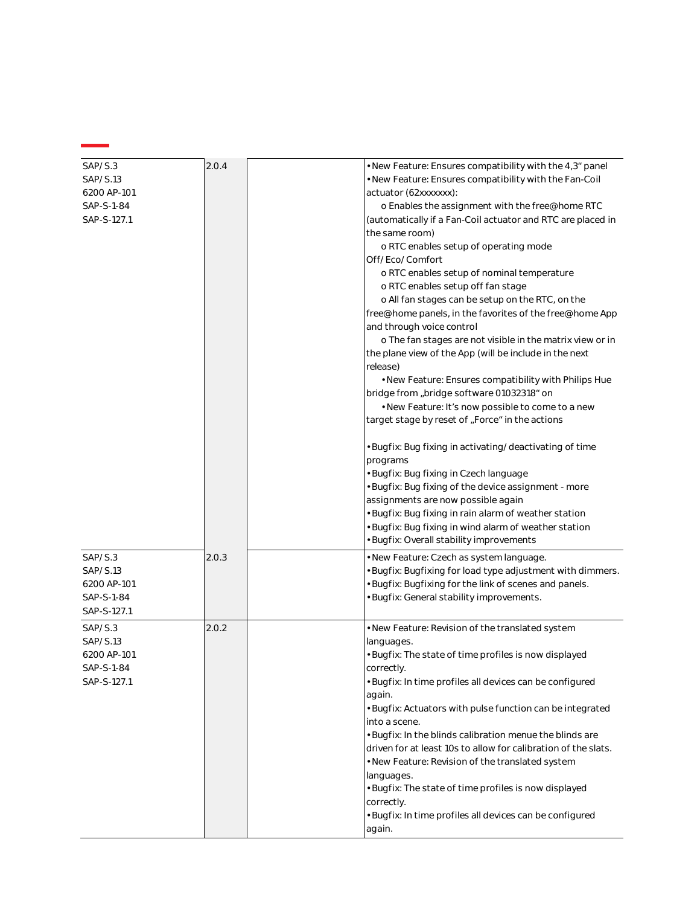| SAP/S.3<br>SAP/S.13<br>6200 AP-101<br>SAP-S-1-84<br>SAP-S-127.1 | 2.0.4 | . New Feature: Ensures compatibility with the 4,3 <sup>*</sup> panel<br>. New Feature: Ensures compatibility with the Fan-Coil<br>actuator (62xxxxxxx):<br>o Enables the assignment with the free@home RTC<br>(automatically if a Fan-Coil actuator and RTC are placed in<br>the same room)<br>o RTC enables setup of operating mode<br>Off/Eco/Comfort<br>o RTC enables setup of nominal temperature<br>o RTC enables setup off fan stage<br>o All fan stages can be setup on the RTC, on the |
|-----------------------------------------------------------------|-------|------------------------------------------------------------------------------------------------------------------------------------------------------------------------------------------------------------------------------------------------------------------------------------------------------------------------------------------------------------------------------------------------------------------------------------------------------------------------------------------------|
|                                                                 |       | free@home panels, in the favorites of the free@home App<br>and through voice control<br>o The fan stages are not visible in the matrix view or in                                                                                                                                                                                                                                                                                                                                              |
|                                                                 |       | the plane view of the App (will be include in the next<br>release)<br>. New Feature: Ensures compatibility with Philips Hue                                                                                                                                                                                                                                                                                                                                                                    |
|                                                                 |       | bridge from "bridge software 01032318" on<br>• New Feature: It's now possible to come to a new                                                                                                                                                                                                                                                                                                                                                                                                 |
|                                                                 |       | target stage by reset of "Force" in the actions                                                                                                                                                                                                                                                                                                                                                                                                                                                |
|                                                                 |       | • Bugfix: Bug fixing in activating/deactivating of time<br>programs                                                                                                                                                                                                                                                                                                                                                                                                                            |
|                                                                 |       | · Bugfix: Bug fixing in Czech language<br>· Bugfix: Bug fixing of the device assignment - more<br>assignments are now possible again                                                                                                                                                                                                                                                                                                                                                           |
|                                                                 |       | · Bugfix: Bug fixing in rain alarm of weather station<br>· Bugfix: Bug fixing in wind alarm of weather station<br>· Bugfix: Overall stability improvements                                                                                                                                                                                                                                                                                                                                     |
| SAP/S.3<br>SAP/S.13<br>6200 AP-101<br>SAP-S-1-84<br>SAP-S-127.1 | 2.0.3 | · New Feature: Czech as system language.<br>· Bugfix: Bugfixing for load type adjustment with dimmers.<br>· Bugfix: Bugfixing for the link of scenes and panels.<br>· Bugfix: General stability improvements.                                                                                                                                                                                                                                                                                  |
| SAP/S.3<br>SAP/S.13<br>6200 AP-101<br>SAP-S-1-84<br>SAP-S-127.1 | 2.0.2 | • New Feature: Revision of the translated system<br>languages.<br>· Bugfix: The state of time profiles is now displayed<br>correctly.<br>· Bugfix: In time profiles all devices can be configured                                                                                                                                                                                                                                                                                              |
|                                                                 |       | again.<br>· Bugfix: Actuators with pulse function can be integrated<br>into a scene.                                                                                                                                                                                                                                                                                                                                                                                                           |
|                                                                 |       | . Bugfix: In the blinds calibration menue the blinds are<br>driven for at least 10s to allow for calibration of the slats.                                                                                                                                                                                                                                                                                                                                                                     |
|                                                                 |       | . New Feature: Revision of the translated system<br>languages.<br>• Bugfix: The state of time profiles is now displayed                                                                                                                                                                                                                                                                                                                                                                        |
|                                                                 |       | correctly.<br>· Bugfix: In time profiles all devices can be configured<br>again.                                                                                                                                                                                                                                                                                                                                                                                                               |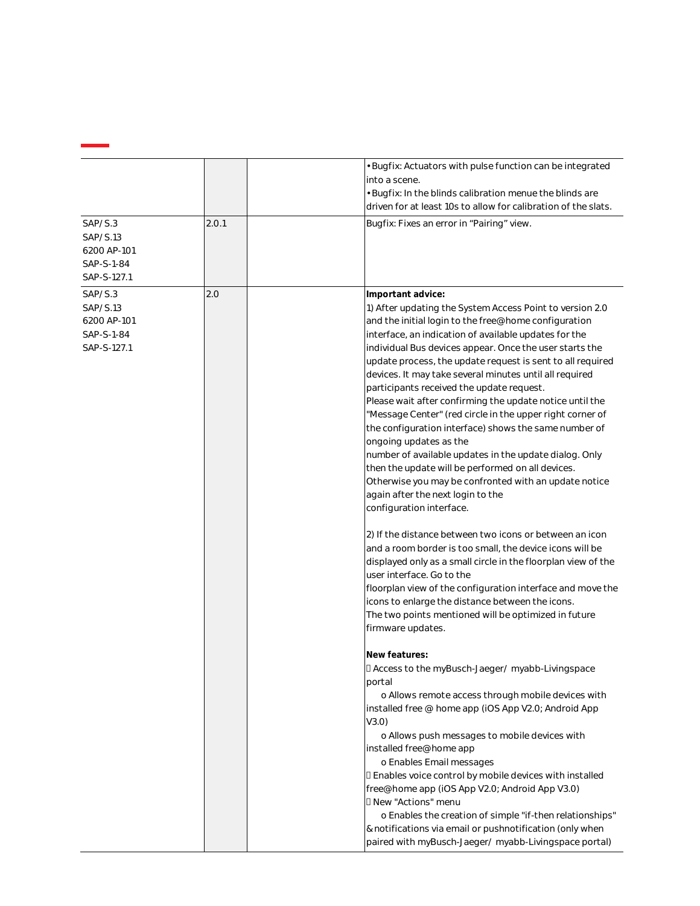|                                                                 |       | Bugfix: Actuators with pulse function can be integrated<br>into a scene.<br>Bugfix: In the blinds calibration menue the blinds are<br>driven for at least 10s to allow for calibration of the slats.                                                                                                                                                                                                                                                                                                                                                                                                                                                                                                                                                                                                                                                                                                                                                                                                                                                                                                                                                                                                                                                                                                                                                                                                                                                                                                                                                                                                                                                                                                                                                                                                                                                                                                                                           |
|-----------------------------------------------------------------|-------|------------------------------------------------------------------------------------------------------------------------------------------------------------------------------------------------------------------------------------------------------------------------------------------------------------------------------------------------------------------------------------------------------------------------------------------------------------------------------------------------------------------------------------------------------------------------------------------------------------------------------------------------------------------------------------------------------------------------------------------------------------------------------------------------------------------------------------------------------------------------------------------------------------------------------------------------------------------------------------------------------------------------------------------------------------------------------------------------------------------------------------------------------------------------------------------------------------------------------------------------------------------------------------------------------------------------------------------------------------------------------------------------------------------------------------------------------------------------------------------------------------------------------------------------------------------------------------------------------------------------------------------------------------------------------------------------------------------------------------------------------------------------------------------------------------------------------------------------------------------------------------------------------------------------------------------------|
| SAP/S.3<br>SAP/S.13<br>6200 AP-101<br>SAP-S-1-84<br>SAP-S-127.1 | 2.0.1 | Bugfix: Fixes an error in "Pairing" view.                                                                                                                                                                                                                                                                                                                                                                                                                                                                                                                                                                                                                                                                                                                                                                                                                                                                                                                                                                                                                                                                                                                                                                                                                                                                                                                                                                                                                                                                                                                                                                                                                                                                                                                                                                                                                                                                                                      |
| SAP/S.3<br>SAP/S.13<br>6200 AP-101<br>SAP-S-1-84<br>SAP-S-127.1 | 2.0   | Important advice:<br>1) After updating the System Access Point to version 2.0<br>and the initial login to the free@home configuration<br>interface, an indication of available updates for the<br>individual Bus devices appear. Once the user starts the<br>update process, the update request is sent to all required<br>devices. It may take several minutes until all required<br>participants received the update request.<br>Please wait after confirming the update notice until the<br>"Message Center" (red circle in the upper right corner of<br>the configuration interface) shows the same number of<br>ongoing updates as the<br>number of available updates in the update dialog. Only<br>then the update will be performed on all devices.<br>Otherwise you may be confronted with an update notice<br>again after the next login to the<br>configuration interface.<br>2) If the distance between two icons or between an icon<br>and a room border is too small, the device icons will be<br>displayed only as a small circle in the floorplan view of the<br>user interface. Go to the<br>floorplan view of the configuration interface and move the<br>icons to enlarge the distance between the icons.<br>The two points mentioned will be optimized in future<br>firmware updates.<br>New features:<br>D Access to the myBusch-Jaeger/ myabb-Livingspace<br>portal<br>o Allows remote access through mobile devices with<br>installed free @ home app (iOS App V2.0; Android App<br>V3.0)<br>o Allows push messages to mobile devices with<br>installed free@home app<br>o Enables Email messages<br>I Enables voice control by mobile devices with installed<br>free@home app (iOS App V2.0; Android App V3.0)<br>D New "Actions" menu<br>o Enables the creation of simple "if-then relationships"<br>& notifications via email or pushnotification (only when<br>paired with myBusch-Jaeger/ myabb-Livingspace portal) |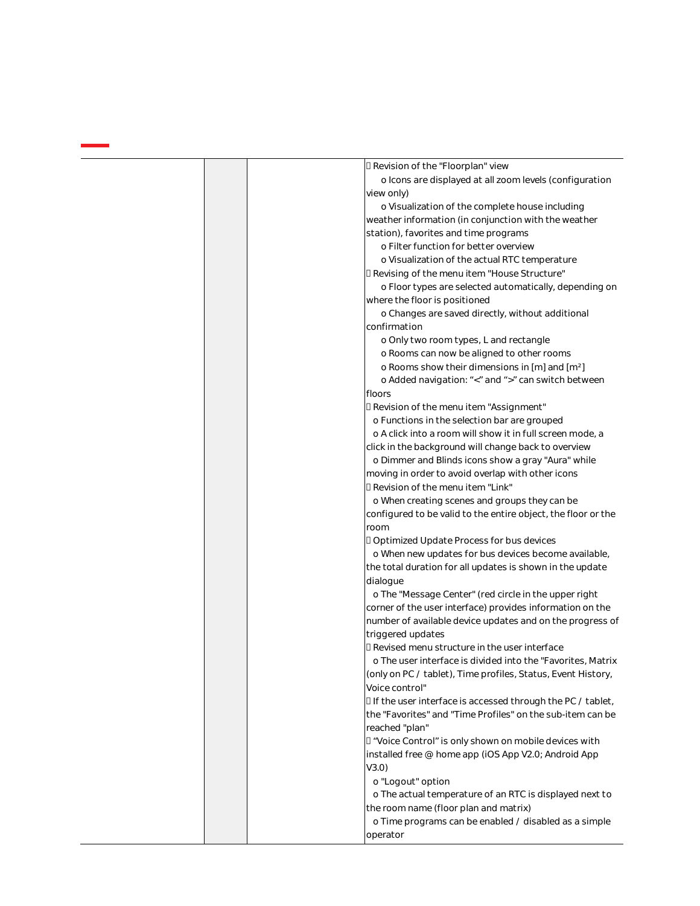|  | D Revision of the "Floorplan" view                                                                                         |
|--|----------------------------------------------------------------------------------------------------------------------------|
|  | o Icons are displayed at all zoom levels (configuration                                                                    |
|  | view only)                                                                                                                 |
|  | o Visualization of the complete house including                                                                            |
|  | weather information (in conjunction with the weather                                                                       |
|  | station), favorites and time programs                                                                                      |
|  | o Filter function for better overview                                                                                      |
|  | o Visualization of the actual RTC temperature                                                                              |
|  | I Revising of the menu item "House Structure"                                                                              |
|  | o Floor types are selected automatically, depending on                                                                     |
|  | where the floor is positioned                                                                                              |
|  | o Changes are saved directly, without additional                                                                           |
|  | confirmation                                                                                                               |
|  | o Only two room types, L and rectangle                                                                                     |
|  | o Rooms can now be aligned to other rooms                                                                                  |
|  | o Rooms show their dimensions in [m] and [m <sup>2</sup> ]                                                                 |
|  | o Added navigation: "<" and ">" can switch between                                                                         |
|  | floors                                                                                                                     |
|  | I Revision of the menu item "Assignment"                                                                                   |
|  | o Functions in the selection bar are grouped                                                                               |
|  | o A click into a room will show it in full screen mode, a                                                                  |
|  | click in the background will change back to overview                                                                       |
|  | o Dimmer and Blinds icons show a gray "Aura" while                                                                         |
|  | moving in order to avoid overlap with other icons                                                                          |
|  | □ Revision of the menu item "Link"                                                                                         |
|  | o When creating scenes and groups they can be                                                                              |
|  | configured to be valid to the entire object, the floor or the                                                              |
|  | room                                                                                                                       |
|  |                                                                                                                            |
|  | D Optimized Update Process for bus devices<br>o When new updates for bus devices become available,                         |
|  |                                                                                                                            |
|  | the total duration for all updates is shown in the update                                                                  |
|  | dialogue                                                                                                                   |
|  | o The "Message Center" (red circle in the upper right                                                                      |
|  | corner of the user interface) provides information on the                                                                  |
|  | number of available device updates and on the progress of<br>triggered updates                                             |
|  | D Revised menu structure in the user interface                                                                             |
|  | o The user interface is divided into the "Favorites, Matrix                                                                |
|  |                                                                                                                            |
|  | (only on PC / tablet), Time profiles, Status, Event History,                                                               |
|  | Voice control"                                                                                                             |
|  | I If the user interface is accessed through the PC / tablet,<br>the "Favorites" and "Time Profiles" on the sub-item can be |
|  |                                                                                                                            |
|  | reached "plan"                                                                                                             |
|  | I "Voice Control" is only shown on mobile devices with                                                                     |
|  | installed free @ home app (iOS App V2.0; Android App                                                                       |
|  | V3.0)                                                                                                                      |
|  | o "Logout" option                                                                                                          |
|  | o The actual temperature of an RTC is displayed next to                                                                    |
|  | the room name (floor plan and matrix)                                                                                      |
|  | o Time programs can be enabled / disabled as a simple                                                                      |
|  | operator                                                                                                                   |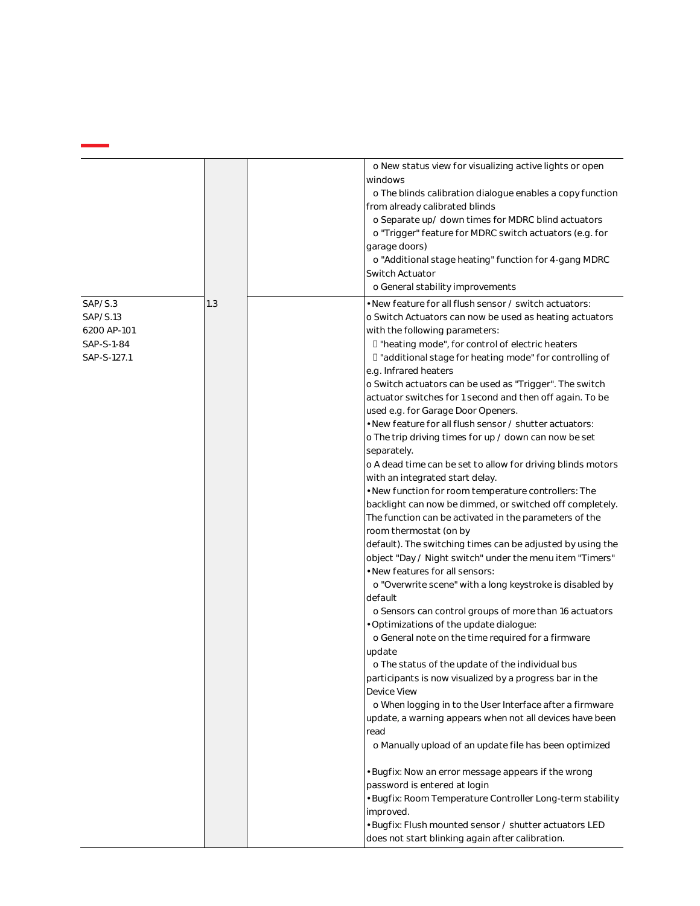|                                                                 |     | o New status view for visualizing active lights or open<br>windows<br>o The blinds calibration dialogue enables a copy function<br>from already calibrated blinds<br>o Separate up/ down times for MDRC blind actuators<br>o "Trigger" feature for MDRC switch actuators (e.g. for<br>garage doors)<br>o "Additional stage heating" function for 4-gang MDRC<br>Switch Actuator<br>o General stability improvements                                                                                                                                                                                                                                                                                                                                                                                                                                                                                                                                                                                                                                                                                                                                                                                                                                                                                                                                                                                                                                                                                                                                                                                                                                                                                                                                                                                                                                                                                                     |
|-----------------------------------------------------------------|-----|-------------------------------------------------------------------------------------------------------------------------------------------------------------------------------------------------------------------------------------------------------------------------------------------------------------------------------------------------------------------------------------------------------------------------------------------------------------------------------------------------------------------------------------------------------------------------------------------------------------------------------------------------------------------------------------------------------------------------------------------------------------------------------------------------------------------------------------------------------------------------------------------------------------------------------------------------------------------------------------------------------------------------------------------------------------------------------------------------------------------------------------------------------------------------------------------------------------------------------------------------------------------------------------------------------------------------------------------------------------------------------------------------------------------------------------------------------------------------------------------------------------------------------------------------------------------------------------------------------------------------------------------------------------------------------------------------------------------------------------------------------------------------------------------------------------------------------------------------------------------------------------------------------------------------|
| SAP/S.3<br>SAP/S.13<br>6200 AP-101<br>SAP-S-1-84<br>SAP-S-127.1 | 1.3 | • New feature for all flush sensor / switch actuators:<br>o Switch Actuators can now be used as heating actuators<br>with the following parameters:<br>I "heating mode", for control of electric heaters<br>□ "additional stage for heating mode" for controlling of<br>e.g. Infrared heaters<br>o Switch actuators can be used as "Trigger". The switch<br>actuator switches for 1 second and then off again. To be<br>used e.g. for Garage Door Openers.<br>• New feature for all flush sensor / shutter actuators:<br>o The trip driving times for up / down can now be set<br>separately.<br>o A dead time can be set to allow for driving blinds motors<br>with an integrated start delay.<br>· New function for room temperature controllers: The<br>backlight can now be dimmed, or switched off completely.<br>The function can be activated in the parameters of the<br>room thermostat (on by<br>default). The switching times can be adjusted by using the<br>object "Day / Night switch" under the menu item "Timers"<br>. New features for all sensors:<br>o "Overwrite scene" with a long keystroke is disabled by<br>default<br>o Sensors can control groups of more than 16 actuators<br>· Optimizations of the update dialogue:<br>o General note on the time required for a firmware<br>update<br>o The status of the update of the individual bus<br>participants is now visualized by a progress bar in the<br>Device View<br>o When logging in to the User Interface after a firmware<br>update, a warning appears when not all devices have been<br>read<br>o Manually upload of an update file has been optimized<br>· Bugfix: Now an error message appears if the wrong<br>password is entered at login<br>· Bugfix: Room Temperature Controller Long-term stability<br>improved.<br>· Bugfix: Flush mounted sensor / shutter actuators LED<br>does not start blinking again after calibration. |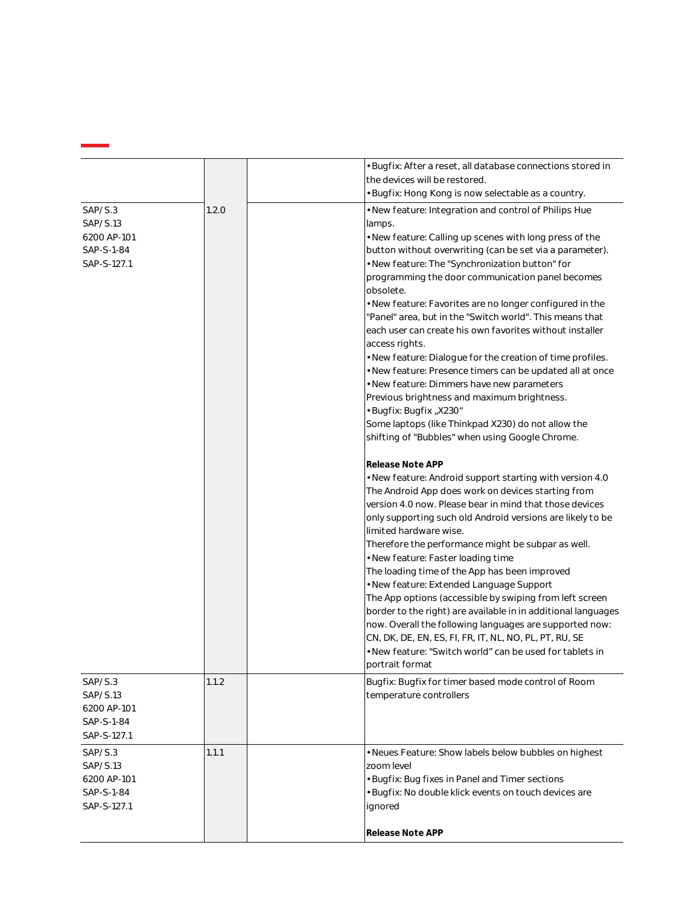|                                                                 |       | • Bugfix: After a reset, all database connections stored in<br>the devices will be restored.<br>· Bugfix: Hong Kong is now selectable as a country.                                                                                                                                                                                                                                                                                                                                                                                                                                                                                                                                                                                                                                                                                                                                                                                                                                                                                                                                                                                                                                                                                                                                                                                                                                                                                                                                                                                                                                                                                                                                            |
|-----------------------------------------------------------------|-------|------------------------------------------------------------------------------------------------------------------------------------------------------------------------------------------------------------------------------------------------------------------------------------------------------------------------------------------------------------------------------------------------------------------------------------------------------------------------------------------------------------------------------------------------------------------------------------------------------------------------------------------------------------------------------------------------------------------------------------------------------------------------------------------------------------------------------------------------------------------------------------------------------------------------------------------------------------------------------------------------------------------------------------------------------------------------------------------------------------------------------------------------------------------------------------------------------------------------------------------------------------------------------------------------------------------------------------------------------------------------------------------------------------------------------------------------------------------------------------------------------------------------------------------------------------------------------------------------------------------------------------------------------------------------------------------------|
| SAP/S.3<br>SAP/S.13<br>6200 AP-101<br>SAP-S-1-84<br>SAP-S-127.1 | 1.2.0 | . New feature: Integration and control of Philips Hue<br>lamps.<br>. New feature: Calling up scenes with long press of the<br>button without overwriting (can be set via a parameter).<br>. New feature: The "Synchronization button" for<br>programming the door communication panel becomes<br>obsolete.<br>• New feature: Favorites are no longer configured in the<br>'Panel" area, but in the "Switch world". This means that<br>each user can create his own favorites without installer<br>access rights.<br>. New feature: Dialogue for the creation of time profiles.<br>· New feature: Presence timers can be updated all at once<br>· New feature: Dimmers have new parameters<br>Previous brightness and maximum brightness.<br>• Bugfix: Bugfix "X230"<br>Some laptops (like Thinkpad X230) do not allow the<br>shifting of "Bubbles" when using Google Chrome.<br>Release Note APP<br>. New feature: Android support starting with version 4.0<br>The Android App does work on devices starting from<br>version 4.0 now. Please bear in mind that those devices<br>only supporting such old Android versions are likely to be<br>limited hardware wise.<br>Therefore the performance might be subpar as well.<br>· New feature: Faster loading time<br>The loading time of the App has been improved<br>· New feature: Extended Language Support<br>The App options (accessible by swiping from left screen<br>border to the right) are available in in additional languages<br>now. Overall the following languages are supported now:<br>CN, DK, DE, EN, ES, FI, FR, IT, NL, NO, PL, PT, RU, SE<br>. New feature: "Switch world" can be used for tablets in<br>portrait format |
| SAP/S.3<br>SAP/S.13<br>6200 AP-101<br>SAP-S-1-84<br>SAP-S-127.1 | 1.1.2 | Bugfix: Bugfix for timer based mode control of Room<br>temperature controllers                                                                                                                                                                                                                                                                                                                                                                                                                                                                                                                                                                                                                                                                                                                                                                                                                                                                                                                                                                                                                                                                                                                                                                                                                                                                                                                                                                                                                                                                                                                                                                                                                 |
| SAP/S.3<br>SAP/S.13<br>6200 AP-101<br>SAP-S-1-84<br>SAP-S-127.1 | 1.1.1 | • Neues Feature: Show labels below bubbles on highest<br>zoom level<br>· Bugfix: Bug fixes in Panel and Timer sections<br>· Bugfix: No double klick events on touch devices are<br>ignored<br>Release Note APP                                                                                                                                                                                                                                                                                                                                                                                                                                                                                                                                                                                                                                                                                                                                                                                                                                                                                                                                                                                                                                                                                                                                                                                                                                                                                                                                                                                                                                                                                 |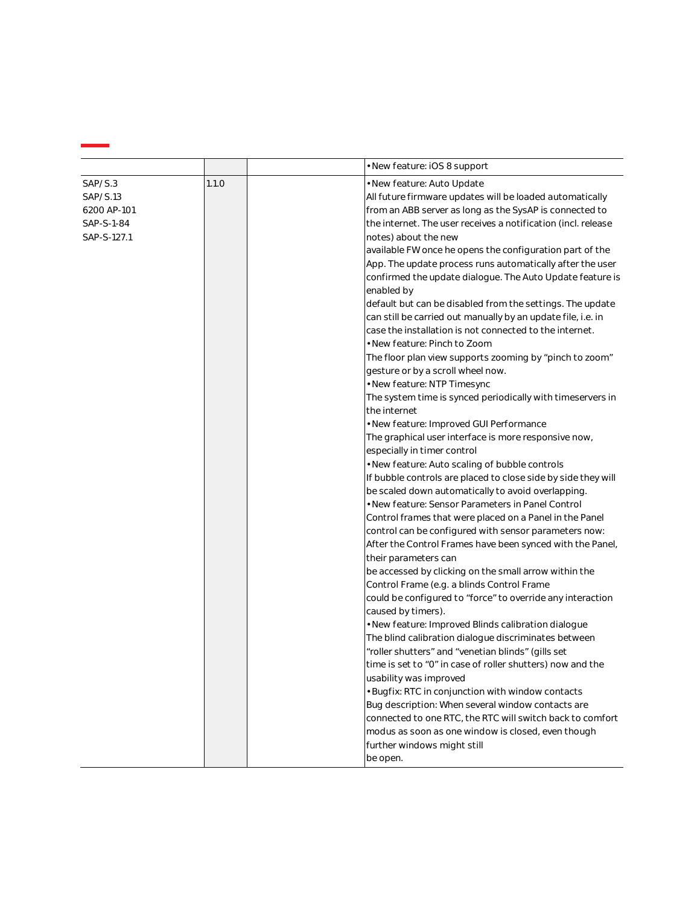| 1.1.0<br>SAP/S.3<br>· New feature: Auto Update<br>SAP/S.13<br>All future firmware updates will be loaded automatically<br>from an ABB server as long as the SysAP is connected to<br>6200 AP-101<br>the internet. The user receives a notification (incl. release<br>SAP-S-1-84<br>SAP-S-127.1<br>notes) about the new<br>available FW once he opens the configuration part of the<br>App. The update process runs automatically after the user<br>confirmed the update dialogue. The Auto Update feature is<br>enabled by<br>default but can be disabled from the settings. The update<br>can still be carried out manually by an update file, i.e. in<br>case the installation is not connected to the internet.<br>• New feature: Pinch to Zoom<br>The floor plan view supports zooming by "pinch to zoom"<br>gesture or by a scroll wheel now.<br>· New feature: NTP Timesync<br>The system time is synced periodically with timeservers in<br>the internet<br>• New feature: Improved GUI Performance<br>The graphical user interface is more responsive now,<br>especially in timer control<br>. New feature: Auto scaling of bubble controls<br>If bubble controls are placed to close side by side they will<br>be scaled down automatically to avoid overlapping.<br>· New feature: Sensor Parameters in Panel Control<br>Control frames that were placed on a Panel in the Panel<br>control can be configured with sensor parameters now:<br>After the Control Frames have been synced with the Panel,<br>their parameters can<br>be accessed by clicking on the small arrow within the<br>Control Frame (e.g. a blinds Control Frame<br>could be configured to "force" to override any interaction<br>caused by timers).<br>. New feature: Improved Blinds calibration dialogue<br>The blind calibration dialogue discriminates between<br>"roller shutters" and "venetian blinds" (gills set<br>time is set to "0" in case of roller shutters) now and the<br>usability was improved<br>· Bugfix: RTC in conjunction with window contacts<br>Bug description: When several window contacts are<br>connected to one RTC, the RTC will switch back to comfort | • New feature: iOS 8 support |  |
|-------------------------------------------------------------------------------------------------------------------------------------------------------------------------------------------------------------------------------------------------------------------------------------------------------------------------------------------------------------------------------------------------------------------------------------------------------------------------------------------------------------------------------------------------------------------------------------------------------------------------------------------------------------------------------------------------------------------------------------------------------------------------------------------------------------------------------------------------------------------------------------------------------------------------------------------------------------------------------------------------------------------------------------------------------------------------------------------------------------------------------------------------------------------------------------------------------------------------------------------------------------------------------------------------------------------------------------------------------------------------------------------------------------------------------------------------------------------------------------------------------------------------------------------------------------------------------------------------------------------------------------------------------------------------------------------------------------------------------------------------------------------------------------------------------------------------------------------------------------------------------------------------------------------------------------------------------------------------------------------------------------------------------------------------------------------------------------------------------------------------------------------------------------------------|------------------------------|--|
|                                                                                                                                                                                                                                                                                                                                                                                                                                                                                                                                                                                                                                                                                                                                                                                                                                                                                                                                                                                                                                                                                                                                                                                                                                                                                                                                                                                                                                                                                                                                                                                                                                                                                                                                                                                                                                                                                                                                                                                                                                                                                                                                                                         |                              |  |
| modus as soon as one window is closed, even though<br>further windows might still                                                                                                                                                                                                                                                                                                                                                                                                                                                                                                                                                                                                                                                                                                                                                                                                                                                                                                                                                                                                                                                                                                                                                                                                                                                                                                                                                                                                                                                                                                                                                                                                                                                                                                                                                                                                                                                                                                                                                                                                                                                                                       |                              |  |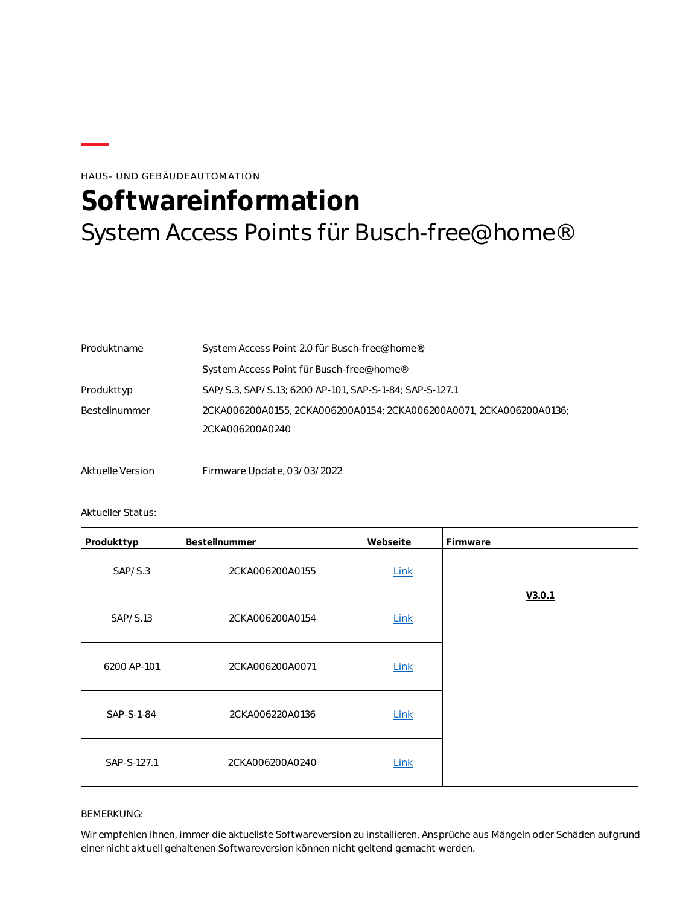### HAUS- UND GEBÄUDEAUTOMATION

# <span id="page-18-0"></span>**Softwareinformation** System Access Points für Busch-free@home®

| Produktname   | System Access Point 2.0 für Busch-free@home®;                       |  |  |
|---------------|---------------------------------------------------------------------|--|--|
|               | System Access Point für Busch-free@home®                            |  |  |
| Produkttyp    | SAP/S.3, SAP/S.13; 6200 AP-101, SAP-S-1-84; SAP-S-127.1             |  |  |
| Bestellnummer | 2CKA006200A0155, 2CKA006200A0154; 2CKA006200A0071, 2CKA006200A0136; |  |  |
|               | 2CKA006200A0240                                                     |  |  |

Aktuelle Version Firmware Update, 03/03/2022

#### Aktueller Status:

| Produkttyp  | Bestellnummer   | Webseite    | Firmware |
|-------------|-----------------|-------------|----------|
| SAP/S.3     | 2CKA006200A0155 | <b>Link</b> |          |
| SAP/S.13    | 2CKA006200A0154 | Link        | V3.0.1   |
| 6200 AP-101 | 2CKA006200A0071 | <b>Link</b> |          |
| SAP-S-1-84  | 2CKA006220A0136 | <b>Link</b> |          |
| SAP-S-127.1 | 2CKA006200A0240 | Link        |          |

#### BEMERKUNG:

Wir empfehlen Ihnen, immer die aktuellste Softwareversion zu installieren. Ansprüche aus Mängeln oder Schäden aufgrund einer nicht aktuell gehaltenen Softwareversion können nicht geltend gemacht werden.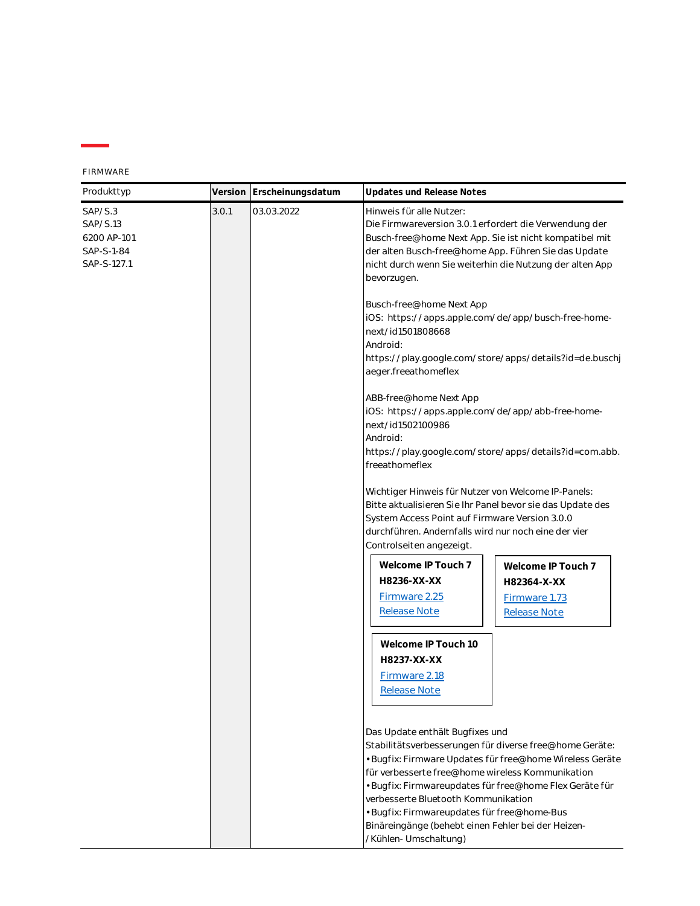| FIRMWARE |  |
|----------|--|
|----------|--|

| Produkttyp                                                                             |  | Version Erscheinungsdatum | Updates und Release Notes                                                                                                                                                                                                                                                                                                                                                                                                                  |
|----------------------------------------------------------------------------------------|--|---------------------------|--------------------------------------------------------------------------------------------------------------------------------------------------------------------------------------------------------------------------------------------------------------------------------------------------------------------------------------------------------------------------------------------------------------------------------------------|
| 3.0.1<br>03.03.2022<br>SAP/S.3<br>SAP/S.13<br>6200 AP-101<br>SAP-S-1-84<br>SAP-S-127.1 |  |                           | Hinweis für alle Nutzer:<br>Die Firmwareversion 3.0.1 erfordert die Verwendung der<br>Busch-free@home Next App. Sie ist nicht kompatibel mit<br>der alten Busch-free@home App. Führen Sie das Update<br>nicht durch wenn Sie weiterhin die Nutzung der alten App<br>bevorzugen.                                                                                                                                                            |
|                                                                                        |  |                           | Busch-free@home Next App<br>iOS: https://apps.apple.com/de/app/busch-free-home-<br>next/id1501808668<br>Android:<br>https://play.google.com/store/apps/details?id=de.buschj<br>aeger.freeathomeflex                                                                                                                                                                                                                                        |
|                                                                                        |  |                           | ABB-free@home Next App<br>iOS: https://apps.apple.com/de/app/abb-free-home-<br>next/id1502100986<br>Android:<br>https://play.google.com/store/apps/details?id=com.abb.<br>freeathomeflex                                                                                                                                                                                                                                                   |
|                                                                                        |  |                           | Wichtiger Hinweis für Nutzer von Welcome IP-Panels:<br>Bitte aktualisieren Sie Ihr Panel bevor sie das Update des<br>System Access Point auf Firmware Version 3.0.0<br>durchführen. Andernfalls wird nur noch eine der vier<br>Controlseiten angezeigt.                                                                                                                                                                                    |
|                                                                                        |  |                           | Welcome IP Touch 7<br>Welcome IP Touch 7<br>H8236-XX-XX<br>H82364-X-XX<br>Firmware 2.25<br>Firmware 1.73<br><b>Release Note</b><br><b>Release Note</b>                                                                                                                                                                                                                                                                                     |
|                                                                                        |  |                           | Welcome IP Touch 10<br>H8237-XX-XX<br>Firmware 2.18<br>Release Note                                                                                                                                                                                                                                                                                                                                                                        |
|                                                                                        |  |                           | Das Update enthält Bugfixes und<br>Stabilitätsverbesserungen für diverse free@home Geräte:<br>· Bugfix: Firmware Updates für free@home Wireless Geräte<br>für verbesserte free@home wireless Kommunikation<br>· Bugfix: Firmwareupdates für free@home Flex Geräte für<br>verbesserte Bluetooth Kommunikation<br>· Bugfix: Firmwareupdates für free@home-Bus<br>Binäreingänge (behebt einen Fehler bei der Heizen-<br>/Kühlen- Umschaltung) |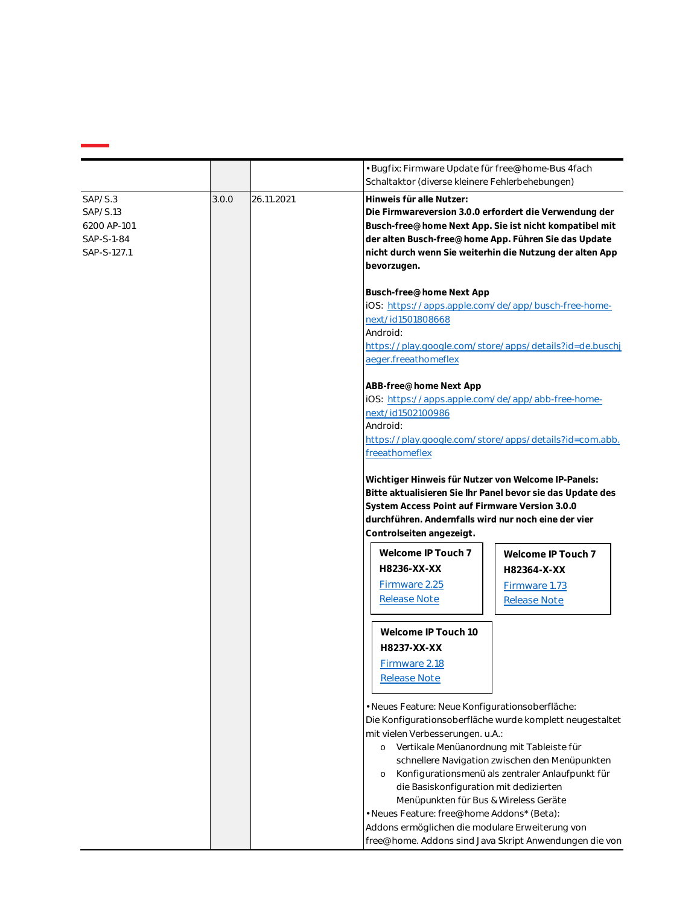|                                                                 |       |            | · Bugfix: Firmware Update für free@home-Bus 4fach<br>Schaltaktor (diverse kleinere Fehlerbehebungen)                                                                                                                                                                                                      |
|-----------------------------------------------------------------|-------|------------|-----------------------------------------------------------------------------------------------------------------------------------------------------------------------------------------------------------------------------------------------------------------------------------------------------------|
| SAP/S.3<br>SAP/S.13<br>6200 AP-101<br>SAP-S-1-84<br>SAP-S-127.1 | 3.0.0 | 26.11.2021 | Hinweis für alle Nutzer:<br>Die Firmwareversion 3.0.0 erfordert die Verwendung der<br>Busch-free@home Next App. Sie ist nicht kompatibel mit<br>der alten Busch-free@home App. Führen Sie das Update<br>nicht durch wenn Sie weiterhin die Nutzung der alten App<br>bevorzugen.                           |
|                                                                 |       |            | Busch-free@home Next App<br>iOS: https://apps.apple.com/de/app/busch-free-home-<br>next/id1501808668<br>Android:<br>https://play.google.com/store/apps/details?id=de.buschj<br>aeger.freeathomeflex                                                                                                       |
|                                                                 |       |            | ABB-free@home Next App<br>iOS: https://apps.apple.com/de/app/abb-free-home-<br>next/id1502100986<br>Android:<br>https://play.google.com/store/apps/details?id=com.abb.<br>freeathomeflex                                                                                                                  |
|                                                                 |       |            | Wichtiger Hinweis für Nutzer von Welcome IP-Panels:<br>Bitte aktualisieren Sie Ihr Panel bevor sie das Update des<br>System Access Point auf Firmware Version 3.0.0<br>durchführen. Andernfalls wird nur noch eine der vier<br>Controlseiten angezeigt.                                                   |
|                                                                 |       |            | Welcome IP Touch 7<br>Welcome IP Touch 7<br>H8236-XX-XX<br>H82364-X-XX<br>Firmware 2.25<br>Firmware 1.73<br><b>Release Note</b><br><b>Release Note</b>                                                                                                                                                    |
|                                                                 |       |            | Welcome IP Touch 10<br>H8237-XX-XX<br>Firmware 2.18<br>Release Note                                                                                                                                                                                                                                       |
|                                                                 |       |            | · Neues Feature: Neue Konfigurationsoberfläche:<br>Die Konfigurationsoberfläche wurde komplett neugestaltet<br>mit vielen Verbesserungen. u.A.:<br>Vertikale Menüanordnung mit Tableiste für<br>$\circ$<br>schnellere Navigation zwischen den Menüpunkten                                                 |
|                                                                 |       |            | Konfigurationsmenü als zentraler Anlaufpunkt für<br>$\circ$<br>die Basiskonfiguration mit dedizierten<br>Menüpunkten für Bus & Wireless Geräte<br>· Neues Feature: free@home Addons* (Beta):<br>Addons ermöglichen die modulare Erweiterung von<br>free@home. Addons sind Java Skript Anwendungen die von |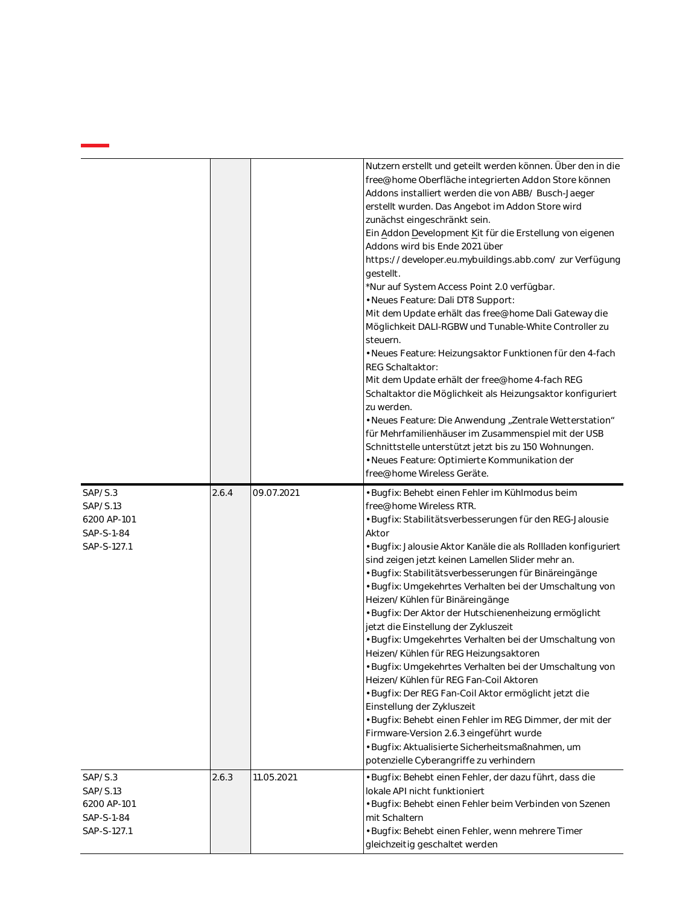|                                                                 |       |            | Nutzern erstellt und geteilt werden können. Über den in die<br>free@home Oberfläche integrierten Addon Store können<br>Addons installiert werden die von ABB/ Busch-Jaeger<br>erstellt wurden. Das Angebot im Addon Store wird<br>zunächst eingeschränkt sein.<br>Ein Addon Development Kit für die Erstellung von eigenen<br>Addons wird bis Ende 2021 über<br>https://developer.eu.mybuildings.abb.com/ zur Verfügung<br>gestellt.<br>*Nur auf System Access Point 2.0 verfügbar.<br>· Neues Feature: Dali DT8 Support:<br>Mit dem Update erhält das free@home Dali Gateway die<br>Möglichkeit DALI-RGBW und Tunable-White Controller zu<br>steuern.<br>· Neues Feature: Heizungsaktor Funktionen für den 4-fach<br><b>REG Schaltaktor:</b><br>Mit dem Update erhält der free@home 4-fach REG<br>Schaltaktor die Möglichkeit als Heizungsaktor konfiguriert<br>zu werden.<br>• Neues Feature: Die Anwendung "Zentrale Wetterstation"<br>für Mehrfamilienhäuser im Zusammenspiel mit der USB<br>Schnittstelle unterstützt jetzt bis zu 150 Wohnungen.<br>· Neues Feature: Optimierte Kommunikation der<br>free@home Wireless Geräte. |
|-----------------------------------------------------------------|-------|------------|---------------------------------------------------------------------------------------------------------------------------------------------------------------------------------------------------------------------------------------------------------------------------------------------------------------------------------------------------------------------------------------------------------------------------------------------------------------------------------------------------------------------------------------------------------------------------------------------------------------------------------------------------------------------------------------------------------------------------------------------------------------------------------------------------------------------------------------------------------------------------------------------------------------------------------------------------------------------------------------------------------------------------------------------------------------------------------------------------------------------------------------|
| SAP/S.3<br>SAP/S.13<br>6200 AP-101<br>SAP-S-1-84<br>SAP-S-127.1 | 2.6.4 | 09.07.2021 | · Bugfix: Behebt einen Fehler im Kühlmodus beim<br>free@home Wireless RTR.<br>· Bugfix: Stabilitätsverbesserungen für den REG-Jalousie<br>Aktor<br>· Bugfix: Jalousie Aktor Kanäle die als Rollladen konfiguriert<br>sind zeigen jetzt keinen Lamellen Slider mehr an.<br>· Bugfix: Stabilitätsverbesserungen für Binäreingänge<br>• Bugfix: Umgekehrtes Verhalten bei der Umschaltung von<br>Heizen/Kühlen für Binäreingänge<br>· Bugfix: Der Aktor der Hutschienenheizung ermöglicht<br>jetzt die Einstellung der Zykluszeit<br>· Bugfix: Umgekehrtes Verhalten bei der Umschaltung von<br>Heizen/Kühlen für REG Heizungsaktoren<br>· Bugfix: Umgekehrtes Verhalten bei der Umschaltung von<br>Heizen/Kühlen für REG Fan-Coil Aktoren<br>· Bugfix: Der REG Fan-Coil Aktor ermöglicht jetzt die<br>Einstellung der Zykluszeit<br>· Bugfix: Behebt einen Fehler im REG Dimmer, der mit der<br>Firmware-Version 2.6.3 eingeführt wurde<br>· Bugfix: Aktualisierte Sicherheitsmaßnahmen, um<br>potenzielle Cyberangriffe zu verhindern                                                                                                  |
| SAP/S.3<br>SAP/S.13<br>6200 AP-101<br>SAP-S-1-84<br>SAP-S-127.1 | 2.6.3 | 11.05.2021 | · Bugfix: Behebt einen Fehler, der dazu führt, dass die<br>lokale API nicht funktioniert<br>· Bugfix: Behebt einen Fehler beim Verbinden von Szenen<br>mit Schaltern<br>· Bugfix: Behebt einen Fehler, wenn mehrere Timer<br>gleichzeitig geschaltet werden                                                                                                                                                                                                                                                                                                                                                                                                                                                                                                                                                                                                                                                                                                                                                                                                                                                                           |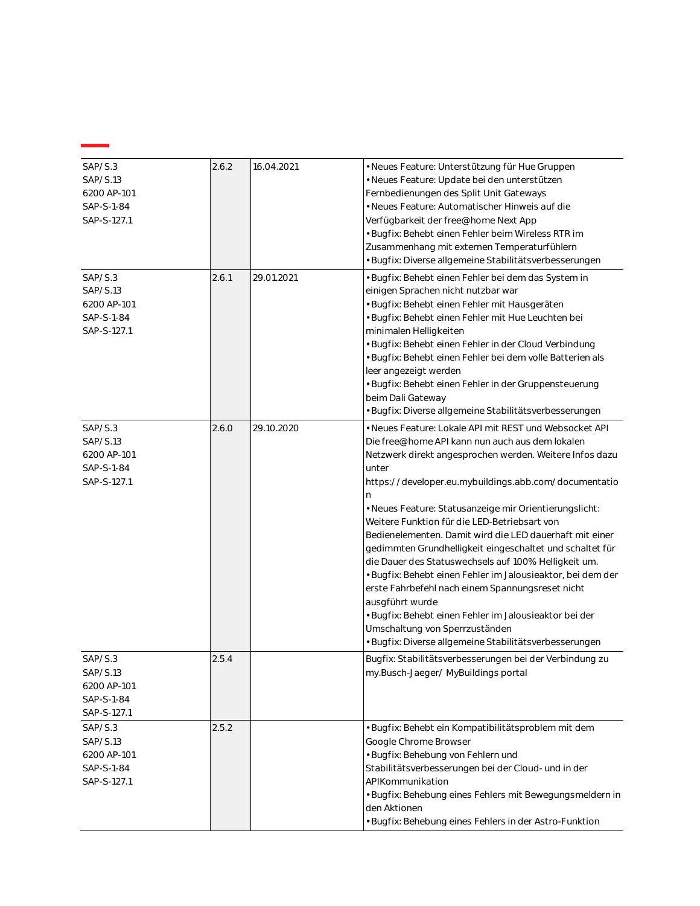| SAP/S.3<br>SAP/S.13<br>6200 AP-101<br>SAP-S-1-84<br>SAP-S-127.1 | 2.6.2 | 16.04.2021 | • Neues Feature: Unterstützung für Hue Gruppen<br>· Neues Feature: Update bei den unterstützen<br>Fernbedienungen des Split Unit Gateways<br>· Neues Feature: Automatischer Hinweis auf die<br>Verfügbarkeit der free@home Next App<br>• Bugfix: Behebt einen Fehler beim Wireless RTR im                                                                                                                                                                                                                                                                                                                                                                                                                                                                                                                                        |
|-----------------------------------------------------------------|-------|------------|----------------------------------------------------------------------------------------------------------------------------------------------------------------------------------------------------------------------------------------------------------------------------------------------------------------------------------------------------------------------------------------------------------------------------------------------------------------------------------------------------------------------------------------------------------------------------------------------------------------------------------------------------------------------------------------------------------------------------------------------------------------------------------------------------------------------------------|
|                                                                 |       |            | Zusammenhang mit externen Temperaturfühlern<br>· Bugfix: Diverse allgemeine Stabilitätsverbesserungen                                                                                                                                                                                                                                                                                                                                                                                                                                                                                                                                                                                                                                                                                                                            |
| SAP/S.3<br>SAP/S.13<br>6200 AP-101<br>SAP-S-1-84<br>SAP-S-127.1 | 2.6.1 | 29.01.2021 | · Bugfix: Behebt einen Fehler bei dem das System in<br>einigen Sprachen nicht nutzbar war<br>· Bugfix: Behebt einen Fehler mit Hausgeräten<br>· Bugfix: Behebt einen Fehler mit Hue Leuchten bei<br>minimalen Helligkeiten<br>· Bugfix: Behebt einen Fehler in der Cloud Verbindung<br>· Bugfix: Behebt einen Fehler bei dem volle Batterien als<br>leer angezeigt werden<br>· Bugfix: Behebt einen Fehler in der Gruppensteuerung<br>beim Dali Gateway<br>· Bugfix: Diverse allgemeine Stabilitätsverbesserungen                                                                                                                                                                                                                                                                                                                |
| SAP/S.3<br>SAP/S.13<br>6200 AP-101<br>SAP-S-1-84<br>SAP-S-127.1 | 2.6.0 | 29.10.2020 | · Neues Feature: Lokale API mit REST und Websocket API<br>Die free@home API kann nun auch aus dem lokalen<br>Netzwerk direkt angesprochen werden. Weitere Infos dazu<br>unter<br>https://developer.eu.mybuildings.abb.com/documentatio<br>n<br>· Neues Feature: Statusanzeige mir Orientierungslicht:<br>Weitere Funktion für die LED-Betriebsart von<br>Bedienelementen. Damit wird die LED dauerhaft mit einer<br>gedimmten Grundhelligkeit eingeschaltet und schaltet für<br>die Dauer des Statuswechsels auf 100% Helligkeit um.<br>· Bugfix: Behebt einen Fehler im Jalousieaktor, bei dem der<br>erste Fahrbefehl nach einem Spannungsreset nicht<br>ausgführt wurde<br>· Bugfix: Behebt einen Fehler im Jalousieaktor bei der<br>Umschaltung von Sperrzuständen<br>· Bugfix: Diverse allgemeine Stabilitätsverbesserungen |
| SAP/S.3<br>SAP/S.13<br>6200 AP-101<br>SAP-S-1-84<br>SAP-S-127.1 | 2.5.4 |            | Bugfix: Stabilitätsverbesserungen bei der Verbindung zu<br>my.Busch-Jaeger/MyBuildings portal                                                                                                                                                                                                                                                                                                                                                                                                                                                                                                                                                                                                                                                                                                                                    |
| SAP/S.3<br>SAP/S.13<br>6200 AP-101<br>SAP-S-1-84<br>SAP-S-127.1 | 2.5.2 |            | · Bugfix: Behebt ein Kompatibilitätsproblem mit dem<br>Google Chrome Browser<br>· Bugfix: Behebung von Fehlern und<br>Stabilitätsverbesserungen bei der Cloud- und in der<br>APIKommunikation<br>· Bugfix: Behebung eines Fehlers mit Bewegungsmeldern in<br>den Aktionen<br>· Bugfix: Behebung eines Fehlers in der Astro-Funktion                                                                                                                                                                                                                                                                                                                                                                                                                                                                                              |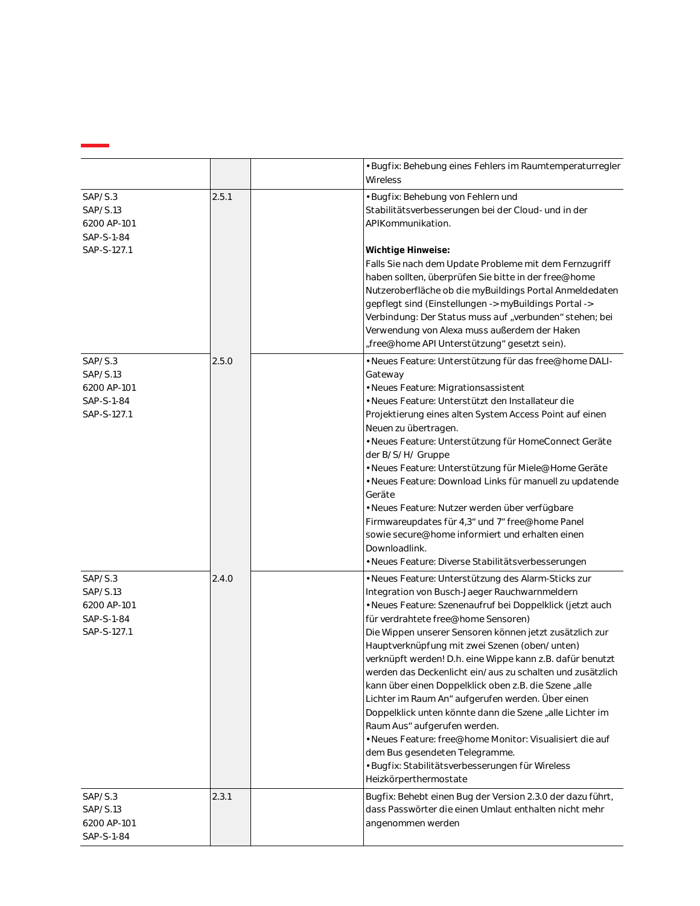|                                                                 |       | · Bugfix: Behebung eines Fehlers im Raumtemperaturregler<br>Wireless                                                                                                                                                                                                                                                                                                                                                                                                                                                                                                                                                                                                                                                                                                                                                                |
|-----------------------------------------------------------------|-------|-------------------------------------------------------------------------------------------------------------------------------------------------------------------------------------------------------------------------------------------------------------------------------------------------------------------------------------------------------------------------------------------------------------------------------------------------------------------------------------------------------------------------------------------------------------------------------------------------------------------------------------------------------------------------------------------------------------------------------------------------------------------------------------------------------------------------------------|
| SAP/S.3<br>SAP/S.13<br>6200 AP-101<br>SAP-S-1-84<br>SAP-S-127.1 | 2.5.1 | · Bugfix: Behebung von Fehlern und<br>Stabilitätsverbesserungen bei der Cloud- und in der<br>APIKommunikation.<br>Wichtige Hinweise:<br>Falls Sie nach dem Update Probleme mit dem Fernzugriff<br>haben sollten, überprüfen Sie bitte in der free@home<br>Nutzeroberfläche ob die myBuildings Portal Anmeldedaten<br>gepflegt sind (Einstellungen -> myBuildings Portal -><br>Verbindung: Der Status muss auf "verbunden" stehen; bei<br>Verwendung von Alexa muss außerdem der Haken<br>"free@home API Unterstützung" gesetzt sein).                                                                                                                                                                                                                                                                                               |
| SAP/S.3<br>SAP/S.13<br>6200 AP-101<br>SAP-S-1-84<br>SAP-S-127.1 | 2.5.0 | • Neues Feature: Unterstützung für das free@home DALI-<br>Gateway<br>· Neues Feature: Migrationsassistent<br>• Neues Feature: Unterstützt den Installateur die<br>Projektierung eines alten System Access Point auf einen<br>Neuen zu übertragen.<br>· Neues Feature: Unterstützung für HomeConnect Geräte<br>der B/S/H/ Gruppe<br>· Neues Feature: Unterstützung für Miele@Home Geräte<br>· Neues Feature: Download Links für manuell zu updatende<br>Geräte<br>· Neues Feature: Nutzer werden über verfügbare<br>Firmwareupdates für 4,3 <sup>ª</sup> und 7 <sup>ª</sup> free@home Panel<br>sowie secure@home informiert und erhalten einen<br>Downloadlink.<br>• Neues Feature: Diverse Stabilitätsverbesserungen                                                                                                                |
| SAP/S.3<br>SAP/S.13<br>6200 AP-101<br>SAP-S-1-84<br>SAP-S-127.1 | 2.4.0 | · Neues Feature: Unterstützung des Alarm-Sticks zur<br>Integration von Busch-Jaeger Rauchwarnmeldern<br>· Neues Feature: Szenenaufruf bei Doppelklick (jetzt auch<br>für verdrahtete free@home Sensoren)<br>Die Wippen unserer Sensoren können jetzt zusätzlich zur<br>Hauptverknüpfung mit zwei Szenen (oben/unten)<br>verknüpft werden! D.h. eine Wippe kann z.B. dafür benutzt<br>werden das Deckenlicht ein/aus zu schalten und zusätzlich<br>kann über einen Doppelklick oben z.B. die Szene "alle<br>Lichter im Raum An" aufgerufen werden. Über einen<br>Doppelklick unten könnte dann die Szene "alle Lichter im<br>Raum Aus" aufgerufen werden.<br>• Neues Feature: free@home Monitor: Visualisiert die auf<br>dem Bus gesendeten Telegramme.<br>· Bugfix: Stabilitätsverbesserungen für Wireless<br>Heizkörperthermostate |
| SAP/S.3<br>SAP/S.13<br>6200 AP-101<br>SAP-S-1-84                | 2.3.1 | Bugfix: Behebt einen Bug der Version 2.3.0 der dazu führt,<br>dass Passwörter die einen Umlaut enthalten nicht mehr<br>angenommen werden                                                                                                                                                                                                                                                                                                                                                                                                                                                                                                                                                                                                                                                                                            |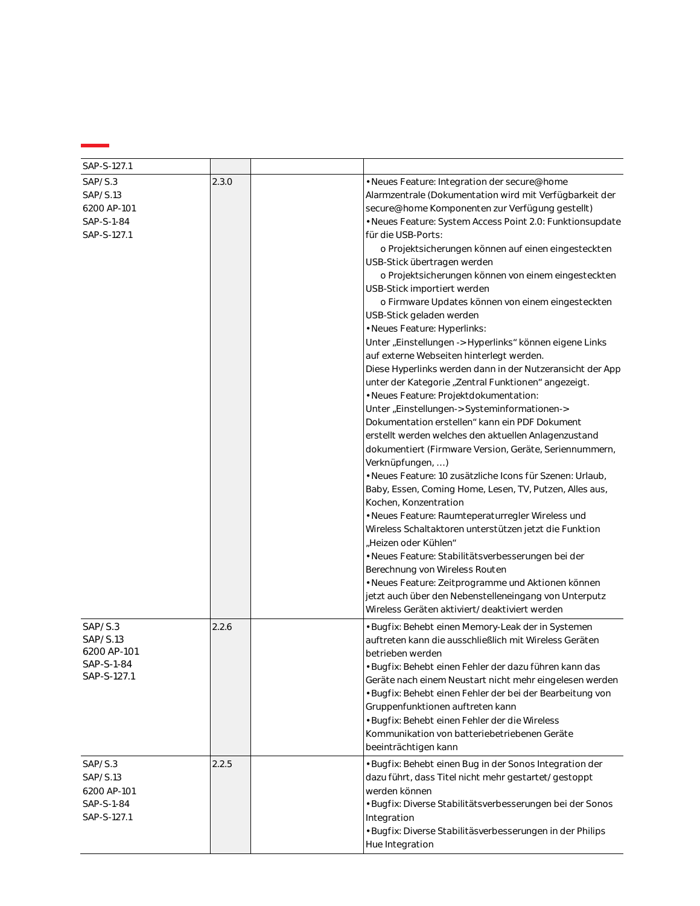| SAP/S.3<br>2.3.0<br>· Neues Feature: Integration der secure@home<br>SAP/S.13<br>Alarmzentrale (Dokumentation wird mit Verfügbarkeit der<br>secure@home Komponenten zur Verfügung gestellt)<br>6200 AP-101<br>SAP-S-1-84<br>· Neues Feature: System Access Point 2.0: Funktionsupdate<br>SAP-S-127.1<br>für die USB-Ports:<br>o Projektsicherungen können auf einen eingesteckten<br>USB-Stick übertragen werden<br>o Projektsicherungen können von einem eingesteckten<br>USB-Stick importiert werden<br>o Firmware Updates können von einem eingesteckten<br>USB-Stick geladen werden<br>· Neues Feature: Hyperlinks:<br>Unter "Einstellungen -> Hyperlinks" können eigene Links<br>auf externe Webseiten hinterlegt werden.<br>Diese Hyperlinks werden dann in der Nutzeransicht der App<br>unter der Kategorie "Zentral Funktionen" angezeigt.<br>· Neues Feature: Projektdokumentation:<br>Unter "Einstellungen-> Systeminformationen-><br>Dokumentation erstellen <sup>®</sup> kann ein PDF Dokument<br>erstellt werden welches den aktuellen Anlagenzustand<br>dokumentiert (Firmware Version, Geräte, Seriennummern,<br>Verknüpfungen, )<br>· Neues Feature: 10 zusätzliche Icons für Szenen: Urlaub,<br>Baby, Essen, Coming Home, Lesen, TV, Putzen, Alles aus,<br>Kochen, Konzentration<br>· Neues Feature: Raumteperaturregler Wireless und<br>Wireless Schaltaktoren unterstützen jetzt die Funktion<br>"Heizen oder Kühlen"<br>· Neues Feature: Stabilitätsverbesserungen bei der<br>Berechnung von Wireless Routen<br>· Neues Feature: Zeitprogramme und Aktionen können<br>jetzt auch über den Nebenstelleneingang von Unterputz<br>Wireless Geräten aktiviert/deaktiviert werden<br>SAP/S.3<br>2.2.6<br>· Bugfix: Behebt einen Memory-Leak der in Systemen<br>SAP/S.13<br>auftreten kann die ausschließlich mit Wireless Geräten<br>6200 AP-101<br>betrieben werden<br>SAP-S-1-84<br>• Buafix: Behebt einen Fehler der dazu führen kann das<br>SAP-S-127.1<br>Geräte nach einem Neustart nicht mehr eingelesen werden<br>· Bugfix: Behebt einen Fehler der bei der Bearbeitung von<br>Gruppenfunktionen auftreten kann<br>· Bugfix: Behebt einen Fehler der die Wireless<br>Kommunikation von batteriebetriebenen Geräte<br>beeinträchtigen kann<br>2.2.5<br>SAP/S.3<br>· Bugfix: Behebt einen Bug in der Sonos Integration der<br>dazu führt, dass Titel nicht mehr gestartet/gestoppt<br>SAP/S.13<br>6200 AP-101<br>werden können<br>· Bugfix: Diverse Stabilitätsverbesserungen bei der Sonos<br>SAP-S-1-84<br>SAP-S-127.1<br>Integration<br>· Bugfix: Diverse Stabilitäsverbesserungen in der Philips<br>Hue Integration | SAP-S-127.1 |  |  |
|---------------------------------------------------------------------------------------------------------------------------------------------------------------------------------------------------------------------------------------------------------------------------------------------------------------------------------------------------------------------------------------------------------------------------------------------------------------------------------------------------------------------------------------------------------------------------------------------------------------------------------------------------------------------------------------------------------------------------------------------------------------------------------------------------------------------------------------------------------------------------------------------------------------------------------------------------------------------------------------------------------------------------------------------------------------------------------------------------------------------------------------------------------------------------------------------------------------------------------------------------------------------------------------------------------------------------------------------------------------------------------------------------------------------------------------------------------------------------------------------------------------------------------------------------------------------------------------------------------------------------------------------------------------------------------------------------------------------------------------------------------------------------------------------------------------------------------------------------------------------------------------------------------------------------------------------------------------------------------------------------------------------------------------------------------------------------------------------------------------------------------------------------------------------------------------------------------------------------------------------------------------------------------------------------------------------------------------------------------------------------------------------------------------------------------------------------------------------------------------------------------------------------------------------------------------------------------------------------------------------------------------------|-------------|--|--|
|                                                                                                                                                                                                                                                                                                                                                                                                                                                                                                                                                                                                                                                                                                                                                                                                                                                                                                                                                                                                                                                                                                                                                                                                                                                                                                                                                                                                                                                                                                                                                                                                                                                                                                                                                                                                                                                                                                                                                                                                                                                                                                                                                                                                                                                                                                                                                                                                                                                                                                                                                                                                                                             |             |  |  |
|                                                                                                                                                                                                                                                                                                                                                                                                                                                                                                                                                                                                                                                                                                                                                                                                                                                                                                                                                                                                                                                                                                                                                                                                                                                                                                                                                                                                                                                                                                                                                                                                                                                                                                                                                                                                                                                                                                                                                                                                                                                                                                                                                                                                                                                                                                                                                                                                                                                                                                                                                                                                                                             |             |  |  |
|                                                                                                                                                                                                                                                                                                                                                                                                                                                                                                                                                                                                                                                                                                                                                                                                                                                                                                                                                                                                                                                                                                                                                                                                                                                                                                                                                                                                                                                                                                                                                                                                                                                                                                                                                                                                                                                                                                                                                                                                                                                                                                                                                                                                                                                                                                                                                                                                                                                                                                                                                                                                                                             |             |  |  |
|                                                                                                                                                                                                                                                                                                                                                                                                                                                                                                                                                                                                                                                                                                                                                                                                                                                                                                                                                                                                                                                                                                                                                                                                                                                                                                                                                                                                                                                                                                                                                                                                                                                                                                                                                                                                                                                                                                                                                                                                                                                                                                                                                                                                                                                                                                                                                                                                                                                                                                                                                                                                                                             |             |  |  |
|                                                                                                                                                                                                                                                                                                                                                                                                                                                                                                                                                                                                                                                                                                                                                                                                                                                                                                                                                                                                                                                                                                                                                                                                                                                                                                                                                                                                                                                                                                                                                                                                                                                                                                                                                                                                                                                                                                                                                                                                                                                                                                                                                                                                                                                                                                                                                                                                                                                                                                                                                                                                                                             |             |  |  |
|                                                                                                                                                                                                                                                                                                                                                                                                                                                                                                                                                                                                                                                                                                                                                                                                                                                                                                                                                                                                                                                                                                                                                                                                                                                                                                                                                                                                                                                                                                                                                                                                                                                                                                                                                                                                                                                                                                                                                                                                                                                                                                                                                                                                                                                                                                                                                                                                                                                                                                                                                                                                                                             |             |  |  |
|                                                                                                                                                                                                                                                                                                                                                                                                                                                                                                                                                                                                                                                                                                                                                                                                                                                                                                                                                                                                                                                                                                                                                                                                                                                                                                                                                                                                                                                                                                                                                                                                                                                                                                                                                                                                                                                                                                                                                                                                                                                                                                                                                                                                                                                                                                                                                                                                                                                                                                                                                                                                                                             |             |  |  |
|                                                                                                                                                                                                                                                                                                                                                                                                                                                                                                                                                                                                                                                                                                                                                                                                                                                                                                                                                                                                                                                                                                                                                                                                                                                                                                                                                                                                                                                                                                                                                                                                                                                                                                                                                                                                                                                                                                                                                                                                                                                                                                                                                                                                                                                                                                                                                                                                                                                                                                                                                                                                                                             |             |  |  |
|                                                                                                                                                                                                                                                                                                                                                                                                                                                                                                                                                                                                                                                                                                                                                                                                                                                                                                                                                                                                                                                                                                                                                                                                                                                                                                                                                                                                                                                                                                                                                                                                                                                                                                                                                                                                                                                                                                                                                                                                                                                                                                                                                                                                                                                                                                                                                                                                                                                                                                                                                                                                                                             |             |  |  |
|                                                                                                                                                                                                                                                                                                                                                                                                                                                                                                                                                                                                                                                                                                                                                                                                                                                                                                                                                                                                                                                                                                                                                                                                                                                                                                                                                                                                                                                                                                                                                                                                                                                                                                                                                                                                                                                                                                                                                                                                                                                                                                                                                                                                                                                                                                                                                                                                                                                                                                                                                                                                                                             |             |  |  |
|                                                                                                                                                                                                                                                                                                                                                                                                                                                                                                                                                                                                                                                                                                                                                                                                                                                                                                                                                                                                                                                                                                                                                                                                                                                                                                                                                                                                                                                                                                                                                                                                                                                                                                                                                                                                                                                                                                                                                                                                                                                                                                                                                                                                                                                                                                                                                                                                                                                                                                                                                                                                                                             |             |  |  |
|                                                                                                                                                                                                                                                                                                                                                                                                                                                                                                                                                                                                                                                                                                                                                                                                                                                                                                                                                                                                                                                                                                                                                                                                                                                                                                                                                                                                                                                                                                                                                                                                                                                                                                                                                                                                                                                                                                                                                                                                                                                                                                                                                                                                                                                                                                                                                                                                                                                                                                                                                                                                                                             |             |  |  |
|                                                                                                                                                                                                                                                                                                                                                                                                                                                                                                                                                                                                                                                                                                                                                                                                                                                                                                                                                                                                                                                                                                                                                                                                                                                                                                                                                                                                                                                                                                                                                                                                                                                                                                                                                                                                                                                                                                                                                                                                                                                                                                                                                                                                                                                                                                                                                                                                                                                                                                                                                                                                                                             |             |  |  |
|                                                                                                                                                                                                                                                                                                                                                                                                                                                                                                                                                                                                                                                                                                                                                                                                                                                                                                                                                                                                                                                                                                                                                                                                                                                                                                                                                                                                                                                                                                                                                                                                                                                                                                                                                                                                                                                                                                                                                                                                                                                                                                                                                                                                                                                                                                                                                                                                                                                                                                                                                                                                                                             |             |  |  |
|                                                                                                                                                                                                                                                                                                                                                                                                                                                                                                                                                                                                                                                                                                                                                                                                                                                                                                                                                                                                                                                                                                                                                                                                                                                                                                                                                                                                                                                                                                                                                                                                                                                                                                                                                                                                                                                                                                                                                                                                                                                                                                                                                                                                                                                                                                                                                                                                                                                                                                                                                                                                                                             |             |  |  |
|                                                                                                                                                                                                                                                                                                                                                                                                                                                                                                                                                                                                                                                                                                                                                                                                                                                                                                                                                                                                                                                                                                                                                                                                                                                                                                                                                                                                                                                                                                                                                                                                                                                                                                                                                                                                                                                                                                                                                                                                                                                                                                                                                                                                                                                                                                                                                                                                                                                                                                                                                                                                                                             |             |  |  |
|                                                                                                                                                                                                                                                                                                                                                                                                                                                                                                                                                                                                                                                                                                                                                                                                                                                                                                                                                                                                                                                                                                                                                                                                                                                                                                                                                                                                                                                                                                                                                                                                                                                                                                                                                                                                                                                                                                                                                                                                                                                                                                                                                                                                                                                                                                                                                                                                                                                                                                                                                                                                                                             |             |  |  |
|                                                                                                                                                                                                                                                                                                                                                                                                                                                                                                                                                                                                                                                                                                                                                                                                                                                                                                                                                                                                                                                                                                                                                                                                                                                                                                                                                                                                                                                                                                                                                                                                                                                                                                                                                                                                                                                                                                                                                                                                                                                                                                                                                                                                                                                                                                                                                                                                                                                                                                                                                                                                                                             |             |  |  |
|                                                                                                                                                                                                                                                                                                                                                                                                                                                                                                                                                                                                                                                                                                                                                                                                                                                                                                                                                                                                                                                                                                                                                                                                                                                                                                                                                                                                                                                                                                                                                                                                                                                                                                                                                                                                                                                                                                                                                                                                                                                                                                                                                                                                                                                                                                                                                                                                                                                                                                                                                                                                                                             |             |  |  |
|                                                                                                                                                                                                                                                                                                                                                                                                                                                                                                                                                                                                                                                                                                                                                                                                                                                                                                                                                                                                                                                                                                                                                                                                                                                                                                                                                                                                                                                                                                                                                                                                                                                                                                                                                                                                                                                                                                                                                                                                                                                                                                                                                                                                                                                                                                                                                                                                                                                                                                                                                                                                                                             |             |  |  |
|                                                                                                                                                                                                                                                                                                                                                                                                                                                                                                                                                                                                                                                                                                                                                                                                                                                                                                                                                                                                                                                                                                                                                                                                                                                                                                                                                                                                                                                                                                                                                                                                                                                                                                                                                                                                                                                                                                                                                                                                                                                                                                                                                                                                                                                                                                                                                                                                                                                                                                                                                                                                                                             |             |  |  |
|                                                                                                                                                                                                                                                                                                                                                                                                                                                                                                                                                                                                                                                                                                                                                                                                                                                                                                                                                                                                                                                                                                                                                                                                                                                                                                                                                                                                                                                                                                                                                                                                                                                                                                                                                                                                                                                                                                                                                                                                                                                                                                                                                                                                                                                                                                                                                                                                                                                                                                                                                                                                                                             |             |  |  |
|                                                                                                                                                                                                                                                                                                                                                                                                                                                                                                                                                                                                                                                                                                                                                                                                                                                                                                                                                                                                                                                                                                                                                                                                                                                                                                                                                                                                                                                                                                                                                                                                                                                                                                                                                                                                                                                                                                                                                                                                                                                                                                                                                                                                                                                                                                                                                                                                                                                                                                                                                                                                                                             |             |  |  |
|                                                                                                                                                                                                                                                                                                                                                                                                                                                                                                                                                                                                                                                                                                                                                                                                                                                                                                                                                                                                                                                                                                                                                                                                                                                                                                                                                                                                                                                                                                                                                                                                                                                                                                                                                                                                                                                                                                                                                                                                                                                                                                                                                                                                                                                                                                                                                                                                                                                                                                                                                                                                                                             |             |  |  |
|                                                                                                                                                                                                                                                                                                                                                                                                                                                                                                                                                                                                                                                                                                                                                                                                                                                                                                                                                                                                                                                                                                                                                                                                                                                                                                                                                                                                                                                                                                                                                                                                                                                                                                                                                                                                                                                                                                                                                                                                                                                                                                                                                                                                                                                                                                                                                                                                                                                                                                                                                                                                                                             |             |  |  |
|                                                                                                                                                                                                                                                                                                                                                                                                                                                                                                                                                                                                                                                                                                                                                                                                                                                                                                                                                                                                                                                                                                                                                                                                                                                                                                                                                                                                                                                                                                                                                                                                                                                                                                                                                                                                                                                                                                                                                                                                                                                                                                                                                                                                                                                                                                                                                                                                                                                                                                                                                                                                                                             |             |  |  |
|                                                                                                                                                                                                                                                                                                                                                                                                                                                                                                                                                                                                                                                                                                                                                                                                                                                                                                                                                                                                                                                                                                                                                                                                                                                                                                                                                                                                                                                                                                                                                                                                                                                                                                                                                                                                                                                                                                                                                                                                                                                                                                                                                                                                                                                                                                                                                                                                                                                                                                                                                                                                                                             |             |  |  |
|                                                                                                                                                                                                                                                                                                                                                                                                                                                                                                                                                                                                                                                                                                                                                                                                                                                                                                                                                                                                                                                                                                                                                                                                                                                                                                                                                                                                                                                                                                                                                                                                                                                                                                                                                                                                                                                                                                                                                                                                                                                                                                                                                                                                                                                                                                                                                                                                                                                                                                                                                                                                                                             |             |  |  |
|                                                                                                                                                                                                                                                                                                                                                                                                                                                                                                                                                                                                                                                                                                                                                                                                                                                                                                                                                                                                                                                                                                                                                                                                                                                                                                                                                                                                                                                                                                                                                                                                                                                                                                                                                                                                                                                                                                                                                                                                                                                                                                                                                                                                                                                                                                                                                                                                                                                                                                                                                                                                                                             |             |  |  |
|                                                                                                                                                                                                                                                                                                                                                                                                                                                                                                                                                                                                                                                                                                                                                                                                                                                                                                                                                                                                                                                                                                                                                                                                                                                                                                                                                                                                                                                                                                                                                                                                                                                                                                                                                                                                                                                                                                                                                                                                                                                                                                                                                                                                                                                                                                                                                                                                                                                                                                                                                                                                                                             |             |  |  |
|                                                                                                                                                                                                                                                                                                                                                                                                                                                                                                                                                                                                                                                                                                                                                                                                                                                                                                                                                                                                                                                                                                                                                                                                                                                                                                                                                                                                                                                                                                                                                                                                                                                                                                                                                                                                                                                                                                                                                                                                                                                                                                                                                                                                                                                                                                                                                                                                                                                                                                                                                                                                                                             |             |  |  |
|                                                                                                                                                                                                                                                                                                                                                                                                                                                                                                                                                                                                                                                                                                                                                                                                                                                                                                                                                                                                                                                                                                                                                                                                                                                                                                                                                                                                                                                                                                                                                                                                                                                                                                                                                                                                                                                                                                                                                                                                                                                                                                                                                                                                                                                                                                                                                                                                                                                                                                                                                                                                                                             |             |  |  |
|                                                                                                                                                                                                                                                                                                                                                                                                                                                                                                                                                                                                                                                                                                                                                                                                                                                                                                                                                                                                                                                                                                                                                                                                                                                                                                                                                                                                                                                                                                                                                                                                                                                                                                                                                                                                                                                                                                                                                                                                                                                                                                                                                                                                                                                                                                                                                                                                                                                                                                                                                                                                                                             |             |  |  |
|                                                                                                                                                                                                                                                                                                                                                                                                                                                                                                                                                                                                                                                                                                                                                                                                                                                                                                                                                                                                                                                                                                                                                                                                                                                                                                                                                                                                                                                                                                                                                                                                                                                                                                                                                                                                                                                                                                                                                                                                                                                                                                                                                                                                                                                                                                                                                                                                                                                                                                                                                                                                                                             |             |  |  |
|                                                                                                                                                                                                                                                                                                                                                                                                                                                                                                                                                                                                                                                                                                                                                                                                                                                                                                                                                                                                                                                                                                                                                                                                                                                                                                                                                                                                                                                                                                                                                                                                                                                                                                                                                                                                                                                                                                                                                                                                                                                                                                                                                                                                                                                                                                                                                                                                                                                                                                                                                                                                                                             |             |  |  |
|                                                                                                                                                                                                                                                                                                                                                                                                                                                                                                                                                                                                                                                                                                                                                                                                                                                                                                                                                                                                                                                                                                                                                                                                                                                                                                                                                                                                                                                                                                                                                                                                                                                                                                                                                                                                                                                                                                                                                                                                                                                                                                                                                                                                                                                                                                                                                                                                                                                                                                                                                                                                                                             |             |  |  |
|                                                                                                                                                                                                                                                                                                                                                                                                                                                                                                                                                                                                                                                                                                                                                                                                                                                                                                                                                                                                                                                                                                                                                                                                                                                                                                                                                                                                                                                                                                                                                                                                                                                                                                                                                                                                                                                                                                                                                                                                                                                                                                                                                                                                                                                                                                                                                                                                                                                                                                                                                                                                                                             |             |  |  |
|                                                                                                                                                                                                                                                                                                                                                                                                                                                                                                                                                                                                                                                                                                                                                                                                                                                                                                                                                                                                                                                                                                                                                                                                                                                                                                                                                                                                                                                                                                                                                                                                                                                                                                                                                                                                                                                                                                                                                                                                                                                                                                                                                                                                                                                                                                                                                                                                                                                                                                                                                                                                                                             |             |  |  |
|                                                                                                                                                                                                                                                                                                                                                                                                                                                                                                                                                                                                                                                                                                                                                                                                                                                                                                                                                                                                                                                                                                                                                                                                                                                                                                                                                                                                                                                                                                                                                                                                                                                                                                                                                                                                                                                                                                                                                                                                                                                                                                                                                                                                                                                                                                                                                                                                                                                                                                                                                                                                                                             |             |  |  |
|                                                                                                                                                                                                                                                                                                                                                                                                                                                                                                                                                                                                                                                                                                                                                                                                                                                                                                                                                                                                                                                                                                                                                                                                                                                                                                                                                                                                                                                                                                                                                                                                                                                                                                                                                                                                                                                                                                                                                                                                                                                                                                                                                                                                                                                                                                                                                                                                                                                                                                                                                                                                                                             |             |  |  |
|                                                                                                                                                                                                                                                                                                                                                                                                                                                                                                                                                                                                                                                                                                                                                                                                                                                                                                                                                                                                                                                                                                                                                                                                                                                                                                                                                                                                                                                                                                                                                                                                                                                                                                                                                                                                                                                                                                                                                                                                                                                                                                                                                                                                                                                                                                                                                                                                                                                                                                                                                                                                                                             |             |  |  |
|                                                                                                                                                                                                                                                                                                                                                                                                                                                                                                                                                                                                                                                                                                                                                                                                                                                                                                                                                                                                                                                                                                                                                                                                                                                                                                                                                                                                                                                                                                                                                                                                                                                                                                                                                                                                                                                                                                                                                                                                                                                                                                                                                                                                                                                                                                                                                                                                                                                                                                                                                                                                                                             |             |  |  |
|                                                                                                                                                                                                                                                                                                                                                                                                                                                                                                                                                                                                                                                                                                                                                                                                                                                                                                                                                                                                                                                                                                                                                                                                                                                                                                                                                                                                                                                                                                                                                                                                                                                                                                                                                                                                                                                                                                                                                                                                                                                                                                                                                                                                                                                                                                                                                                                                                                                                                                                                                                                                                                             |             |  |  |
|                                                                                                                                                                                                                                                                                                                                                                                                                                                                                                                                                                                                                                                                                                                                                                                                                                                                                                                                                                                                                                                                                                                                                                                                                                                                                                                                                                                                                                                                                                                                                                                                                                                                                                                                                                                                                                                                                                                                                                                                                                                                                                                                                                                                                                                                                                                                                                                                                                                                                                                                                                                                                                             |             |  |  |
|                                                                                                                                                                                                                                                                                                                                                                                                                                                                                                                                                                                                                                                                                                                                                                                                                                                                                                                                                                                                                                                                                                                                                                                                                                                                                                                                                                                                                                                                                                                                                                                                                                                                                                                                                                                                                                                                                                                                                                                                                                                                                                                                                                                                                                                                                                                                                                                                                                                                                                                                                                                                                                             |             |  |  |
|                                                                                                                                                                                                                                                                                                                                                                                                                                                                                                                                                                                                                                                                                                                                                                                                                                                                                                                                                                                                                                                                                                                                                                                                                                                                                                                                                                                                                                                                                                                                                                                                                                                                                                                                                                                                                                                                                                                                                                                                                                                                                                                                                                                                                                                                                                                                                                                                                                                                                                                                                                                                                                             |             |  |  |
|                                                                                                                                                                                                                                                                                                                                                                                                                                                                                                                                                                                                                                                                                                                                                                                                                                                                                                                                                                                                                                                                                                                                                                                                                                                                                                                                                                                                                                                                                                                                                                                                                                                                                                                                                                                                                                                                                                                                                                                                                                                                                                                                                                                                                                                                                                                                                                                                                                                                                                                                                                                                                                             |             |  |  |
|                                                                                                                                                                                                                                                                                                                                                                                                                                                                                                                                                                                                                                                                                                                                                                                                                                                                                                                                                                                                                                                                                                                                                                                                                                                                                                                                                                                                                                                                                                                                                                                                                                                                                                                                                                                                                                                                                                                                                                                                                                                                                                                                                                                                                                                                                                                                                                                                                                                                                                                                                                                                                                             |             |  |  |
|                                                                                                                                                                                                                                                                                                                                                                                                                                                                                                                                                                                                                                                                                                                                                                                                                                                                                                                                                                                                                                                                                                                                                                                                                                                                                                                                                                                                                                                                                                                                                                                                                                                                                                                                                                                                                                                                                                                                                                                                                                                                                                                                                                                                                                                                                                                                                                                                                                                                                                                                                                                                                                             |             |  |  |
|                                                                                                                                                                                                                                                                                                                                                                                                                                                                                                                                                                                                                                                                                                                                                                                                                                                                                                                                                                                                                                                                                                                                                                                                                                                                                                                                                                                                                                                                                                                                                                                                                                                                                                                                                                                                                                                                                                                                                                                                                                                                                                                                                                                                                                                                                                                                                                                                                                                                                                                                                                                                                                             |             |  |  |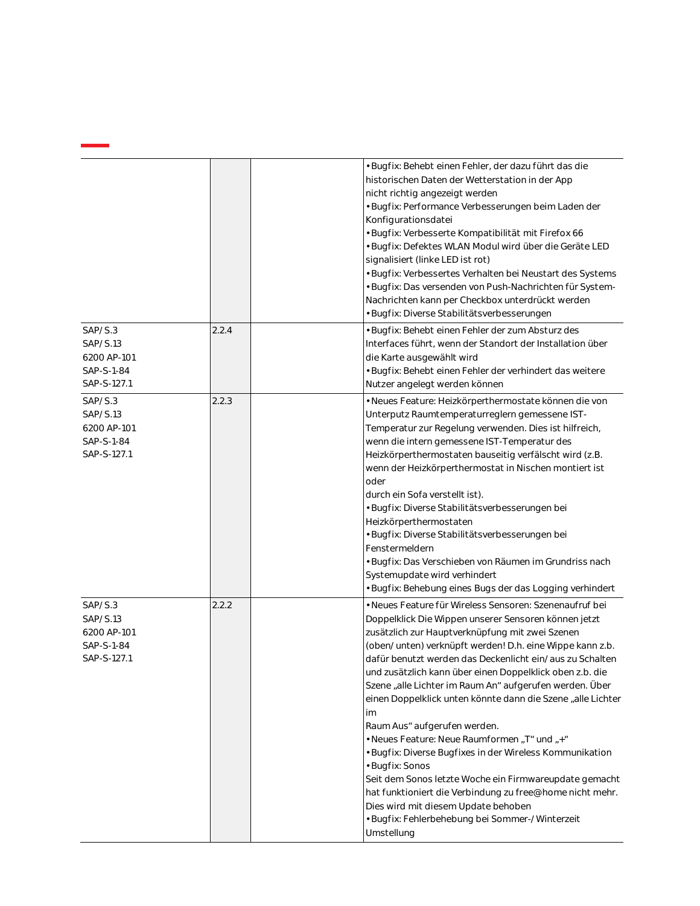|                                                                 |       | · Bugfix: Behebt einen Fehler, der dazu führt das die<br>historischen Daten der Wetterstation in der App<br>nicht richtig angezeigt werden<br>· Bugfix: Performance Verbesserungen beim Laden der<br>Konfigurationsdatei<br>· Bugfix: Verbesserte Kompatibilität mit Firefox 66<br>· Bugfix: Defektes WLAN Modul wird über die Geräte LED<br>signalisiert (linke LED ist rot)<br>· Bugfix: Verbessertes Verhalten bei Neustart des Systems<br>· Bugfix: Das versenden von Push-Nachrichten für System-<br>Nachrichten kann per Checkbox unterdrückt werden<br>· Bugfix: Diverse Stabilitätsverbesserungen                                                                                                                                                                                                                                                                           |
|-----------------------------------------------------------------|-------|-------------------------------------------------------------------------------------------------------------------------------------------------------------------------------------------------------------------------------------------------------------------------------------------------------------------------------------------------------------------------------------------------------------------------------------------------------------------------------------------------------------------------------------------------------------------------------------------------------------------------------------------------------------------------------------------------------------------------------------------------------------------------------------------------------------------------------------------------------------------------------------|
| SAP/S.3<br>SAP/S.13<br>6200 AP-101<br>SAP-S-1-84<br>SAP-S-127.1 | 2.2.4 | · Bugfix: Behebt einen Fehler der zum Absturz des<br>Interfaces führt, wenn der Standort der Installation über<br>die Karte ausgewählt wird<br>· Bugfix: Behebt einen Fehler der verhindert das weitere<br>Nutzer angelegt werden können                                                                                                                                                                                                                                                                                                                                                                                                                                                                                                                                                                                                                                            |
| SAP/S.3<br>SAP/S.13<br>6200 AP-101<br>SAP-S-1-84<br>SAP-S-127.1 | 2.2.3 | · Neues Feature: Heizkörperthermostate können die von<br>Unterputz Raumtemperaturreglern gemessene IST-<br>Temperatur zur Regelung verwenden. Dies ist hilfreich,<br>wenn die intern gemessene IST-Temperatur des<br>Heizkörperthermostaten bauseitig verfälscht wird (z.B.<br>wenn der Heizkörperthermostat in Nischen montiert ist<br>oder<br>durch ein Sofa verstellt ist).<br>· Bugfix: Diverse Stabilitätsverbesserungen bei<br>Heizkörperthermostaten<br>· Bugfix: Diverse Stabilitätsverbesserungen bei<br>Fenstermeldern<br>· Bugfix: Das Verschieben von Räumen im Grundriss nach<br>Systemupdate wird verhindert<br>· Bugfix: Behebung eines Bugs der das Logging verhindert                                                                                                                                                                                              |
| SAP/S.3<br>SAP/S.13<br>6200 AP-101<br>SAP-S-1-84<br>SAP-S-127.1 | 2.2.2 | • Neues Feature für Wireless Sensoren: Szenenaufruf bei<br>Doppelklick Die Wippen unserer Sensoren können jetzt<br>zusätzlich zur Hauptverknüpfung mit zwei Szenen<br>(oben/unten) verknüpft werden! D.h. eine Wippe kann z.b.<br>dafür benutzt werden das Deckenlicht ein/aus zu Schalten<br>und zusätzlich kann über einen Doppelklick oben z.b. die<br>Szene "alle Lichter im Raum An" aufgerufen werden. Über<br>einen Doppelklick unten könnte dann die Szene "alle Lichter<br>im<br>Raum Aus" aufgerufen werden.<br>• Neues Feature: Neue Raumformen "T" und "+"<br>· Bugfix: Diverse Bugfixes in der Wireless Kommunikation<br>• Bugfix: Sonos<br>Seit dem Sonos letzte Woche ein Firmwareupdate gemacht<br>hat funktioniert die Verbindung zu free@home nicht mehr.<br>Dies wird mit diesem Update behoben<br>· Bugfix: Fehlerbehebung bei Sommer-/Winterzeit<br>Umstellung |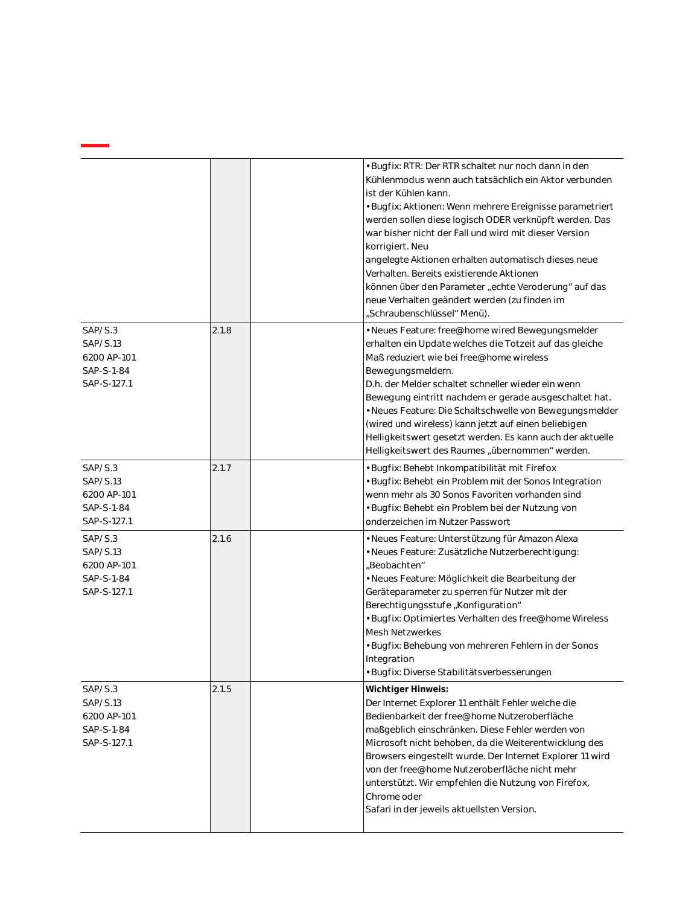|                                                                 |       | • Bugfix: RTR: Der RTR schaltet nur noch dann in den<br>Kühlenmodus wenn auch tatsächlich ein Aktor verbunden<br>ist der Kühlen kann.<br>· Bugfix: Aktionen: Wenn mehrere Ereignisse parametriert<br>werden sollen diese logisch ODER verknüpft werden. Das<br>war bisher nicht der Fall und wird mit dieser Version<br>korrigiert. Neu<br>angelegte Aktionen erhalten automatisch dieses neue<br>Verhalten. Bereits existierende Aktionen<br>können über den Parameter "echte Veroderung" auf das<br>neue Verhalten geändert werden (zu finden im             |
|-----------------------------------------------------------------|-------|----------------------------------------------------------------------------------------------------------------------------------------------------------------------------------------------------------------------------------------------------------------------------------------------------------------------------------------------------------------------------------------------------------------------------------------------------------------------------------------------------------------------------------------------------------------|
| SAP/S.3<br>SAP/S.13<br>6200 AP-101<br>SAP-S-1-84<br>SAP-S-127.1 | 2.1.8 | "Schraubenschlüssel" Menü).<br>• Neues Feature: free@home wired Bewegungsmelder<br>erhalten ein Update welches die Totzeit auf das gleiche<br>Maß reduziert wie bei free@home wireless<br>Bewegungsmeldern.<br>D.h. der Melder schaltet schneller wieder ein wenn<br>Bewegung eintritt nachdem er gerade ausgeschaltet hat.<br>· Neues Feature: Die Schaltschwelle von Bewegungsmelder<br>(wired und wireless) kann jetzt auf einen beliebigen<br>Helligkeitswert gesetzt werden. Es kann auch der aktuelle<br>Helligkeitswert des Raumes "übernommen" werden. |
| SAP/S.3<br>SAP/S.13<br>6200 AP-101<br>SAP-S-1-84<br>SAP-S-127.1 | 2.1.7 | · Bugfix: Behebt Inkompatibilität mit Firefox<br>· Bugfix: Behebt ein Problem mit der Sonos Integration<br>wenn mehr als 30 Sonos Favoriten vorhanden sind<br>• Bugfix: Behebt ein Problem bei der Nutzung von<br>onderzeichen im Nutzer Passwort                                                                                                                                                                                                                                                                                                              |
| SAP/S.3<br>SAP/S.13<br>6200 AP-101<br>SAP-S-1-84<br>SAP-S-127.1 | 2.1.6 | · Neues Feature: Unterstützung für Amazon Alexa<br>· Neues Feature: Zusätzliche Nutzerberechtigung:<br>"Beobachten"<br>· Neues Feature: Möglichkeit die Bearbeitung der<br>Geräteparameter zu sperren für Nutzer mit der<br>Berechtigungsstufe, Konfiguration"<br>· Bugfix: Optimiertes Verhalten des free@home Wireless<br><b>Mesh Netzwerkes</b><br>• Bugfix: Behebung von mehreren Fehlern in der Sonos<br>Integration<br>· Bugfix: Diverse Stabilitätsverbesserungen                                                                                       |
| SAP/S.3<br>SAP/S.13<br>6200 AP-101<br>SAP-S-1-84<br>SAP-S-127.1 | 2.1.5 | Wichtiger Hinweis:<br>Der Internet Explorer 11 enthält Fehler welche die<br>Bedienbarkeit der free@home Nutzeroberfläche<br>maßgeblich einschränken. Diese Fehler werden von<br>Microsoft nicht behoben, da die Weiterentwicklung des<br>Browsers eingestellt wurde. Der Internet Explorer 11 wird<br>von der free@home Nutzeroberfläche nicht mehr<br>unterstützt. Wir empfehlen die Nutzung von Firefox,<br>Chrome oder<br>Safari in der jeweils aktuellsten Version.                                                                                        |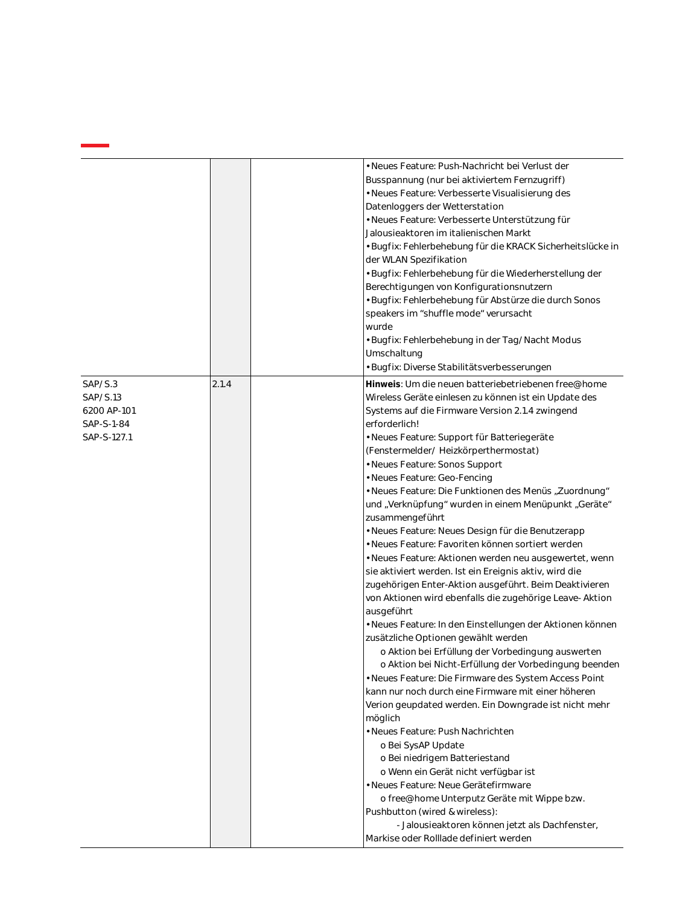|                                                                 |       | Datenloggers der Wetterstation<br>Jalousieaktoren im italienischen Markt<br>der WLAN Spezifikation<br>Berechtigungen von Konfigurationsnutzern<br>speakers im "shuffle mode" verursacht<br>wurde<br>Umschaltung<br>· Bugfix: Diverse Stabilitätsverbesserungen                                                                                                                                                                                                                                                    | • Neues Feature: Push-Nachricht bei Verlust der<br>Busspannung (nur bei aktiviertem Fernzugriff)<br>· Neues Feature: Verbesserte Visualisierung des<br>· Neues Feature: Verbesserte Unterstützung für<br>· Bugfix: Fehlerbehebung für die KRACK Sicherheitslücke in<br>· Bugfix: Fehlerbehebung für die Wiederherstellung der<br>· Bugfix: Fehlerbehebung für Abstürze die durch Sonos<br>• Bugfix: Fehlerbehebung in der Tag/Nacht Modus                                                                                                                                                                                                                                                                                                                                                                                                                                                                                                                                                                                                                                                  |
|-----------------------------------------------------------------|-------|-------------------------------------------------------------------------------------------------------------------------------------------------------------------------------------------------------------------------------------------------------------------------------------------------------------------------------------------------------------------------------------------------------------------------------------------------------------------------------------------------------------------|--------------------------------------------------------------------------------------------------------------------------------------------------------------------------------------------------------------------------------------------------------------------------------------------------------------------------------------------------------------------------------------------------------------------------------------------------------------------------------------------------------------------------------------------------------------------------------------------------------------------------------------------------------------------------------------------------------------------------------------------------------------------------------------------------------------------------------------------------------------------------------------------------------------------------------------------------------------------------------------------------------------------------------------------------------------------------------------------|
| SAP/S.3<br>SAP/S.13<br>6200 AP-101<br>SAP-S-1-84<br>SAP-S-127.1 | 2.1.4 | erforderlich!<br>· Neues Feature: Support für Batteriegeräte<br>(Fenstermelder/Heizkörperthermostat)<br>• Neues Feature: Sonos Support<br>· Neues Feature: Geo-Fencing<br>zusammengeführt<br>ausgeführt<br>zusätzliche Optionen gewählt werden<br>möglich<br>· Neues Feature: Push Nachrichten<br>o Bei SysAP Update<br>o Bei niedrigem Batteriestand<br>o Wenn ein Gerät nicht verfügbar ist<br>· Neues Feature: Neue Gerätefirmware<br>Pushbutton (wired & wireless):<br>Markise oder Rolllade definiert werden | Hinweis: Um die neuen batteriebetriebenen free@home<br>Wireless Geräte einlesen zu können ist ein Update des<br>Systems auf die Firmware Version 2.1.4 zwingend<br>• Neues Feature: Die Funktionen des Menüs "Zuordnung"<br>und "Verknüpfung" wurden in einem Menüpunkt "Geräte"<br>· Neues Feature: Neues Design für die Benutzerapp<br>· Neues Feature: Favoriten können sortiert werden<br>· Neues Feature: Aktionen werden neu ausgewertet, wenn<br>sie aktiviert werden. Ist ein Ereignis aktiv, wird die<br>zugehörigen Enter-Aktion ausgeführt. Beim Deaktivieren<br>von Aktionen wird ebenfalls die zugehörige Leave- Aktion<br>· Neues Feature: In den Einstellungen der Aktionen können<br>o Aktion bei Erfüllung der Vorbedingung auswerten<br>o Aktion bei Nicht-Erfüllung der Vorbedingung beenden<br>· Neues Feature: Die Firmware des System Access Point<br>kann nur noch durch eine Firmware mit einer höheren<br>Verion geupdated werden. Ein Downgrade ist nicht mehr<br>o free@home Unterputz Geräte mit Wippe bzw.<br>- Jalousieaktoren können jetzt als Dachfenster, |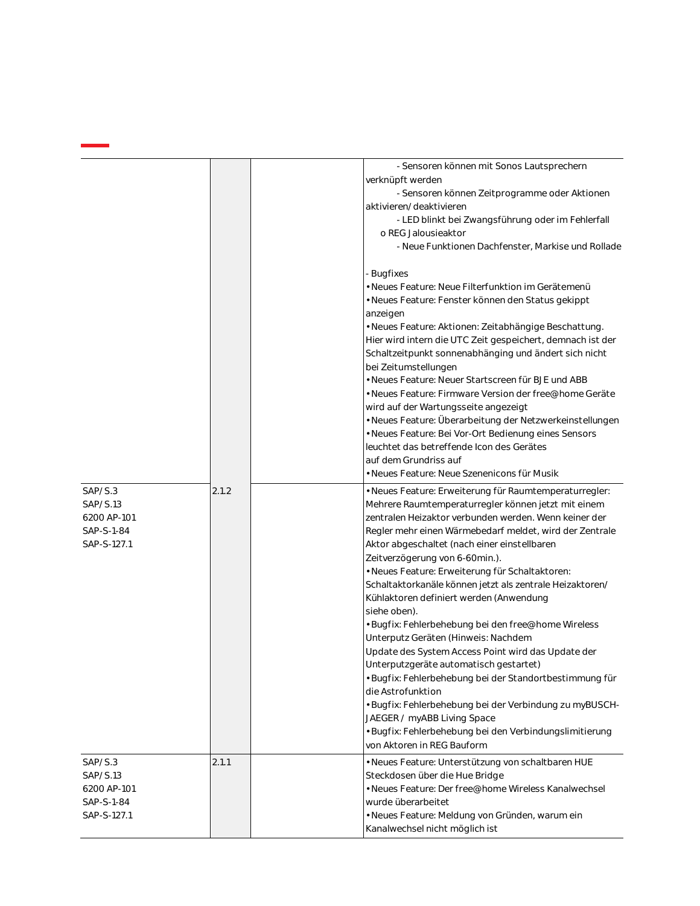|                                                                 |       | - Sensoren können mit Sonos Lautsprechern<br>verknüpft werden<br>- Sensoren können Zeitprogramme oder Aktionen<br>aktivieren/deaktivieren<br>- LED blinkt bei Zwangsführung oder im Fehlerfall<br>o REG Jalousieaktor<br>- Neue Funktionen Dachfenster, Markise und Rollade                                                                                                                                                                                                                                                                                                                                                                                                                                                                                                                                                                                                                                                                                    |
|-----------------------------------------------------------------|-------|----------------------------------------------------------------------------------------------------------------------------------------------------------------------------------------------------------------------------------------------------------------------------------------------------------------------------------------------------------------------------------------------------------------------------------------------------------------------------------------------------------------------------------------------------------------------------------------------------------------------------------------------------------------------------------------------------------------------------------------------------------------------------------------------------------------------------------------------------------------------------------------------------------------------------------------------------------------|
|                                                                 |       | - Bugfixes<br>· Neues Feature: Neue Filterfunktion im Gerätemenü<br>· Neues Feature: Fenster können den Status gekippt<br>anzeigen<br>• Neues Feature: Aktionen: Zeitabhängige Beschattung.<br>Hier wird intern die UTC Zeit gespeichert, demnach ist der<br>Schaltzeitpunkt sonnenabhänging und ändert sich nicht<br>bei Zeitumstellungen<br>· Neues Feature: Neuer Startscreen für BJE und ABB<br>· Neues Feature: Firmware Version der free@home Geräte<br>wird auf der Wartungsseite angezeigt<br>· Neues Feature: Überarbeitung der Netzwerkeinstellungen<br>· Neues Feature: Bei Vor-Ort Bedienung eines Sensors<br>leuchtet das betreffende Icon des Gerätes<br>auf dem Grundriss auf<br>· Neues Feature: Neue Szenenicons für Musik                                                                                                                                                                                                                    |
| SAP/S.3<br>SAP/S.13<br>6200 AP-101<br>SAP-S-1-84<br>SAP-S-127.1 | 2.1.2 | · Neues Feature: Erweiterung für Raumtemperaturregler:<br>Mehrere Raumtemperaturregler können jetzt mit einem<br>zentralen Heizaktor verbunden werden. Wenn keiner der<br>Regler mehr einen Wärmebedarf meldet, wird der Zentrale<br>Aktor abgeschaltet (nach einer einstellbaren<br>Zeitverzögerung von 6-60min.).<br>· Neues Feature: Erweiterung für Schaltaktoren:<br>Schaltaktorkanäle können jetzt als zentrale Heizaktoren/<br>Kühlaktoren definiert werden (Anwendung<br>siehe oben).<br>· Bugfix: Fehlerbehebung bei den free@home Wireless<br>Unterputz Geräten (Hinweis: Nachdem<br>Update des System Access Point wird das Update der<br>Unterputzgeräte automatisch gestartet)<br>· Bugfix: Fehlerbehebung bei der Standortbestimmung für<br>die Astrofunktion<br>· Bugfix: Fehlerbehebung bei der Verbindung zu myBUSCH-<br>JAEGER / myABB Living Space<br>· Bugfix: Fehlerbehebung bei den Verbindungslimitierung<br>von Aktoren in REG Bauform |
| SAP/S.3<br>SAP/S.13<br>6200 AP-101<br>SAP-S-1-84<br>SAP-S-127.1 | 2.1.1 | · Neues Feature: Unterstützung von schaltbaren HUE<br>Steckdosen über die Hue Bridge<br>· Neues Feature: Der free@home Wireless Kanalwechsel<br>wurde überarbeitet<br>· Neues Feature: Meldung von Gründen, warum ein<br>Kanalwechsel nicht möglich ist                                                                                                                                                                                                                                                                                                                                                                                                                                                                                                                                                                                                                                                                                                        |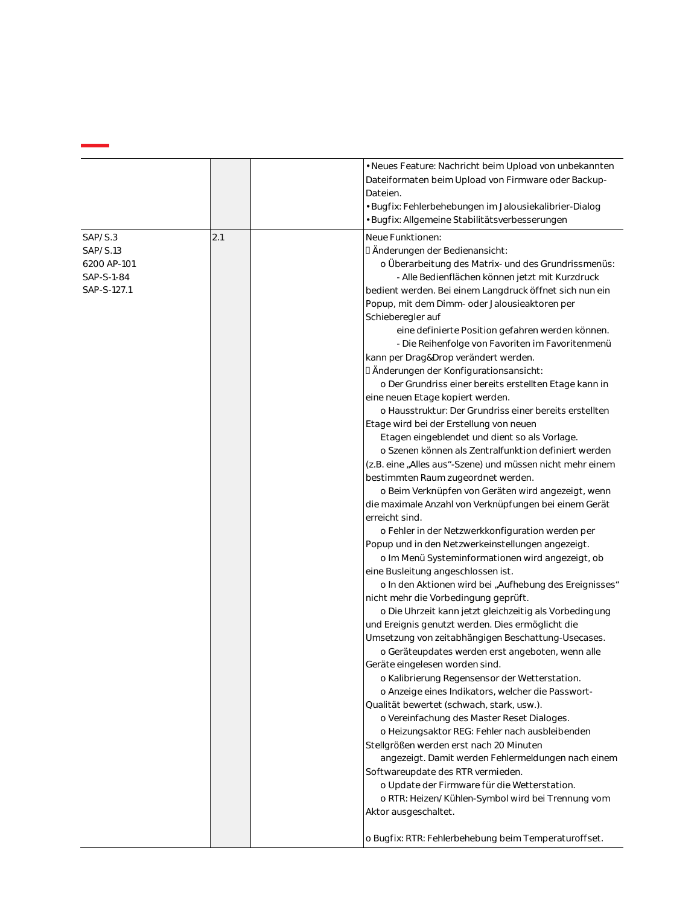|                                                                 |     | · Neues Feature: Nachricht beim Upload von unbekannten<br>Dateiformaten beim Upload von Firmware oder Backup-<br>Dateien.<br>· Bugfix: Fehlerbehebungen im Jalousiekalibrier-Dialog<br>· Bugfix: Allgemeine Stabilitätsverbesserungen                                                                                                                                                                                                                                                                                                                                                                                                                                                                                                                                                                                                                                                                                                                                                                                                                                                                                                                                                                                                                                                                                                                                                                                                                                                                                                                                                                                                                                                                                                                                                                                                                                                                                                                                                                                                                                                                                          |
|-----------------------------------------------------------------|-----|--------------------------------------------------------------------------------------------------------------------------------------------------------------------------------------------------------------------------------------------------------------------------------------------------------------------------------------------------------------------------------------------------------------------------------------------------------------------------------------------------------------------------------------------------------------------------------------------------------------------------------------------------------------------------------------------------------------------------------------------------------------------------------------------------------------------------------------------------------------------------------------------------------------------------------------------------------------------------------------------------------------------------------------------------------------------------------------------------------------------------------------------------------------------------------------------------------------------------------------------------------------------------------------------------------------------------------------------------------------------------------------------------------------------------------------------------------------------------------------------------------------------------------------------------------------------------------------------------------------------------------------------------------------------------------------------------------------------------------------------------------------------------------------------------------------------------------------------------------------------------------------------------------------------------------------------------------------------------------------------------------------------------------------------------------------------------------------------------------------------------------|
| SAP/S.3<br>SAP/S.13<br>6200 AP-101<br>SAP-S-1-84<br>SAP-S-127.1 | 2.1 | Neue Funktionen:<br>D Änderungen der Bedienansicht:<br>o Überarbeitung des Matrix- und des Grundrissmenüs:<br>- Alle Bedienflächen können jetzt mit Kurzdruck<br>bedient werden. Bei einem Langdruck öffnet sich nun ein<br>Popup, mit dem Dimm- oder Jalousieaktoren per<br>Schieberegler auf<br>eine definierte Position gefahren werden können.<br>- Die Reihenfolge von Favoriten im Favoritenmenü<br>kann per Drag&Drop verändert werden.<br>D Änderungen der Konfigurationsansicht:<br>o Der Grundriss einer bereits erstellten Etage kann in<br>eine neuen Etage kopiert werden.<br>o Hausstruktur: Der Grundriss einer bereits erstellten<br>Etage wird bei der Erstellung von neuen<br>Etagen eingeblendet und dient so als Vorlage.<br>o Szenen können als Zentralfunktion definiert werden<br>(z.B. eine "Alles aus"-Szene) und müssen nicht mehr einem<br>bestimmten Raum zugeordnet werden.<br>o Beim Verknüpfen von Geräten wird angezeigt, wenn<br>die maximale Anzahl von Verknüpfungen bei einem Gerät<br>erreicht sind.<br>o Fehler in der Netzwerkkonfiguration werden per<br>Popup und in den Netzwerkeinstellungen angezeigt.<br>o Im Menü Systeminformationen wird angezeigt, ob<br>eine Busleitung angeschlossen ist.<br>o In den Aktionen wird bei "Aufhebung des Ereignisses"<br>nicht mehr die Vorbedingung geprüft.<br>o Die Uhrzeit kann jetzt gleichzeitig als Vorbedingung<br>und Ereignis genutzt werden. Dies ermöglicht die<br>Umsetzung von zeitabhängigen Beschattung-Usecases.<br>o Geräteupdates werden erst angeboten, wenn alle<br>Geräte eingelesen worden sind.<br>o Kalibrierung Regensensor der Wetterstation.<br>o Anzeige eines Indikators, welcher die Passwort-<br>Qualität bewertet (schwach, stark, usw.).<br>o Vereinfachung des Master Reset Dialoges.<br>o Heizungsaktor REG: Fehler nach ausbleibenden<br>Stellgrößen werden erst nach 20 Minuten<br>angezeigt. Damit werden Fehlermeldungen nach einem<br>Softwareupdate des RTR vermieden.<br>o Update der Firmware für die Wetterstation.<br>o RTR: Heizen/Kühlen-Symbol wird bei Trennung vom<br>Aktor ausgeschaltet. |
|                                                                 |     | o Bugfix: RTR: Fehlerbehebung beim Temperaturoffset.                                                                                                                                                                                                                                                                                                                                                                                                                                                                                                                                                                                                                                                                                                                                                                                                                                                                                                                                                                                                                                                                                                                                                                                                                                                                                                                                                                                                                                                                                                                                                                                                                                                                                                                                                                                                                                                                                                                                                                                                                                                                           |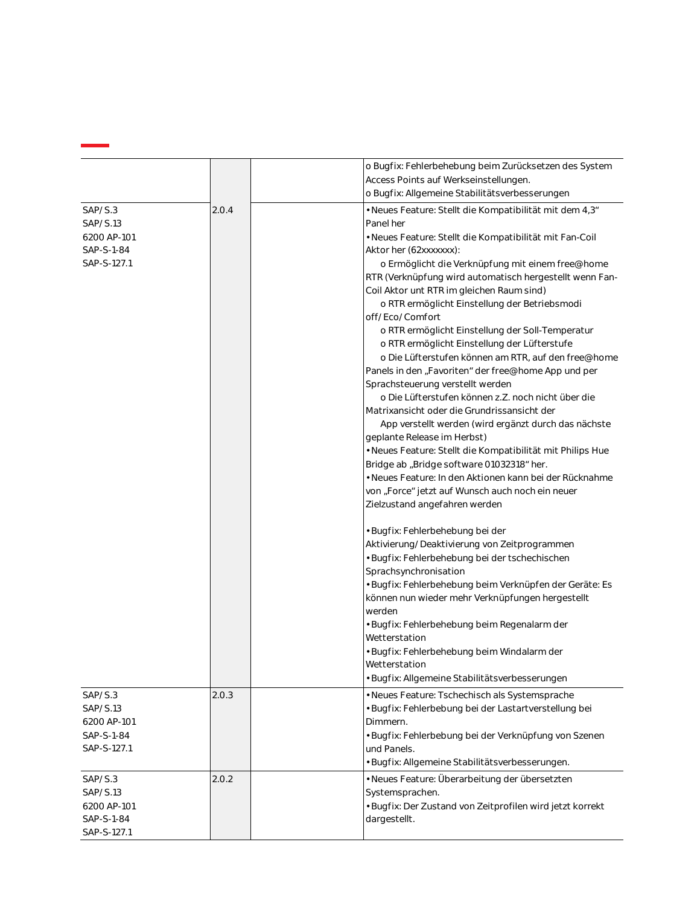|             |       | o Bugfix: Fehlerbehebung beim Zurücksetzen des System      |
|-------------|-------|------------------------------------------------------------|
|             |       | Access Points auf Werkseinstellungen.                      |
|             |       | o Bugfix: Allgemeine Stabilitätsverbesserungen             |
| SAP/S.3     | 2.0.4 | · Neues Feature: Stellt die Kompatibilität mit dem 4,3"    |
| SAP/S.13    |       | Panel her                                                  |
| 6200 AP-101 |       | · Neues Feature: Stellt die Kompatibilität mit Fan-Coil    |
| SAP-S-1-84  |       | Aktor her (62xxxxxxx):                                     |
| SAP-S-127.1 |       | o Ermöglicht die Verknüpfung mit einem free@home           |
|             |       | RTR (Verknüpfung wird automatisch hergestellt wenn Fan-    |
|             |       | Coil Aktor unt RTR im gleichen Raum sind)                  |
|             |       | o RTR ermöglicht Einstellung der Betriebsmodi              |
|             |       | off/Eco/Comfort                                            |
|             |       | o RTR ermöglicht Einstellung der Soll-Temperatur           |
|             |       | o RTR ermöglicht Einstellung der Lüfterstufe               |
|             |       | o Die Lüfterstufen können am RTR, auf den free@home        |
|             |       | Panels in den "Favoriten" der free@home App und per        |
|             |       | Sprachsteuerung verstellt werden                           |
|             |       | o Die Lüfterstufen können z.Z. noch nicht über die         |
|             |       | Matrixansicht oder die Grundrissansicht der                |
|             |       | App verstellt werden (wird ergänzt durch das nächste       |
|             |       | geplante Release im Herbst)                                |
|             |       | • Neues Feature: Stellt die Kompatibilität mit Philips Hue |
|             |       | Bridge ab "Bridge software 01032318" her.                  |
|             |       | · Neues Feature: In den Aktionen kann bei der Rücknahme    |
|             |       | von "Force" jetzt auf Wunsch auch noch ein neuer           |
|             |       | Zielzustand angefahren werden                              |
|             |       | · Bugfix: Fehlerbehebung bei der                           |
|             |       | Aktivierung/Deaktivierung von Zeitprogrammen               |
|             |       | · Bugfix: Fehlerbehebung bei der tschechischen             |
|             |       | Sprachsynchronisation                                      |
|             |       | · Bugfix: Fehlerbehebung beim Verknüpfen der Geräte: Es    |
|             |       | können nun wieder mehr Verknüpfungen hergestellt           |
|             |       | werden                                                     |
|             |       | · Bugfix: Fehlerbehebung beim Regenalarm der               |
|             |       | Wetterstation                                              |
|             |       | • Bugfix: Fehlerbehebung beim Windalarm der                |
|             |       | Wetterstation                                              |
|             |       | · Bugfix: Allgemeine Stabilitätsverbesserungen             |
| SAP/S.3     | 2.0.3 | · Neues Feature: Tschechisch als Systemsprache             |
| SAP/S.13    |       | · Bugfix: Fehlerbebung bei der Lastartverstellung bei      |
| 6200 AP-101 |       | Dimmern.                                                   |
| SAP-S-1-84  |       | · Bugfix: Fehlerbebung bei der Verknüpfung von Szenen      |
| SAP-S-127.1 |       | und Panels.                                                |
|             |       | · Bugfix: Allgemeine Stabilitätsverbesserungen.            |
| SAP/S.3     | 2.0.2 | · Neues Feature: Überarbeitung der übersetzten             |
| SAP/S.13    |       | Systemsprachen.                                            |
| 6200 AP-101 |       | • Bugfix: Der Zustand von Zeitprofilen wird jetzt korrekt  |
| SAP-S-1-84  |       | dargestellt.                                               |
| SAP-S-127.1 |       |                                                            |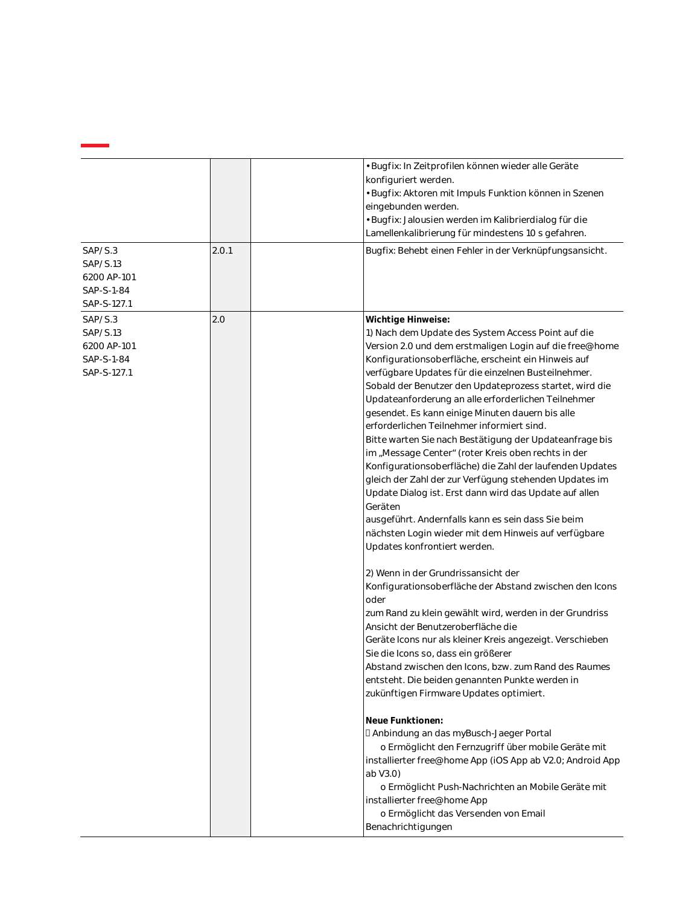|                                                                 |       | • Bugfix: In Zeitprofilen können wieder alle Geräte<br>konfiguriert werden.<br>· Bugfix: Aktoren mit Impuls Funktion können in Szenen<br>eingebunden werden.<br>· Bugfix: Jalousien werden im Kalibrierdialog für die<br>Lamellenkalibrierung für mindestens 10 s gefahren.                                                                                                                                                                                                                                                                                                                                                                                                                                                                                                                                                                                                                                                                                                                                                                                                                                                                                                                                                                                                                                                                                                                                                                                                                                                                                                                                                                                                                                                                              |
|-----------------------------------------------------------------|-------|----------------------------------------------------------------------------------------------------------------------------------------------------------------------------------------------------------------------------------------------------------------------------------------------------------------------------------------------------------------------------------------------------------------------------------------------------------------------------------------------------------------------------------------------------------------------------------------------------------------------------------------------------------------------------------------------------------------------------------------------------------------------------------------------------------------------------------------------------------------------------------------------------------------------------------------------------------------------------------------------------------------------------------------------------------------------------------------------------------------------------------------------------------------------------------------------------------------------------------------------------------------------------------------------------------------------------------------------------------------------------------------------------------------------------------------------------------------------------------------------------------------------------------------------------------------------------------------------------------------------------------------------------------------------------------------------------------------------------------------------------------|
| SAP/S.3<br>SAP/S.13<br>6200 AP-101<br>SAP-S-1-84<br>SAP-S-127.1 | 2.0.1 | Bugfix: Behebt einen Fehler in der Verknüpfungsansicht.                                                                                                                                                                                                                                                                                                                                                                                                                                                                                                                                                                                                                                                                                                                                                                                                                                                                                                                                                                                                                                                                                                                                                                                                                                                                                                                                                                                                                                                                                                                                                                                                                                                                                                  |
| SAP/S.3<br>SAP/S.13<br>6200 AP-101<br>SAP-S-1-84<br>SAP-S-127.1 | 2.0   | Wichtige Hinweise:<br>1) Nach dem Update des System Access Point auf die<br>Version 2.0 und dem erstmaligen Login auf die free@home<br>Konfigurationsoberfläche, erscheint ein Hinweis auf<br>verfügbare Updates für die einzelnen Busteilnehmer.<br>Sobald der Benutzer den Updateprozess startet, wird die<br>Updateanforderung an alle erforderlichen Teilnehmer<br>gesendet. Es kann einige Minuten dauern bis alle<br>erforderlichen Teilnehmer informiert sind.<br>Bitte warten Sie nach Bestätigung der Updateanfrage bis<br>im "Message Center" (roter Kreis oben rechts in der<br>Konfigurationsoberfläche) die Zahl der laufenden Updates<br>gleich der Zahl der zur Verfügung stehenden Updates im<br>Update Dialog ist. Erst dann wird das Update auf allen<br>Geräten<br>ausgeführt. Andernfalls kann es sein dass Sie beim<br>nächsten Login wieder mit dem Hinweis auf verfügbare<br>Updates konfrontiert werden.<br>2) Wenn in der Grundrissansicht der<br>Konfigurationsoberfläche der Abstand zwischen den Icons<br>oder<br>zum Rand zu klein gewählt wird, werden in der Grundriss<br>Ansicht der Benutzeroberfläche die<br>Geräte Icons nur als kleiner Kreis angezeigt. Verschieben<br>Sie die Icons so, dass ein größerer<br>Abstand zwischen den Icons, bzw. zum Rand des Raumes<br>entsteht. Die beiden genannten Punkte werden in<br>zukünftigen Firmware Updates optimiert.<br>Neue Funktionen:<br>I Anbindung an das myBusch-Jaeger Portal<br>o Ermöglicht den Fernzugriff über mobile Geräte mit<br>installierter free@home App (iOS App ab V2.0; Android App<br>ab V3.0)<br>o Ermöglicht Push-Nachrichten an Mobile Geräte mit<br>installierter free@home App<br>o Ermöglicht das Versenden von Email<br>Benachrichtigungen |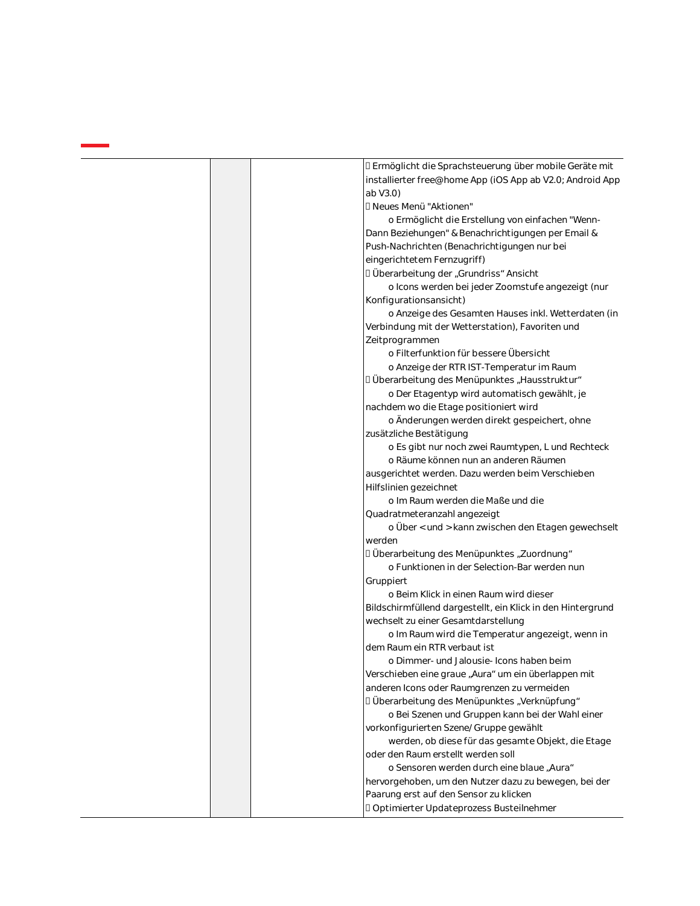|  | I Ermöglicht die Sprachsteuerung über mobile Geräte mit                                            |
|--|----------------------------------------------------------------------------------------------------|
|  | installierter free@home App (iOS App ab V2.0; Android App                                          |
|  | ab V3.0)                                                                                           |
|  | □ Neues Menü "Aktionen"                                                                            |
|  | o Ermöglicht die Erstellung von einfachen "Wenn-                                                   |
|  | Dann Beziehungen" & Benachrichtigungen per Email &                                                 |
|  | Push-Nachrichten (Benachrichtigungen nur bei                                                       |
|  | eingerichtetem Fernzugriff)                                                                        |
|  | □ Überarbeitung der "Grundriss" Ansicht                                                            |
|  | o Icons werden bei jeder Zoomstufe angezeigt (nur                                                  |
|  | Konfigurationsansicht)                                                                             |
|  | o Anzeige des Gesamten Hauses inkl. Wetterdaten (in                                                |
|  | Verbindung mit der Wetterstation), Favoriten und                                                   |
|  | Zeitprogrammen                                                                                     |
|  | o Filterfunktion für bessere Übersicht                                                             |
|  | o Anzeige der RTR IST-Temperatur im Raum                                                           |
|  | I Überarbeitung des Menüpunktes "Hausstruktur"                                                     |
|  | o Der Etagentyp wird automatisch gewählt, je                                                       |
|  | nachdem wo die Etage positioniert wird                                                             |
|  | o Änderungen werden direkt gespeichert, ohne                                                       |
|  | zusätzliche Bestätigung                                                                            |
|  | o Es gibt nur noch zwei Raumtypen, L und Rechteck                                                  |
|  | o Räume können nun an anderen Räumen                                                               |
|  | ausgerichtet werden. Dazu werden beim Verschieben                                                  |
|  | Hilfslinien gezeichnet                                                                             |
|  | o Im Raum werden die Maße und die                                                                  |
|  | Quadratmeteranzahl angezeigt                                                                       |
|  | o Über < und > kann zwischen den Etagen gewechselt                                                 |
|  | werden                                                                                             |
|  | I Überarbeitung des Menüpunktes "Zuordnung"                                                        |
|  | o Funktionen in der Selection-Bar werden nun                                                       |
|  | Gruppiert                                                                                          |
|  | o Beim Klick in einen Raum wird dieser                                                             |
|  | Bildschirmfüllend dargestellt, ein Klick in den Hintergrund                                        |
|  | wechselt zu einer Gesamtdarstellung                                                                |
|  | o Im Raum wird die Temperatur angezeigt, wenn in<br>dem Raum ein RTR verbaut ist                   |
|  |                                                                                                    |
|  | o Dimmer- und Jalousie- Icons haben beim                                                           |
|  | Verschieben eine graue "Aura" um ein überlappen mit<br>anderen Icons oder Raumgrenzen zu vermeiden |
|  | □ Überarbeitung des Menüpunktes "Verknüpfung"                                                      |
|  | o Bei Szenen und Gruppen kann bei der Wahl einer                                                   |
|  | vorkonfigurierten Szene/Gruppe gewählt                                                             |
|  | werden, ob diese für das gesamte Objekt, die Etage                                                 |
|  | oder den Raum erstellt werden soll                                                                 |
|  | o Sensoren werden durch eine blaue "Aura"                                                          |
|  | hervorgehoben, um den Nutzer dazu zu bewegen, bei der                                              |
|  | Paarung erst auf den Sensor zu klicken                                                             |
|  | DOptimierter Updateprozess Busteilnehmer                                                           |
|  |                                                                                                    |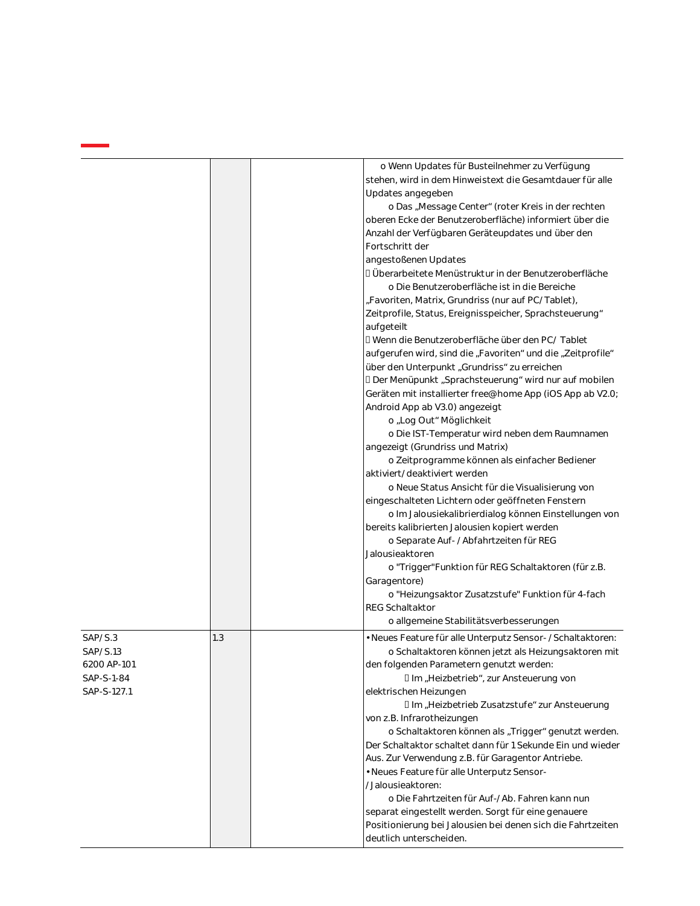|                                                                 |     | o Wenn Updates für Busteilnehmer zu Verfügung<br>stehen, wird in dem Hinweistext die Gesamtdauer für alle<br>Updates angegeben<br>o Das "Message Center" (roter Kreis in der rechten<br>oberen Ecke der Benutzeroberfläche) informiert über die<br>Anzahl der Verfügbaren Geräteupdates und über den<br>Fortschritt der<br>angestoßenen Updates<br>I Überarbeitete Menüstruktur in der Benutzeroberfläche<br>o Die Benutzeroberfläche ist in die Bereiche<br>"Favoriten, Matrix, Grundriss (nur auf PC/Tablet),<br>Zeitprofile, Status, Ereignisspeicher, Sprachsteuerung"<br>aufgeteilt<br>I Wenn die Benutzeroberfläche über den PC/Tablet<br>aufgerufen wird, sind die "Favoriten" und die "Zeitprofile"<br>über den Unterpunkt "Grundriss" zu erreichen<br>D Der Menüpunkt "Sprachsteuerung" wird nur auf mobilen<br>Geräten mit installierter free@home App (iOS App ab V2.0;<br>Android App ab V3.0) angezeigt<br>o "Log Out" Möglichkeit<br>o Die IST-Temperatur wird neben dem Raumnamen<br>angezeigt (Grundriss und Matrix)<br>o Zeitprogramme können als einfacher Bediener<br>aktiviert/deaktiviert werden<br>o Neue Status Ansicht für die Visualisierung von<br>eingeschalteten Lichtern oder geöffneten Fenstern<br>o Im Jalousiekalibrierdialog können Einstellungen von<br>bereits kalibrierten Jalousien kopiert werden<br>o Separate Auf- / Abfahrtzeiten für REG<br>Jalousieaktoren<br>o "Trigger" Funktion für REG Schaltaktoren (für z.B.<br>Garagentore)<br>o "Heizungsaktor Zusatzstufe" Funktion für 4-fach<br><b>REG Schaltaktor</b><br>o allgemeine Stabilitätsverbesserungen |
|-----------------------------------------------------------------|-----|---------------------------------------------------------------------------------------------------------------------------------------------------------------------------------------------------------------------------------------------------------------------------------------------------------------------------------------------------------------------------------------------------------------------------------------------------------------------------------------------------------------------------------------------------------------------------------------------------------------------------------------------------------------------------------------------------------------------------------------------------------------------------------------------------------------------------------------------------------------------------------------------------------------------------------------------------------------------------------------------------------------------------------------------------------------------------------------------------------------------------------------------------------------------------------------------------------------------------------------------------------------------------------------------------------------------------------------------------------------------------------------------------------------------------------------------------------------------------------------------------------------------------------------------------------------------------------------------------------|
| SAP/S.3<br>SAP/S.13<br>6200 AP-101<br>SAP-S-1-84<br>SAP-S-127.1 | 1.3 | • Neues Feature für alle Unterputz Sensor- / Schaltaktoren:<br>o Schaltaktoren können jetzt als Heizungsaktoren mit<br>den folgenden Parametern genutzt werden:<br>Ilm "Heizbetrieb", zur Ansteuerung von<br>elektrischen Heizungen<br>Ilm "Heizbetrieb Zusatzstufe" zur Ansteuerung<br>von z.B. Infrarotheizungen<br>o Schaltaktoren können als "Trigger" genutzt werden.<br>Der Schaltaktor schaltet dann für 1 Sekunde Ein und wieder<br>Aus. Zur Verwendung z.B. für Garagentor Antriebe.<br>· Neues Feature für alle Unterputz Sensor-<br>/Jalousieaktoren:<br>o Die Fahrtzeiten für Auf-/Ab. Fahren kann nun<br>separat eingestellt werden. Sorgt für eine genauere<br>Positionierung bei Jalousien bei denen sich die Fahrtzeiten<br>deutlich unterscheiden.                                                                                                                                                                                                                                                                                                                                                                                                                                                                                                                                                                                                                                                                                                                                                                                                                                     |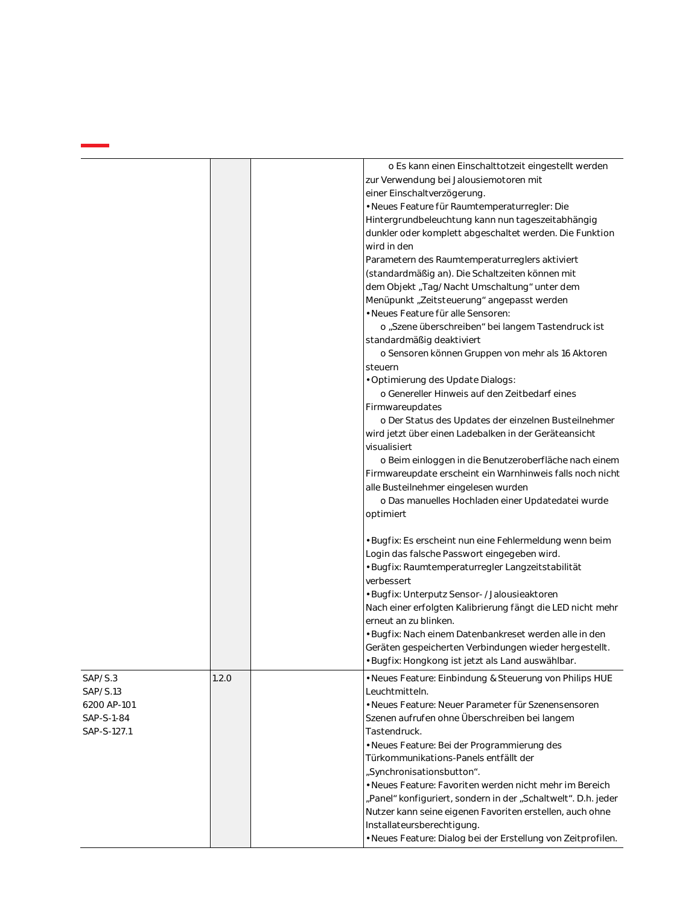|                                                                 |       | o Es kann einen Einschalttotzeit eingestellt werden<br>zur Verwendung bei Jalousiemotoren mit<br>einer Einschaltverzögerung.<br>· Neues Feature für Raumtemperaturregler: Die<br>Hintergrundbeleuchtung kann nun tageszeitabhängig<br>dunkler oder komplett abgeschaltet werden. Die Funktion<br>wird in den<br>Parametern des Raumtemperaturreglers aktiviert<br>(standardmäßig an). Die Schaltzeiten können mit<br>dem Objekt "Tag/Nacht Umschaltung" unter dem<br>Menüpunkt "Zeitsteuerung" angepasst werden<br>• Neues Feature für alle Sensoren:<br>o "Szene überschreiben" bei langem Tastendruck ist<br>standardmäßig deaktiviert<br>o Sensoren können Gruppen von mehr als 16 Aktoren<br>steuern<br>· Optimierung des Update Dialogs:<br>o Genereller Hinweis auf den Zeitbedarf eines<br>Firmwareupdates<br>o Der Status des Updates der einzelnen Busteilnehmer<br>wird jetzt über einen Ladebalken in der Geräteansicht<br>visualisiert<br>o Beim einloggen in die Benutzeroberfläche nach einem<br>Firmwareupdate erscheint ein Warnhinweis falls noch nicht<br>alle Busteilnehmer eingelesen wurden<br>o Das manuelles Hochladen einer Updatedatei wurde |
|-----------------------------------------------------------------|-------|-----------------------------------------------------------------------------------------------------------------------------------------------------------------------------------------------------------------------------------------------------------------------------------------------------------------------------------------------------------------------------------------------------------------------------------------------------------------------------------------------------------------------------------------------------------------------------------------------------------------------------------------------------------------------------------------------------------------------------------------------------------------------------------------------------------------------------------------------------------------------------------------------------------------------------------------------------------------------------------------------------------------------------------------------------------------------------------------------------------------------------------------------------------------------|
|                                                                 |       | optimiert<br>• Bugfix: Es erscheint nun eine Fehlermeldung wenn beim<br>Login das falsche Passwort eingegeben wird.<br>· Bugfix: Raumtemperaturregler Langzeitstabilität<br>verbessert<br>· Bugfix: Unterputz Sensor- / Jalousieaktoren<br>Nach einer erfolgten Kalibrierung fängt die LED nicht mehr<br>erneut an zu blinken.<br>· Bugfix: Nach einem Datenbankreset werden alle in den<br>Geräten gespeicherten Verbindungen wieder hergestellt.<br>· Bugfix: Hongkong ist jetzt als Land auswählbar.                                                                                                                                                                                                                                                                                                                                                                                                                                                                                                                                                                                                                                                               |
| SAP/S.3<br>SAP/S.13<br>6200 AP-101<br>SAP-S-1-84<br>SAP-S-127.1 | 1.2.0 | • Neues Feature: Einbindung & Steuerung von Philips HUE<br>Leuchtmitteln.<br>• Neues Feature: Neuer Parameter für Szenensensoren<br>Szenen aufrufen ohne Überschreiben bei langem<br>Tastendruck.<br>· Neues Feature: Bei der Programmierung des<br>Türkommunikations-Panels entfällt der<br>"Synchronisationsbutton".<br>• Neues Feature: Favoriten werden nicht mehr im Bereich<br>"Panel" konfiguriert, sondern in der "Schaltwelt". D.h. jeder<br>Nutzer kann seine eigenen Favoriten erstellen, auch ohne<br>Installateursberechtigung.<br>· Neues Feature: Dialog bei der Erstellung von Zeitprofilen.                                                                                                                                                                                                                                                                                                                                                                                                                                                                                                                                                          |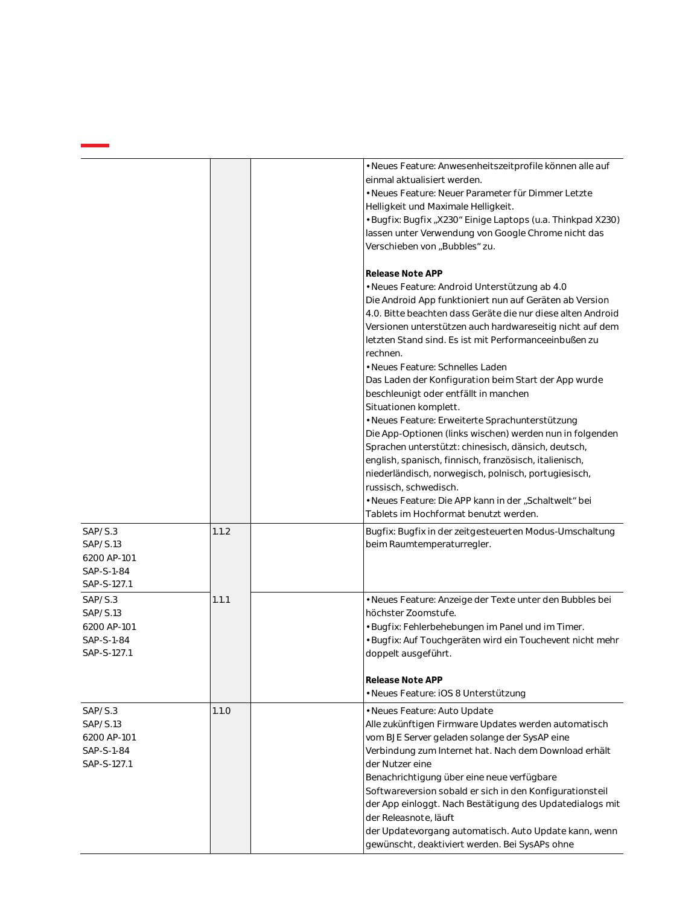|                                                                 |       | · Neues Feature: Anwesenheitszeitprofile können alle auf<br>einmal aktualisiert werden.<br>• Neues Feature: Neuer Parameter für Dimmer Letzte<br>Helligkeit und Maximale Helligkeit.<br>· Bugfix: Bugfix "X230" Einige Laptops (u.a. Thinkpad X230)<br>lassen unter Verwendung von Google Chrome nicht das<br>Verschieben von "Bubbles" zu.                                                                                                                                                                                                                                                                                                                                                                                                                                                                                                                                                                   |  |
|-----------------------------------------------------------------|-------|---------------------------------------------------------------------------------------------------------------------------------------------------------------------------------------------------------------------------------------------------------------------------------------------------------------------------------------------------------------------------------------------------------------------------------------------------------------------------------------------------------------------------------------------------------------------------------------------------------------------------------------------------------------------------------------------------------------------------------------------------------------------------------------------------------------------------------------------------------------------------------------------------------------|--|
|                                                                 |       | Release Note APP<br>· Neues Feature: Android Unterstützung ab 4.0<br>Die Android App funktioniert nun auf Geräten ab Version<br>4.0. Bitte beachten dass Geräte die nur diese alten Android<br>Versionen unterstützen auch hardwareseitig nicht auf dem<br>letzten Stand sind. Es ist mit Performanceeinbußen zu<br>rechnen.<br>• Neues Feature: Schnelles Laden<br>Das Laden der Konfiguration beim Start der App wurde<br>beschleunigt oder entfällt in manchen<br>Situationen komplett.<br>· Neues Feature: Erweiterte Sprachunterstützung<br>Die App-Optionen (links wischen) werden nun in folgenden<br>Sprachen unterstützt: chinesisch, dänsich, deutsch,<br>english, spanisch, finnisch, französisch, italienisch,<br>niederländisch, norwegisch, polnisch, portugiesisch,<br>russisch, schwedisch.<br>· Neues Feature: Die APP kann in der "Schaltwelt" bei<br>Tablets im Hochformat benutzt werden. |  |
| SAP/S.3<br>SAP/S.13<br>6200 AP-101<br>SAP-S-1-84<br>SAP-S-127.1 | 1.1.2 | Bugfix: Bugfix in der zeitgesteuerten Modus-Umschaltung<br>beim Raumtemperaturregler.                                                                                                                                                                                                                                                                                                                                                                                                                                                                                                                                                                                                                                                                                                                                                                                                                         |  |
| SAP/S.3<br>SAP/S.13<br>6200 AP-101<br>SAP-S-1-84<br>SAP-S-127.1 | 1.1.1 | • Neues Feature: Anzeige der Texte unter den Bubbles bei<br>höchster Zoomstufe.<br>Bugfix: Fehlerbehebungen im Panel und im Timer.<br>· Bugfix: Auf Touchgeräten wird ein Touchevent nicht mehr<br>doppelt ausgeführt.<br>Release Note APP<br>· Neues Feature: iOS 8 Unterstützung                                                                                                                                                                                                                                                                                                                                                                                                                                                                                                                                                                                                                            |  |
| SAP/S.3<br>SAP/S.13<br>6200 AP-101<br>SAP-S-1-84<br>SAP-S-127.1 | 1.1.0 | · Neues Feature: Auto Update<br>Alle zukünftigen Firmware Updates werden automatisch<br>vom BJE Server geladen solange der SysAP eine<br>Verbindung zum Internet hat. Nach dem Download erhält<br>der Nutzer eine<br>Benachrichtigung über eine neue verfügbare<br>Softwareversion sobald er sich in den Konfigurationsteil<br>der App einloggt. Nach Bestätigung des Updatedialogs mit<br>der Releasnote, läuft<br>der Updatevorgang automatisch. Auto Update kann, wenn<br>gewünscht, deaktiviert werden. Bei SysAPs ohne                                                                                                                                                                                                                                                                                                                                                                                   |  |